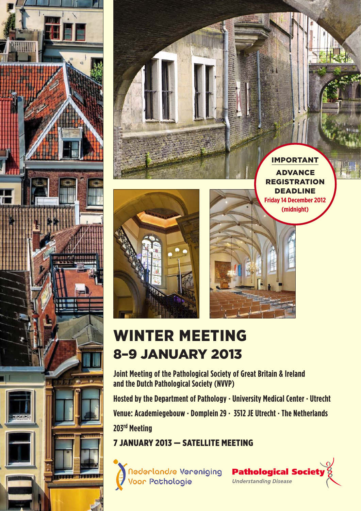



# Winter Meeting 8–9 JanUARY 2013

**Joint Meeting of the Pathological Society of Great Britain & Ireland and the Dutch Pathological Society (NVVP)**

**Hosted by the Department of Pathology · University Medical Center · Utrecht**

**Venue: Academiegebouw · Domplein 29 · 3512 JE Utrecht · The Netherlands**

**203rd Meeting**

7 JanUARY 2013 — Satellite Meeting



**Pathological Society Understanding Disease**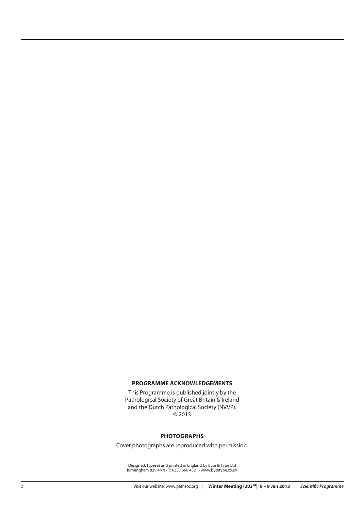#### **Programme acknowledgements**

This Programme is published jointly by the Pathological Society of Great Britain & Ireland and the Dutch Pathological Society (NVVP). © 2013

#### **Photographs**

Cover photographs are reproduced with permission.

Designed, typeset and printed in England by Byte & Type Ltd Birmingham B29 4NN · T: 0333 666 4321 · www.bytetype.co.uk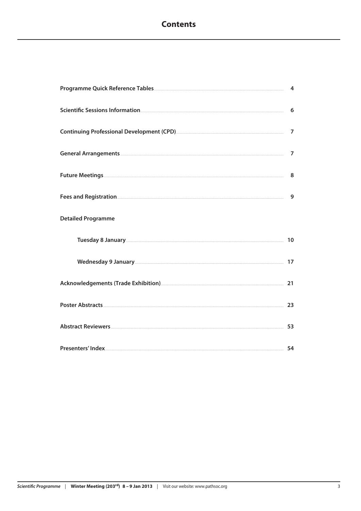| Continuing Professional Development (CPD) 2014 12:00 12:00 12:00 12:00 12:00 12:00 12:00 12:00 12:00 12:00 12:00 12:00 12:00 12:00 12:00 12:00 12:00 12:00 12:00 12:00 12:00 12:00 12:00 12:00 12:00 12:00 12:00 12:00 12:00 1       |    |
|--------------------------------------------------------------------------------------------------------------------------------------------------------------------------------------------------------------------------------------|----|
| <b>General Arrangements 2008 Contract 2008 Contract 2008 Contract 2008 Contract 2008 Contract 2008 Contract 2008 Contract 2008 Contract 2008 Contract 2008 Contract 2008 Contract 2008 Contract 2008 Contract 2008 Contract 2008</b> |    |
|                                                                                                                                                                                                                                      |    |
| Fees and Registration <b>Executive Construction Constant Construction Construction</b>                                                                                                                                               | 9  |
| <b>Detailed Programme</b>                                                                                                                                                                                                            |    |
| Tuesday 8 January 2014 10 20 20 21 22 23 24 25 26 27 28 29 20 21 21 22 23 24 25 26 27 28 29 20 21 21 21 21 21 2                                                                                                                      |    |
| Wednesday 9 January 2008 2009 2010 2020 2020 217                                                                                                                                                                                     |    |
| Acknowledgements (Trade Exhibition)<br>21                                                                                                                                                                                            |    |
| Poster Abstracts 23 and 23 and 23 and 24 and 25 and 26 and 26 and 26 and 27 and 27 and 27 and 27 and 27 and 27 and 27 and 27 and 27 and 27 and 27 and 27 and 27 and 27 and 27 and 27 and 27 and 27 and 27 and 27 and 27 and 27       |    |
| Abstract Reviewers 53                                                                                                                                                                                                                |    |
|                                                                                                                                                                                                                                      | 54 |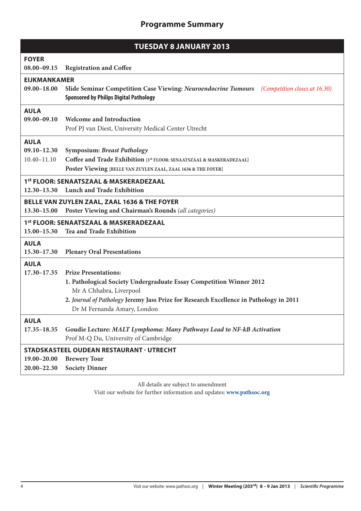### **Programme Summary**

### **TUEsday 8 January 2013**

|                     | IULJUAI OJANUANI ZUIJ                                                                           |
|---------------------|-------------------------------------------------------------------------------------------------|
| <b>FOYER</b>        |                                                                                                 |
| $08.00 - 09.15$     | <b>Registration and Coffee</b>                                                                  |
| <b>EIJKMANKAMER</b> |                                                                                                 |
| $09.00 - 18.00$     | Slide Seminar Competition Case Viewing: Neuroendocrine Tumours<br>(Competition closes at 16.30) |
|                     | <b>Sponsored by Philips Digital Pathology</b>                                                   |
| <b>AULA</b>         |                                                                                                 |
| $09.00 - 09.10$     | <b>Welcome and Introduction</b>                                                                 |
|                     | Prof PJ van Diest, University Medical Center Utrecht                                            |
| <b>AULA</b>         |                                                                                                 |
| $09.10 - 12.30$     | Symposium: Breast Pathology                                                                     |
| $10.40 - 11.10$     | Coffee and Trade Exhibition [1st FLOOR: SENAATSZAAL & MASKERADEZAAL]                            |
|                     | Poster Viewing [BELLE VAN ZUYLEN ZAAL, ZAAL 1636 & THE FOYER]                                   |
|                     | 1st FLOOR: SENAATSZAAL & MASKERADEZAAL                                                          |
| $12.30 - 13.30$     | <b>Lunch and Trade Exhibition</b>                                                               |
|                     | BELLE VAN ZUYLEN ZAAL, ZAAL 1636 & THE FOYER                                                    |
| $13.30 - 15.00$     | Poster Viewing and Chairman's Rounds (all categories)                                           |
|                     | 1st FLOOR: SENAATSZAAL & MASKERADEZAAL                                                          |
| $15.00 - 15.30$     | <b>Tea and Trade Exhibition</b>                                                                 |
| <b>AULA</b>         |                                                                                                 |
| 15.30-17.30         | <b>Plenary Oral Presentations</b>                                                               |
| <b>AULA</b>         |                                                                                                 |
| $17.30 - 17.35$     | <b>Prize Presentations:</b>                                                                     |
|                     | 1. Pathological Society Undergraduate Essay Competition Winner 2012                             |
|                     | Mr A Chhabra, Liverpool                                                                         |
|                     | 2. Journal of Pathology Jeremy Jass Prize for Research Excellence in Pathology in 2011          |
|                     | Dr M Fernanda Amary, London                                                                     |
| <b>AULA</b>         |                                                                                                 |
| $17.35 - 18.35$     | Goudie Lecture: MALT Lymphoma: Many Pathways Lead to NF-kB Activation                           |
|                     | Prof M-Q Du, University of Cambridge                                                            |
|                     | STADSKASTEEL OUDEAN RESTAURANT · UTRECHT                                                        |
| 19.00-20.00         | <b>Brewery Tour</b>                                                                             |
| $20.00 - 22.30$     | <b>Society Dinner</b>                                                                           |

All details are subject to amendment Visit our website for further information and updates: **[www.pathsoc.org](http://www.pathsoc.org)**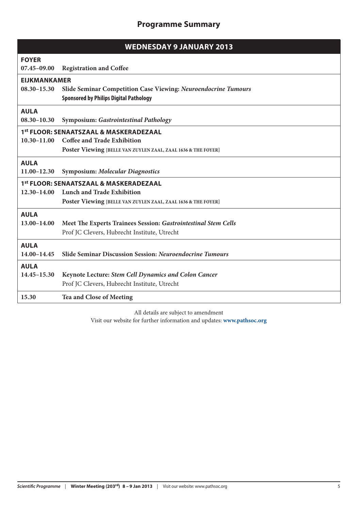| <b>WEDNESDAY 9 JANUARY 2013</b> |                                                                 |  |
|---------------------------------|-----------------------------------------------------------------|--|
| <b>FOYER</b>                    |                                                                 |  |
| $07.45 - 09.00$                 | <b>Registration and Coffee</b>                                  |  |
| <b>EIJKMANKAMER</b>             |                                                                 |  |
| $08.30 - 15.30$                 | Slide Seminar Competition Case Viewing: Neuroendocrine Tumours  |  |
|                                 | <b>Sponsored by Philips Digital Pathology</b>                   |  |
| <b>AULA</b>                     |                                                                 |  |
| $08.30 - 10.30$                 | Symposium: Gastrointestinal Pathology                           |  |
|                                 | 1st FLOOR: SENAATSZAAL & MASKERADEZAAL                          |  |
| $10.30 - 11.00$                 | <b>Coffee and Trade Exhibition</b>                              |  |
|                                 | Poster Viewing [BELLE VAN ZUYLEN ZAAL, ZAAL 1636 & THE FOYER]   |  |
| <b>AULA</b>                     |                                                                 |  |
| $11.00 - 12.30$                 | Symposium: Molecular Diagnostics                                |  |
|                                 | 1st FLOOR: SENAATSZAAL & MASKERADEZAAL                          |  |
| $12.30 - 14.00$                 | <b>Lunch and Trade Exhibition</b>                               |  |
|                                 | Poster Viewing [BELLE VAN ZUYLEN ZAAL, ZAAL 1636 & THE FOYER]   |  |
| <b>AULA</b>                     |                                                                 |  |
| 13.00-14.00                     | Meet The Experts Trainees Session: Gastrointestinal Stem Cells  |  |
|                                 | Prof JC Clevers, Hubrecht Institute, Utrecht                    |  |
| <b>AULA</b>                     |                                                                 |  |
| 14.00-14.45                     | <b>Slide Seminar Discussion Session: Neuroendocrine Tumours</b> |  |
| <b>AULA</b>                     |                                                                 |  |
| 14.45-15.30                     | Keynote Lecture: Stem Cell Dynamics and Colon Cancer            |  |
|                                 | Prof JC Clevers, Hubrecht Institute, Utrecht                    |  |
| 15.30                           | <b>Tea and Close of Meeting</b>                                 |  |

All details are subject to amendment

Visit our website for further information and updates: **[www.pathsoc.org](http://www.pathsoc.org)**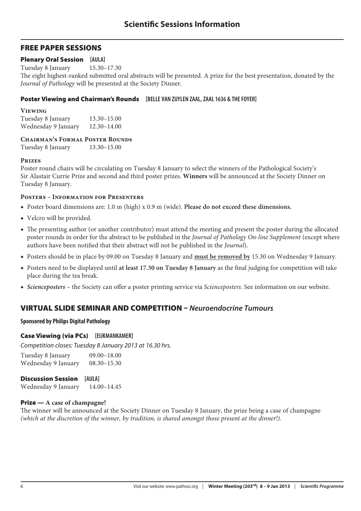### Free Paper Sessions

#### Plenary Oral Session **[Aula]**

Tuesday 8 January 15.30–17.30 The eight highest-ranked submitted oral abstracts will be presented. A prize for the best presentation, donated by the *Journal of Pathology* will be presented at the Society Dinner.

#### Poster Viewing and Chairman's Rounds **[Belle van Zuylen Zaal, Zaal 1636 & The Foyer]**

#### **Viewing**

Tuesday 8 January 13.30–15.00 Wednesday 9 January 12.30–14.00

#### **Chairman's Formal Poster Rounds**

Tuesday 8 January 13.30–15.00

#### **Prizes**

Poster round chairs will be circulating on Tuesday 8 January to select the winners of the Pathological Society's Sir Alastair Currie Prize and second and third poster prizes. **Winners** will be announced at the Society Dinner on Tuesday 8 January.

#### **Posters – Information for Presenters**

- ◆ Poster board dimensions are: 1.0 m (high) x 0.9 m (wide). **Please do not exceed these dimensions.**
- ◆ Velcro will be provided.
- ◆ The presenting author (or another contributor) must attend the meeting and present the poster during the allocated poster rounds in order for the abstract to be published in the *Journal of Pathology On-line Supplement* (except where authors have been notified that their abstract will not be published in the *Journal*).
- ◆ Posters should be in place by 09.00 on Tuesday 8 January and **must be removed by** 15.30 on Wednesday 9 January.
- ◆ Posters need to be displayed until **at least 17.30 on Tuesday 8 January** as the final judging for competition will take place during the tea break.
- ◆ *Scienceposters* the Society can offer a poster printing service via *Scienceposters*. See information on our website.

### Virtual SLIDE Seminar and Competition – *Neuroendocrine Tumours*

#### **Sponsored by Philips Digital Pathology**

#### Case Viewing (via PCs) **[Eijkmankamer]**

*Competition closes: Tuesday 8 January 2013 at 16.30 hrs.*

Tuesday 8 January 09.00–18.00 Wednesday 9 January 08.30–15.30

### Discussion Session **[Aula]**

Wednesday 9 January 14.00–14.45

#### Prize — **A case of champagne!**

The winner will be announced at the Society Dinner on Tuesday 8 January, the prize being a case of champagne *(which at the discretion of the winner, by tradition, is shared amongst those present at the dinner!).*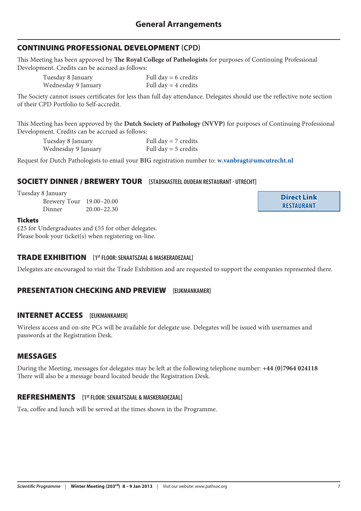### CONTINUING PROFESSIONAL DEVELOPMENT **(CPD)**

This Meeting has been approved by **The Royal College of Pathologists** for purposes of Continuing Professional Development. Credits can be accrued as follows:

| Tuesday 8 January   | Full day $= 6$ credits |
|---------------------|------------------------|
| Wednesday 9 January | Full day $=$ 4 credits |

The Society cannot issues certificates for less than full day attendance. Delegates should use the reflective note section of their CPD Portfolio to Self-accredit.

This Meeting has been approved by the **Dutch Society of Pathology (NVVP)** for purposes of Continuing Professional Development. Credits can be accrued as follows:

| Tuesday 8 January   | Full day $= 7$ credits |
|---------------------|------------------------|
| Wednesday 9 January | Full day $=$ 5 credits |

Request for Dutch Pathologists to email your **BIG** registration number to: **[w.vanbragt@umcutrecht.nl](mailto:w.vanbragt%40umcutrecht.nl?subject=)**

### Society Dinner / Brewery Tour **[STADSKASTEEL Oudean Restaurant · Utrecht]**

Tuesday 8 January

| Brewery Tour 19.00-20.00 |                 |
|--------------------------|-----------------|
| Dinner                   | $20.00 - 22.30$ |

#### **Tickets**

£25 for Undergraduates and £55 for other delegates. Please book your ticket(s) when registering on-line.

#### TRADE EXHIBITION **[1st Floor: Senaatszaal & Maskeradezaal]**

Delegates are encouraged to visit the Trade Exhibition and are requested to support the companies represented there.

### Presentation Checking and Preview **[Eijkmankamer]**

#### Internet Access **[Eijkmankamer]**

Wireless access and on-site PCs will be available for delegate use. Delegates will be issued with usernames and passwords at the Registration Desk.

#### Messages

During the Meeting, messages for delegates may be left at the following telephone number: **+44 (0)7964 024118** There will also be a message board located beside the Registration Desk.

#### Refreshments **[1st Floor: Senaatszaal & Maskeradezaal]**

Tea, coffee and lunch will be served at the times shown in the Programme.

[Direct Link](http://www.oudaen.nl/web/en/1_home.htm) **Restaurant**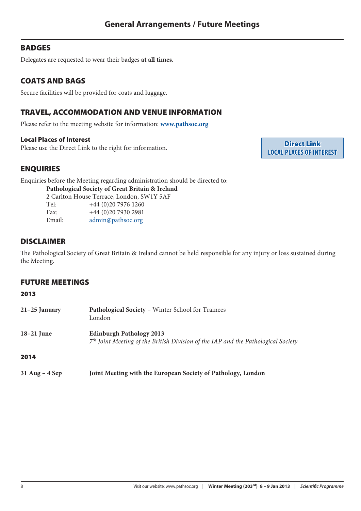### **BADGES**

Delegates are requested to wear their badges **at all times**.

### **COATS AND BAGS**

Secure facilities will be provided for coats and luggage.

### Travel, ACCOMMODATION and Venue Information

Please refer to the meeting website for information: **[www.pathsoc.org](http://www.pathsoc.org/index.php?option=com_events&task=view_detail&agid=16&year=2011&month=01&day=06&Itemid=1&catids=67)**

### Local Places of Interest

Please use the Direct Link to the right for information.

[Direct Link](http://www.utrecht.nl/smartsite.dws?id=13353) **LOCAL Places of Interest**

### **ENQUIRIES**

Enquiries before the Meeting regarding administration should be directed to:

**Pathological Society of Great Britain & Ireland**

2 Carlton House Terrace, London, SW1Y 5AF Tel: +44 (0)20 7976 1260 Fax: +44 (0)20 7930 2981 Email: [admin@pathsoc.org](mailto:admin%40pathsoc.org?subject=Sheffield%20Meeting%20%28July%202012%29)

### **DISCLAIMER**

The Pathological Society of Great Britain & Ireland cannot be held responsible for any injury or loss sustained during the Meeting.

### Future Meetings

### 2013

| $21-25$ January    | Pathological Society - Winter School for Trainees<br>London                                                            |
|--------------------|------------------------------------------------------------------------------------------------------------------------|
| $18-21$ June       | <b>Edinburgh Pathology 2013</b><br>$7th$ Joint Meeting of the British Division of the IAP and the Pathological Society |
| 2014               |                                                                                                                        |
| $31$ Aug – $4$ Sep | Joint Meeting with the European Society of Pathology, London                                                           |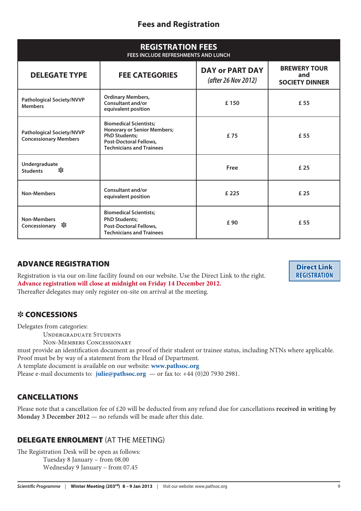### **Fees and Registration**

| <b>REGISTRATION FEES</b><br><b>FEES INCLUDE REFRESHMENTS AND LUNCH</b> |                                                                                                                                                                 |                                               |                                                     |
|------------------------------------------------------------------------|-----------------------------------------------------------------------------------------------------------------------------------------------------------------|-----------------------------------------------|-----------------------------------------------------|
| <b>DELEGATE TYPE</b>                                                   | <b>FEE CATEGORIES</b>                                                                                                                                           | <b>DAY or PART DAY</b><br>(after 26 Nov 2012) | <b>BREWERY TOUR</b><br>and<br><b>SOCIETY DINNER</b> |
| <b>Pathological Society/NVVP</b><br><b>Members</b>                     | <b>Ordinary Members,</b><br>Consultant and/or<br>equivalent position                                                                                            | £150                                          | £ 55                                                |
| <b>Pathological Society/NVVP</b><br><b>Concessionary Members</b>       | <b>Biomedical Scientists;</b><br><b>Honorary or Senior Members;</b><br><b>PhD Students;</b><br><b>Post-Doctoral Fellows,</b><br><b>Technicians and Trainees</b> | £75                                           | £ 55                                                |
| Undergraduate<br>⋇<br><b>Students</b>                                  |                                                                                                                                                                 | Free                                          | £ 25                                                |
| <b>Non-Members</b>                                                     | Consultant and/or<br>equivalent position                                                                                                                        | £ 225                                         | £ 25                                                |
| Non-Members<br>⋇<br>Concessionary                                      | <b>Biomedical Scientists;</b><br><b>PhD Students;</b><br>Post-Doctoral Fellows,<br><b>Technicians and Trainees</b>                                              | £ 90                                          | £ 55                                                |

### Advance Registration

Registration is via our on-line facility found on our website. Use the Direct Link to the right. **Advance registration will close at midnight on Friday 14 December 2012.**  Thereafter delegates may only register on-site on arrival at the meeting.

Direct Link **[Registration](https://www5.shocklogic.com/scripts/jmevent/Registration.asp?Client_Id=)**

**\* CONCESSIONS** 

Delegates from categories:

Undergraduate Students

Non-Members Concessionary

must provide an identification document as proof of their student or trainee status, including NTNs where applicable. Proof must be by way of a statement from the Head of Department.

A template document is available on our website: **[www.pathsoc.org](http://www.pathsoc.org)**

Please e-mail documents to: **[julie@pathsoc.org](mailto:julie%40pathsoc.org?subject=Concessions%20%28Winter%20Meeting%202013%29)** — or fax to: +44 (0)20 7930 2981.

### **CANCELLATIONS**

Please note that a cancellation fee of £20 will be deducted from any refund due for cancellations **received in writing by Monday 3 December 2012** — no refunds will be made after this date.

### **DELEGATE ENROLMENT** (AT THE MEETING)

The Registration Desk will be open as follows: Tuesday 8 January – from 08.00 Wednesday 9 January – from 07.45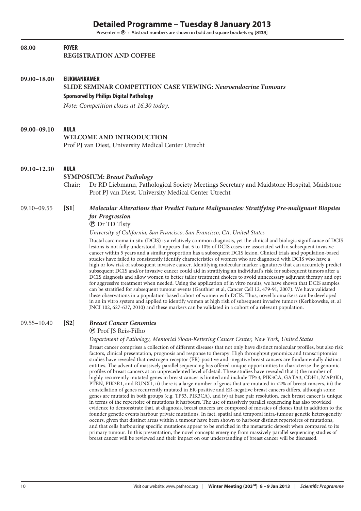Presenter =  $\circled{P}$  · Abstract numbers are shown in bold and square brackets eg [S123]

#### **08.00 Foyer REGISTRATION and COFFEE**

**09.00–18.00 Eijkmankamer SLIDE SEMINAR COMPETITION CASE VIEWING:** *Neuroendocrine Tumours* **Sponsored by Philips Digital Pathology**

 *Note: Competition closes at 16.30 today.*

## **09.00–09.10 AULA**

 **Welcome and Introduction**

Prof PJ van Diest, University Medical Center Utrecht

#### **09.10–12.30 AULA**

#### **Symposium:** *Breast Pathology*

 Chair: Dr RD Liebmann, Pathological Society Meetings Secretary and Maidstone Hospital, Maidstone Prof PJ van Diest, University Medical Center Utrecht

#### 09.10–09.55 [S1] *Molecular Alterations that Predict Future Malignancies: Stratifying Pre-malignant Biopsies for Progression*

P Dr TD Tlsty

*University of California, San Francisco, San Francisco, CA, United States*

Ductal carcinoma in situ (DCIS) is a relatively common diagnosis, yet the clinical and biologic significance of DCIS lesions is not fully understood. It appears that 5 to 10% of DCIS cases are associated with a subsequent invasive cancer within 5 years and a similar proportion has a subsequent DCIS lesion. Clinical trials and population-based studies have failed to consistently identify characteristics of women who are diagnosed with DCIS who have a high or low risk of subsequent invasive cancer. Identifying molecular marker signatures that can accurately predict subsequent DCIS and/or invasive cancer could aid in stratifying an individual's risk for subsequent tumors after a DCIS diagnosis and allow women to better tailor treatment choices to avoid unnecessary adjuvant therapy and opt for aggressive treatment when needed. Using the application of in vitro results, we have shown that DCIS samples can be stratified for subsequent tumour events (Gauthier et al, Cancer Cell 12, 479-91, 2007). We have validated these observations in a population-based cohort of women with DCIS. Thus, novel biomarkers can be developed in an in vitro system and applied to identify women at high risk of subsequent invasive tumors (Kerlikowske, et. al JNCI 102, 627-637, 2010) and these markers can be validated in a cohort of a relevant population.

#### 09.55–10.40 [S2] *Breast Cancer Genomics*

#### P Prof JS Reis-Filho

*Department of Pathology, Memorial Sloan-Kettering Cancer Center, New York, United States*

Breast cancer comprises a collection of different diseases that not only have distinct molecular profiles, but also risk factors, clinical presentation, prognosis and response to therapy. High throughput genomics and transcriptomics studies have revealed that oestrogen receptor (ER)-positive and -negative breast cancers are fundamentally distinct entities. The advent of massively parallel sequencing has offered unique opportunities to characterise the genomic profiles of breast cancers at an unprecedented level of detail. These studies have revealed that i) the number of highly recurrently mutated genes in breast cancer is limited and include TP53, PIK3CA, GATA3, CDH1, MAP3K1, PTEN, PIK3R1, and RUNX1, ii) there is a large number of genes that are mutated in <2% of breast cancers, iii) the constellation of genes recurrently mutated in ER-positive and ER-negative breast cancers differs, although some genes are mutated in both groups (e.g. TP53, PIK3CA), and iv) at base pair resolution, each breast cancer is unique in terms of the repertoire of mutations it harbours. The use of massively parallel sequencing has also provided evidence to demonstrate that, at diagnosis, breast cancers are composed of mosaics of clones that in addition to the founder genetic events harbour private mutations. In fact, spatial and temporal intra-tumour genetic heterogeneity occurs, given that distinct areas within a tumour have been shown to harbour distinct repertoires of mutations, and that cells harbouring specific mutations appear to be enriched in the metastatic deposit when compared to its primary tumour. In this presentation, the novel concepts emerging from massively parallel sequencing studies of breast cancer will be reviewed and their impact on our understanding of breast cancer will be discussed.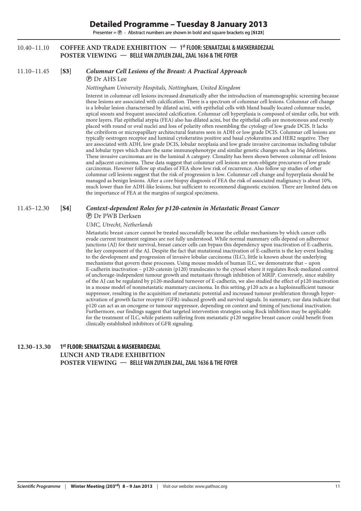Presenter =  $\circled{P}$  · Abstract numbers are shown in bold and square brackets eg [S123]

#### 10.40–11.10 **COFFEE and TRADE EXHIBITION — 1st Floor: Senaatzaal & Maskeradezaal POSTER VIEWING — Belle van Zuylen Zaal, Zaal 1636 & The Foyer**

#### 11.10–11.45 [S3] *Columnar Cell Lesions of the Breast: A Practical Approach* P Dr AHS Lee

#### *Nottingham University Hospitals, Nottingham, United Kingdom*

Interest in columnar cell lesions increased dramatically after the introduction of mammographic screening because these lesions are associated with calcification. There is a spectrum of columnar cell lesions. Columnar cell change is a lobular lesion characterised by dilated acini, with epithelial cells with bland basally located columnar nuclei, apical snouts and frequent associated calcification. Columnar cell hyperplasia is composed of similar cells, but with more layers. Flat epithelial atypia (FEA) also has dilated acini, but the epithelial cells are monotonous and evenly placed with round or oval nuclei and loss of polarity often resembling the cytology of low grade DCIS. It lacks the cribriform or micropapillary architectural features seen in ADH or low grade DCIS. Columnar cell lesions are typically oestrogen receptor and luminal cytokeratins positive and basal cytokeratins and HER2 negative. They are associated with ADH, low grade DCIS, lobular neoplasia and low grade invasive carcinomas including tubular and lobular types which share the same immunophenotype and similar genetic changes such as 16q deletions. These invasive carcinomas are in the luminal A category. Clonality has been shown between columnar cell lesions and adjacent carcinoma. These data suggest that columnar cell lesions are non-obligate precursors of low grade carcinomas. However follow up studies of FEA show low risk of recurrence. Also follow up studies of other columnar cell lesions suggest that the risk of progression is low. Columnar cell change and hyperplasia should be managed as benign lesions. After a core biopsy diagnosis of FEA the risk of associated malignancy is about 10%, much lower than for ADH-like lesions, but sufficient to recommend diagnostic excision. There are limited data on the importance of FEA at the margins of surgical specimens.

#### 11.45–12.30 [S4] *Context-dependent Roles for p120-catenin in Metastatic Breast Cancer*

#### P Dr PWB Derksen *UMC, Utrecht, Netherlands*

Metastatic breast cancer cannot be treated successfully because the cellular mechanisms by which cancer cells evade current treatment regimes are not fully understood. While normal mammary cells depend on adherence junctions (AJ) for their survival, breast cancer cells can bypass this dependency upon inactivation of E-cadherin, the key component of the AJ. Despite the fact that mutational inactivation of E-cadherin is the key event leading to the development and progression of invasive lobular carcinoma (ILC), little is known about the underlying mechanisms that govern these processes. Using mouse models of human ILC, we demonstrate that – upon E-cadherin inactivation – p120-catenin (p120) translocates to the cytosol where it regulates Rock-mediated control of anchorage-independent tumour growth and metastasis through inhibition of MRIP. Conversely, since stability of the AJ can be regulated by p120-mediated turnover of E-cadherin, we also studied the effect of p120 inactivation in a mouse model of nonmetastatic mammary carcinoma. In this setting, p120 acts as a haploinsufficient tumour suppressor, resulting in the acquisition of metastatic potential and increased tumour proliferation through hyperactivation of growth factor receptor (GFR)-induced growth and survival signals. In summary, our data indicate that p120 can act as an oncogene or tumour suppressor, depending on context and timing of junctional inactivation. Furthermore, our findings suggest that targeted intervention strategies using Rock inhibition may be applicable for the treatment of ILC, while patients suffering from metastatic p120 negative breast cancer could benefit from clinically established inhibitors of GFR signaling.

#### **12.30–13.30 1stFloor: Senaatszaal & Maskeradezaal LUNCH and TRADE EXHIBITION POSTER VIEWING — Belle van Zuylen Zaal, Zaal 1636 & The Foyer**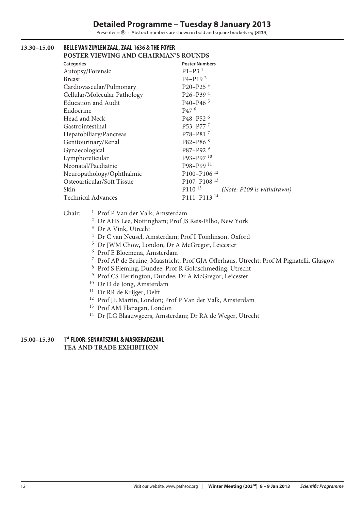Presenter =  $\overline{P}$  · Abstract numbers are shown in bold and square brackets eg [S123]

### **13.30–15.00 Belle van Zuylen Zaal, Zaal 1636 & The Foyer**

 **POSTER VIEWING AND CHAIRMAN'S ROUNDS**

| <b>Categories</b>            | <b>Poster Numbers</b>                           |
|------------------------------|-------------------------------------------------|
| Autopsy/Forensic             | $P1-P3$ <sup>1</sup>                            |
| <b>Breast</b>                | $P_4 - P_19^2$                                  |
| Cardiovascular/Pulmonary     | $P20-P253$                                      |
| Cellular/Molecular Pathology | P <sub>26</sub> -P <sub>39</sub> <sup>4</sup>   |
| <b>Education and Audit</b>   | P40-P46 <sup>5</sup>                            |
| Endocrine                    | P <sub>47</sub> <sup>6</sup>                    |
| Head and Neck                | P <sub>48</sub> -P <sub>52</sub> <sup>6</sup>   |
| Gastrointestinal             | P53-P777                                        |
| Hepatobiliary/Pancreas       | P78-P81 <sup>7</sup>                            |
| Genitourinary/Renal          | P82-P86 <sup>8</sup>                            |
| Gynaecological               | $P87-P929$                                      |
| Lymphoreticular              | P93-P97 <sup>10</sup>                           |
| Neonatal/Paediatric          | P98-P99 <sup>11</sup>                           |
| Neuropathology/Ophthalmic    | P100-P106 $^{12}$                               |
| Osteoarticular/Soft Tissue   | P107-P108 <sup>13</sup>                         |
| Skin                         | P110 <sup>13</sup><br>(Note: P109 is withdrawn) |
| Technical Advances           | P111-P113 <sup>14</sup>                         |

Chair: <sup>1</sup> Prof P Van der Valk, Amsterdam

- <sup>2</sup> Dr AHS Lee, Nottingham; Prof JS Reis-Filho, New York
- <sup>3</sup> Dr A Vink, Utrecht
- <sup>4</sup> Dr C van Neusel, Amsterdam; Prof I Tomlinson, Oxford
- <sup>5</sup> Dr JWM Chow, London; Dr A McGregor, Leicester
- <sup>6</sup> Prof E Bloemena, Amsterdam
- <sup>7</sup> Prof AP de Bruine, Maastricht; Prof GJA Offerhaus, Utrecht; Prof M Pignatelli, Glasgow
- <sup>8</sup> Prof S Fleming, Dundee; Prof R Goldschmeding, Utrecht
- <sup>9</sup> Prof CS Herrington, Dundee; Dr A McGregor, Leicester
- <sup>10</sup> Dr D de Jong, Amsterdam
- <sup>11</sup> Dr RR de Krijger, Delft
- <sup>12</sup> Prof JE Martin, London; Prof P Van der Valk, Amsterdam
- <sup>13</sup> Prof AM Flanagan, London
- <sup>14</sup> Dr JLG Blaauwgeers, Amsterdam; Dr RA de Weger, Utrecht

#### **15.00–15.30 1stFloor: Senaatszaal & Maskeradezaal Tea and TRADE EXHIBITION**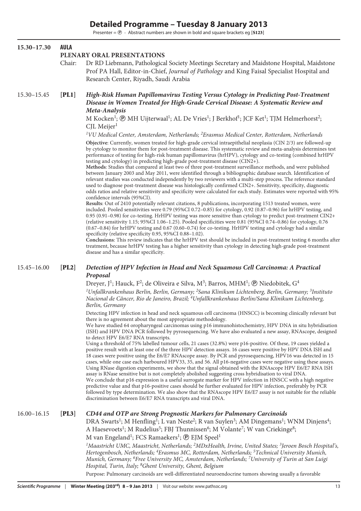Presenter =  $(P \cdot$  Abstract numbers are shown in bold and square brackets eg [S123]

#### **15.30–17.30 Aula**

#### **PLENARY ORAL PRESENTATIONS**

Chair: Dr RD Liebmann, Pathological Society Meetings Secretary and Maidstone Hospital, Maidstone Prof PA Hall, Editor-in-Chief, *Journal of Pathology* and King Faisal Specialist Hospital and Research Center, Riyadh, Saudi Arabia

#### 15.30–15.45 [PL1] *High-Risk Human Papillomavirus Testing Versus Cytology in Predicting Post-Treatment Disease in Women Treated for High-Grade Cervical Disease: A Systematic Review and Meta-Analysis*

M Kocken<sup>1</sup>; **@** MH Uijterwaal<sup>1</sup>; AL De Vries<sup>1</sup>; J Berkhof<sup>1</sup>; JCF Ket<sup>1</sup>; TJM Helmerhorst<sup>2</sup>;  $CIL$  Meijer<sup>1</sup>

*1VU Medical Center, Amsterdam, Netherlands; 2Erasmus Medical Center, Rotterdam, Netherlands*

**Objective**: Currently, women treated for high-grade cervical intraepithelial neoplasia (CIN 2/3) are followed-up by cytology to monitor them for post-treatment disease. This systematic review and meta-analysis determines test performance of testing for high-risk human papillomavirus (hrHPV), cytology and co-testing (combined hrHPV testing and cytology) in predicting high-grade post-treatment disease (CIN2+).

**Methods**: Studies that compared at least two of three post-treatment surveillance methods, and were published between January 2003 and May 2011, were identified through a bibliographic database search. Identification of relevant studies was conducted independently by two reviewers with a multi-step process. The reference standard used to diagnose post-treatment disease was histologically confirmed CIN2+. Sensitivity, specificity, diagnostic odds ratios and relative sensitivity and specificity were calculated for each study. Estimates were reported with 95% confidence intervals (95%CI).

**Results**: Out of 2410 potentially relevant citations, 8 publications, incorporating 1513 treated women, were included. Pooled sensitivities were 0.79 (95%CI 0.72–0.85) for cytology, 0.92 (0.87–0.96) for hrHPV testing, and 0.95 (0.91–0.98) for co-testing. HrHPV testing was more sensitive than cytology to predict post-treatment CIN2+ (relative sensitivity 1.15; 95%CI 1.06–1.25). Pooled specificities were 0.81 (95%CI 0.74–0.86) for cytology, 0.76  $(0.67-0.84)$  for hrHPV testing and  $0.67(0.60-0.74)$  for co-testing. HrHPV testing and cytology had a similar specificity (relative specificity 0.95, 95%CI 0.88–1.02).

**Conclusions**: This review indicates that the hrHPV test should be included in post-treatment testing 6 months after treatment, because hrHPV testing has a higher sensitivity than cytology in detecting high-grade post-treatment disease and has a similar specificity.

#### 15.45–16.00 [PL2] *Detection of HPV Infection in Head and Neck Squamous Cell Carcinoma: A Practical Proposal*

Dreyer, J<sup>1</sup>; Hauck, F<sup>2</sup>; de Oliveira e Silva, M<sup>3</sup>; Barros, MHM<sup>1</sup>;  $\bigcirc$  Niedobitek, G<sup>4</sup>

*1Unfallkrankenhaus Berlin, Berlin, Germany; 2Sana Klinikum Lichtenberg, Berlin, Germany; 3Instituto Nacional de Câncer, Rio de Janeiro, Brazil; 4Unfallkrankenhaus Berlin/Sana Klinikum Lichtenberg, Berlin, Germany*

Detecting HPV infection in head and neck squamous cell carcinoma (HNSCC) is becoming clinically relevant but there is no agreement about the most appropriate methodology.

We have studied 64 oropharyngeal carcinomas using p16 immunohistochemistry, HPV DNA in situ hybridisation (ISH) and HPV DNA PCR followed by pyrosequencing. We have also evaluated a new assay, RNAscope, designed to detect HPV E6/E7 RNA transcripts.

Using a threshold of 75% labelled tumour cells, 21 cases (32.8%) were p16-positive. Of these, 19 cases yielded a positive result with at least one of the three HPV detection assays. 16 cases were positive by HPV DNA ISH and 18 cases were positive using the E6/E7 RNAscope assay. By PCR and pyrosequencing, HPV16 was detected in 15 cases, while one case each harboured HPV33, 35, and 56. All p16-negative cases were negative using these assays. Using RNase digestion experiments, we show that the signal obtained with the RNAscope HPV E6/E7 RNA ISH assay is RNase sensitive but is not completely abolished suggesting cross hybridisation to viral DNA. We conclude that p16 expression is a useful surrogate marker for HPV infection in HNSCC with a high negative predictive value and that p16-positive cases should be further evaluated for HPV infection, preferably by PCR followed by type determination. We also show that the RNAscope HPV E6/E7 assay is not suitable for the reliable discrimination between E6/E7 RNA transcripts and viral DNA.

### 16.00–16.15 [PL3] *CD44 and OTP are Strong Prognostic Markers for Pulmonary Carcinoids*

DRA Swarts<sup>1</sup>; M Henfling<sup>1</sup>; L van Neste<sup>2</sup>; R van Suylen<sup>3</sup>; AM Dingemans<sup>1</sup>; WNM Dinjens<sup>4</sup>; A Haesevoets<sup>1</sup>; M Rudelius<sup>5</sup>; FBJ Thunnissen<sup>6</sup>; M Volante<sup>7</sup>; W van Criekinge<sup>8</sup>;

M van Engeland<sup>1</sup>; FCS Ramaekers<sup>1</sup>;  $\textcircled{P}$  EJM Speel<sup>1</sup>

*1Maastricht UMC, Maastricht, Netherlands; 2MDxHealth, Irvine, United States; 3Jeroen Bosch Hospital's, Hertogenbosch, Netherlands; 4Erasmus MC, Rotterdam, Netherlands; 5Technical University Munich, Munich, Germany; 6Free University MC, Amsterdam, Netherlands; 7University of Turin at San Luigi Hospital, Turin, Italy; 8Ghent University, Ghent, Belgium*

Purpose: Pulmonary carcinoids are well-differentiated neuroendocrine tumors showing usually a favorable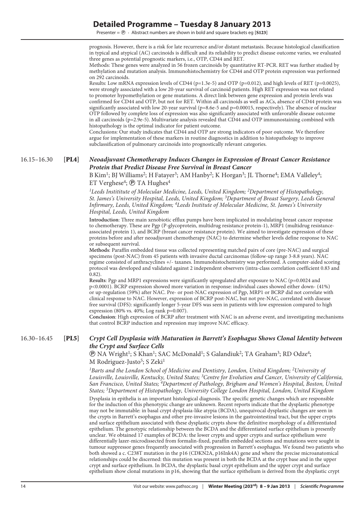Presenter =  $(P \cdot$  Abstract numbers are shown in bold and square brackets eg [S123]

prognosis. However, there is a risk for late recurrence and/or distant metastasis. Because histological classification in typical and atypical (AC) carcinoids is difficult and its reliability to predict disease outcome varies, we evaluated three genes as potential prognostic markers, i.e., OTP, CD44 and RET.

Methods: These genes were analyzed in 56 frozen carcinoids by quantitative RT-PCR. RET was further studied by methylation and mutation analysis. Immunohistochemistry for CD44 and OTP protein expression was performed on 292 carcinoids.

Results: Low mRNA expression levels of CD44 (p=1.3e-5) and OTP (p=0.012), and high levels of RET (p=0.0025), were strongly associated with a low 20-year survival of carcinoid patients. High RET expression was not related to promoter hypomethylation or gene mutations. A direct link between gene expression and protein levels was confirmed for CD44 and OTP, but not for RET. Within all carcinoids as well as ACs, absence of CD44 protein was significantly associated with low 20-year survival ( $p=8.6e-5$  and  $p=0.00015$ , respectively). The absence of nuclear OTP followed by complete loss of expression was also significantly associated with unfavorable disease outcome in all carcinoids (p=2.9e-5). Multivariate analysis revealed that CD44 and OTP immunostaining combined with histopathology is the optimal indicator for patient outcome.

Conclusions: Our study indicates that CD44 and OTP are strong indicators of poor outcome. We therefore argue for implementation of these markers in routine diagnostics in addition to histopathology to improve subclassification of pulmonary carcinoids into prognostically relevant categories.

#### 16.15–16.30 [PL4] *Neoadjuvant Chemotherapy Induces Changes in Expression of Breast Cancer Resistance Protein that Predict Disease Free Survival in Breast Cancer*

B Kim<sup>1</sup>; BJ Williams<sup>2</sup>; H Fatayer<sup>3</sup>; AM Hanby<sup>2</sup>; K Horgan<sup>3</sup>; JL Thorne<sup>4</sup>; EMA Valleley<sup>4</sup>; ET Verghese<sup>4</sup>;  $\circled{P}$  TA Hughes<sup>4</sup>

*1Leeds Instititute of Molecular Medicine, Leeds, United Kingdom; 2Department of Histopathology, St. James's University Hospital, Leeds, United Kingdom; 3Department of Breast Surgery, Leeds General Infirmary, Leeds, United Kingdom; 4Leeds Institute of Molecular Medicine, St. James's University Hospital, Leeds, United Kingdom*

**Introduction**: Three main xenobiotic efflux pumps have been implicated in modulating breast cancer response to chemotherapy. These are Pgp (P-glycoprotein, multidrug resistance protein-1), MRP1 (multidrug resistanceassociated protein 1), and BCRP (breast cancer resistance protein). We aimed to investigate expression of these proteins before and after neoadjuvant chemotherapy (NAC) to determine whether levels define response to NAC or subsequent survival.

**Methods**: Paraffin embedded tissue was collected representing matched pairs of core (pre-NAC) and surgical specimens (post-NAC) from 45 patients with invasive ductal carcinomas (follow-up range 3-8.8 years). NAC regime consisted of anthracyclines +/- taxanes. Immunohistochemistry was performed. A computer-aided scoring protocol was developed and validated against 2 independent observers (intra-class correlation coefficient 0.83 and  $(0.82)$ .

**Results**: Pgp and MRP1 expressions were significantly upregulated after exposure to NAC (p=0.0024 and p<0.0001). BCRP expression showed more variation in response: individual cases showed either down- (41%) or up-regulation (59%) after NAC. Pre- or post-NAC expression of Pgp, MRP1 or BCRP did not correlate with clinical response to NAC. However, expression of BCRP post-NAC, but not pre-NAC, correlated with disease free survival (DFS): significantly longer 5-year DFS was seen in patients with low expression compared to high expression (80% vs. 40%; Log rank p=0.007).

**Conclusion**: High expression of BCRP after treatment with NAC is an adverse event, and investigating mechanisms that control BCRP induction and repression may improve NAC efficacy.

#### 16.30–16.45 [PL5] *Crypt Cell Dysplasia with Maturation in Barrett's Esophagus Shows Clonal Identity between the Crypt and Surface Cells*

**P** NA Wright<sup>1</sup>; S Khan<sup>1</sup>; SAC McDonald<sup>1</sup>; S Galandiuk<sup>2</sup>; TA Graham<sup>3</sup>; RD Odze<sup>4</sup>; M Rodriguez-Justo<sup>5</sup>; S Zeki<sup>1</sup>

*1Barts and the London School of Medicine and Dentistry, London, United Kingdom; 2University of Louisville, Louisville, Kentucky, United States; 3Centre for Evolution and Cancer, University of California, San Francisco, United States; 4Department of Pathology, Brigham and Women's Hospital, Boston, United States; 5Department of Histopathology, University College London Hospital, London, United Kingdom*

Dysplasia in epithelia is an important histological diagnosis. The specific genetic changes which are responsible for the induction of this phenotypic change are unknown. Recent reports indicate that the dysplastic phenotype may not be immutable: in basal crypt dysplasia-like atypia (BCDA), unequivocal dysplastic changes are seen in the crypts in Barrett's esophagus and other pre-invasive lesions in the gastrointestinal tract, but the upper crypts and surface epithelium associated with these dysplastic crypts show the definitive morphology of a differentiated epithelium. The genotypic relationship between the BCDA and the differentiated surface epithelium is presently unclear. We obtained 17 examples of BCDA: the lower crypts and upper crypts and surface epithelium were differentially lazer-microdissected from formalin-fixed, paraffin embedded sections and mutations were sought in tumour suppressor genes frequently associated with progression in Barrett's esophagus. We found two patients who both showed a c. C238T mutation in the p16 (CDKN2A, p16Ink4A) gene and where the precise microanatomical relationships could be discerned: this mutation was present in both the BCDA at the crypt base and in the upper crypt and surface epithelium. In BCDA, the dysplastic basal crypt epithelium and the upper crypt and surface epithelium show clonal mutations in p16, showing that the surface epithelium is derived from the dysplastic crypt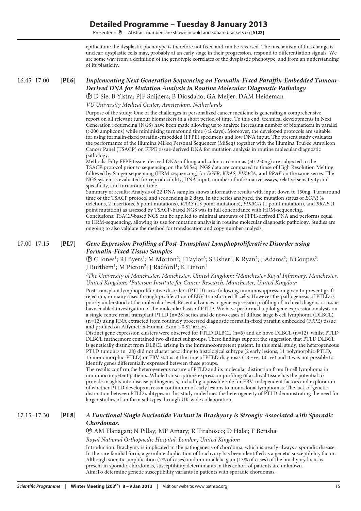Presenter =  $(P \cdot$  Abstract numbers are shown in bold and square brackets eg [S123]

epithelium: the dysplastic phenotype is therefore not fixed and can be reversed. The mechanism of this change is unclear: dysplastic cells may, probably at an early stage in their progression, respond to differentiation signals. We are some way from a definition of the genotypic correlates of the dysplastic phenotype, and from an understanding of its plasticity.

### 16.45–17.00 [PL6] *Implementing Next Generation Sequencing on Formalin-Fixed Paraffin-Embedded Tumour-Derived DNA for Mutation Analysis in Routine Molecular Diagnostic Pathology*

P D Sie; B Ylstra; PJF Snijders; B Diosdado; GA Meijer; DAM Heideman

*VU University Medical Center, Amsterdam, Netherlands*

Purpose of the study: One of the challenges in personalized cancer medicine is generating a comprehensive report on all relevant tumour biomarkers in a short period of time. To this end, technical developments in Next Generation Sequencing (NGS) have been made allowing us to analyze increasing number of biomarkers in parallel (>200 amplicons) while minimizing turnaround time (<2 days). Moreover, the developed protocols are suitable for using formalin-fixed paraffin-embedded (FFPE) specimens and low DNA input. The present study evaluates the performance of the Illumina MiSeq Personal Sequencer (MiSeq) together with the Illumina TruSeq Amplicon Cancer Panel (TSACP) on FFPE tissue-derived DNA for mutation analysis in routine molecular diagnostic pathology.

Methods: Fifty FFPE tissue–derived DNAs of lung and colon carcinomas (50-250ng) are subjected to the TSACP protocol prior to sequencing on the MiSeq. NGS data are compared to those of High Resolution Melting followed by Sanger sequencing (HRM-sequencing) for *EGFR, KRAS, PIK3CA*, and *BRAF* on the same series. The NGS system is evaluated for reproducibility, DNA input, number of informative assays, relative sensitivity and specificity, and turnaround time.

Summary of results: Analysis of 22 DNA samples shows informative results with input down to 150ng. Turnaround time of the TSACP protocol and sequencing is 2 days. In the series analyzed, the mutation status of *EGFR* (4 deletions, 2 insertions, 6 point mutations), *KRAS* (13 point mutations), *PIK3CA* (1 point mutation), and *BRAF* (1 point mutation) as assessed by TSACP-based NGS was in full concordance with HRM-sequencing. Conclusions: TSACP-based NGS can be applied to minimal amounts of FFPE-derived DNA and performs equal to HRM-sequencing, allowing its use for mutation analysis in routine molecular diagnostic pathology. Studies are ongoing to also validate the method for translocation and copy number analysis.

#### 17.00–17.15 [PL7] *Gene Expression Profiling of Post-Transplant Lymphoproliferative Disorder using Formalin-Fixed Tissue Samples*

 $\circledR$  C Jones<sup>1</sup>; RJ Byers<sup>1</sup>; M Morton<sup>2</sup>; J Taylor<sup>3</sup>; S Usher<sup>1</sup>; K Ryan<sup>2</sup>; J Adams<sup>2</sup>; B Coupes<sup>2</sup>; J Burthem<sup>1</sup>; M Picton<sup>2</sup>; J Radford<sup>1</sup>; K Linton<sup>1</sup>

*1The University of Manchester, Manchester, United Kingdom; 2Manchester Royal Infirmary, Manchester, United Kingdom; 3Paterson Institute for Cancer Research, Manchester, United Kingdom*

Post-transplant lymphoproliferative disorders (PTLD) arise following immunosuppression given to prevent graft rejection, in many cases through proliferation of EBV-transformed B-cells. However the pathogenesis of PTLD is poorly understood at the molecular level. Recent advances in gene expression profiling of archival diagnostic tissue have enabled investigation of the molecular basis of PTLD. We have performed a pilot gene expression analysis on a single centre renal transplant PTLD (n=28) series and de novo cases of diffuse large B cell lymphoma (DLBCL) (n=12) using RNA extracted from routinely processed diagnostic formalin-fixed paraffin embedded (FFPE) tissue and profiled on Affymetrix Human Exon 1.0 ST arrays.

Distinct gene expression clusters were observed for PTLD DLBCL (n=6) and de novo DLBCL (n=12), whilst PTLD DLBCL furthermore contained two distinct subgroups. These findings support the suggestion that PTLD DLBCL is genetically distinct from DLBCL arising in the immunocompetent patient. In this small study, the heterogeneous PTLD tumours (n=28) did not cluster according to histological subtype (2 early lesions, 11 polymorphic-PTLD, 15 monomorphic-PTLD) or EBV status at the time of PTLD diagnosis (18 +ve, 10 -ve) and it was not possible to identify genes differentially expressed between these groups.

The results confirm the heterogeneous nature of PTLD and its molecular distinction from B-cell lymphoma in immunocompetent patients. Whole transcriptome expression profiling of archival tissue has the potential to provide insights into disease pathogenesis, including a possible role for EBV-independent factors and exploration of whether PTLD develops across a continuum of early lesions to monoclonal lymphomas. The lack of genetic distinction between PTLD subtypes in this study underlines the heterogeneity of PTLD demonstrating the need for larger studies of uniform subtypes through UK wide collaboration.

### 17.15–17.30 [PL8] *A Functional Single Nucleotide Variant in Brachyury is Strongly Associated with Sporadic Chordomas.*

#### P AM Flanagan; N Pillay; MF Amary; R Tirabosco; D Halai; F Berisha

*Royal National Orthopaedic Hospital, London, United Kingdom*

Introduction: Brachyury is implicated in the pathogenesis of chordoma, which is nearly always a sporadic disease. In the rare familial form, a germline duplication of brachyury has been identified as a genetic susceptibility factor. Although somatic amplification (7% of cases) and minor allelic gain (13% of cases) of the brachyury locus is present in sporadic chordomas, susceptibility determinants in this cohort of patients are unknown. Aim:To determine genetic susceptibility variants in patients with sporadic chordomas.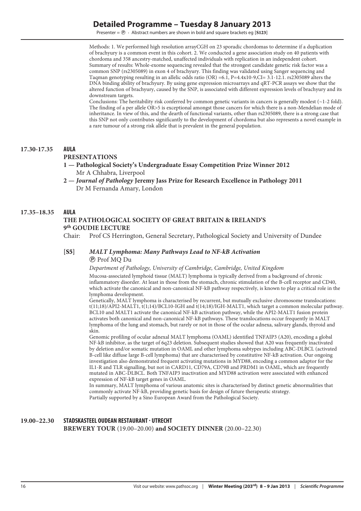Presenter =  $(P \cdot$  Abstract numbers are shown in bold and square brackets eg [S123]

Methods: 1. We performed high resolution arrayCGH on 23 sporadic chordomas to determine if a duplication of brachyury is a common event in this cohort. 2. We conducted a gene association study on 40 patients with chordoma and 358 ancestry-matched, unaffected individuals with replication in an independent cohort. Summary of results: Whole-exome sequencing revealed that the strongest candidate genetic risk factor was a common SNP (rs2305089) in exon 4 of brachyury. This finding was validated using Sanger sequencing and Taqman genotyping resulting in an allelic odds ratio (OR) =6.1, P=4.4x10-9,CI= 3.1-12.1. rs2305089 alters the DNA binding ability of brachyury. By using gene expression microarrays and qRT-PCR assays we show that the altered function of brachyury, caused by the SNP, is associated with different expression levels of brachyury and its downstream targets.

Conclusions: The heritability risk conferred by common genetic variants in cancers is generally modest (~1-2 fold). The finding of a per allele OR>5 is exceptional amongst those cancers for which there is a non-Mendelian mode of inheritance. In view of this, and the dearth of functional variants, other than rs2305089, there is a strong case that this SNP not only contributes significantly to the development of chordoma but also represents a novel example in a rare tumour of a strong risk allele that is prevalent in the general population.

#### **17.30-17.35 Aula**

#### **PRESENTATIONS**

- **1 Pathological Society's Undergraduate Essay Competition Prize Winner 2012** Mr A Chhabra, Liverpool
- **2** *Journal of Pathology* **Jeremy Jass Prize for Research Excellence in Pathology 2011** Dr M Fernanda Amary, London

#### **17.35–18.35 Aula**

#### **THE PATHOLOGICAL SOCIETY OF GREAT BRITAIN & IRELAND'S 9th GOUDIE LECTURE**

Chair: Prof CS Herrington, General Secretary, Pathological Society and University of Dundee

#### [S5] *MALT Lymphoma: Many Pathways Lead to NF-kB Activation* P Prof MQ Du

#### *Department of Pathology, University of Cambridge, Cambridge, United Kingdom*

Mucosa-associated lymphoid tissue (MALT) lymphoma is typically derived from a background of chronic inflammatory disorder. At least in those from the stomach, chronic stimulation of the B-cell receptor and CD40, which activate the canonical and non-canonical NF-kB pathway respectively, is known to play a critical role in the lymphoma development.

Genetically, MALT lymphoma is characterised by recurrent, but mutually exclusive chromosome translocations: t(11;18)/API2-MALT1, t(1;14)/BCL10-IGH and t(14;18)/IGH-MALT1, which target a common molecular pathway. BCL10 and MALT1 activate the canonical NF-kB activation pathway, while the API2-MALT1 fusion protein activates both canonical and non-canonical NF-kB pathways. These translocations occur frequently in MALT lymphoma of the lung and stomach, but rarely or not in those of the ocular adnexa, salivary glands, thyroid and skin.

Genomic profiling of ocular adnexal MALT lymphoma (OAML) identified TNFAIP3 (A20), encoding a global NF-kB inhibitor, as the target of 6q23 deletion. Subsequent studies showed that A20 was frequently inactivated by deletion and/or somatic mutation in OAML and other lymphoma subtypes including ABC-DLBCL (activated B-cell like diffuse large B-cell lymphoma) that are characterised by constitutive NF-kB activation. Our ongoing investigation also demonstrated frequent activating mutations in MYD88, encoding a common adaptor for the IL1-R and TLR signalling, but not in CARD11, CD79A, CD79B and PRDM1 in OAML, which are frequently mutated in ABC-DLBCL. Both TNFAIP3 inactivation and MYD88 activation were associated with enhanced expression of NF-kB target genes in OAML.

In summary, MALT lymphoma of various anatomic sites is characterised by distinct genetic abnormalities that commonly activate NF-kB, providing genetic basis for design of future therapeutic strategy. Partially supported by a Sino European Award from the Pathological Society.

#### **19.00–22.30 STADSKASTEEL Oudean Restaurant · Utrecht**

**Brewery Tour** (19.00–20.00) **and SOCIETY DINNER** (20.00–22.30)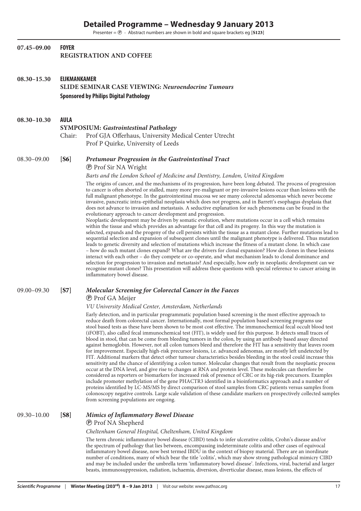### **Detailed Programme – Wednesday 9 January 2013**

Presenter =  $\circled{P}$  · Abstract numbers are shown in bold and square brackets eg [S123]

#### **07.45–09.00 Foyer REGISTRATION and COFFEE**

**08.30–15.30 Eijkmankamer SLIDE SEMINAR CASE VIEWING:** *Neuroendocrine Tumours* **Sponsored by Philips Digital Pathology**

#### **08.30–10.30 AULA Symposium:** *Gastrointestinal Pathology* Chair: Prof GJA Offerhaus, University Medical Center Utrecht Prof P Quirke, University of Leeds

#### 08.30–09.00 [S6] *Pretumour Progression in the Gastrointestinal Tract*  P Prof Sir NA Wright

*Barts and the London School of Medicine and Dentistry, London, United Kingdom*

The origins of cancer, and the mechanisms of its progression, have been long debated. The process of progression to cancer is often aborted or stalled, many more pre-malignant or pre-invasive lesions occur than lesions with the full malignant phenotype. In the gastrointestinal mucosa we see many colorectal adenomas which never become invasive, pancreatic intra-epithelial neoplasia which does not progress, and in Barrett's esophagus dysplasia that does not advance to invasion and metastasis. A seductive explanation for such phenomena can be found in the evolutionary approach to cancer development and progression.

Neoplastic development may be driven by somatic evolution, where mutations occur in a cell which remains within the tissue and which provides an advantage for that cell and its progeny. In this way the mutation is selected, expands and the progeny of the cell persists within the tissue as a mutant clone. Further mutations lead to sequential selection and expansion of subsequent clones until the malignant phenotype is delivered. Thus mutation leads to genetic diversity and selection of mutations which increase the fitness of a mutant clone. In which case – how do such mutant clones expand? What are the drivers for clonal expansion? How do clones in these lesions interact with each other – do they compete or co-operate, and what mechanism leads to clonal dominance and selection for progression to invasion and metastasis? And especially, how early in neoplastic development can we recognise mutant clones? This presentation will address these questions with special reference to cancer arising in inflammatory bowel disease.

#### 09.00–09.30 [S7] *Molecular Screening for Colorectal Cancer in the Faeces*

#### P Prof GA Meijer

#### *VU University Medical Center, Amsterdam, Netherlands*

Early detection, and in particular programmatic population based screening is the most effective approach to reduce death from colorectal cancer. Internationally, most formal population based screening programs use stool based tests as these have been shown to be most cost effective. The immunochemical fecal occult blood test (iFOBT), also called fecal immunochemical test (FIT), is widely used for this purpose. It detects small traces of blood in stool, that can be come from bleeding tumors in the colon, by using an antibody based assay directed against hemoglobin. However, not all colon tumors bleed and therefore the FIT has a sensitivity that leaves room for improvement. Especially high-risk precursor lesions, i.e. advanced adenomas, are mostly left undetected by FIT. Additional markers that detect other tumour characteristics besides bleeding in the stool could increase this sensitivity and the chance of identifying a colon tumor. Molecular changes that result from the neoplastic process occur at the DNA level, and give rise to changes at RNA and protein level. These molecules can therefore be considered as reporters or biomarkers for increased risk of presence of CRC or its hig-risk precursors. Examples include promoter methylation of the gene PHACTR3 identified in a bioinformatics approach and a number of proteins identified by LC-MS/MS by direct comparison of stool samples from CRC patients versus samples from colonoscopy negative controls. Large scale validation of these candidate markers on prospectively collected samples from screening populations are ongoing.

#### 09.30–10.00 [S8] *Mimics of Inflammatory Bowel Disease*

#### P Prof NA Shepherd

*Cheltenham General Hospital, Cheltenham, United Kingdom*

The term chronic inflammatory bowel disease (CIBD) tends to infer ulcerative colitis, Crohn's disease and/or the spectrum of pathology that lies between, encompassing indeterminate colitis and other cases of equivocal inflammatory bowel disease, now best termed IBDU in the context of biopsy material. There are an inordinate number of conditions, many of which bear the title 'colitis', which may show strong pathological mimicry CIBD and may be included under the umbrella term 'inflammatory bowel disease'. Infections, viral, bacterial and larger beasts, immunosuppression, radiation, ischaemia, diversion, diverticular disease, mass lesions, the effects of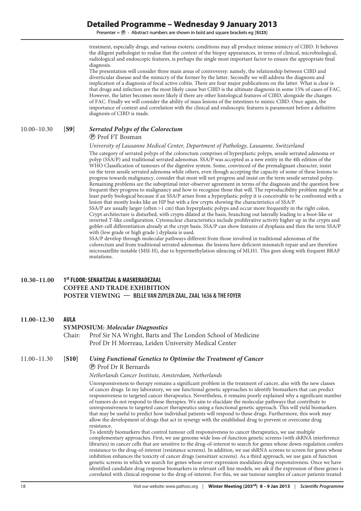### **Detailed Programme – Wednesday 9 January 2013**

Presenter =  $\circled{P}$  · Abstract numbers are shown in bold and square brackets eq [S123]

treatment, especially drugs, and various esoteric conditions may all produce intense mimicry of CIBD. It behoves the diligent pathologist to realise that the context of the biopsy appearances, in terms of clinical, microbiological, radiological and endoscopic features, is perhaps the single most important factor to ensure the appropriate final diagnosis.

The presentation will consider three main areas of controversy: namely, the relationship between CIBD and diverticular disease and the mimicry of the former by the latter. Secondly we will address the diagnosis and implication of a diagnosis of focal active colitis. There are four major publications on the latter. What is clear is that drugs and infection are the most likely cause but CIBD is the ultimate diagnosis in some 15% of cases of FAC. However, the latter becomes more likely if there are other histological features of CIBD, alongside the changes of FAC. Finally we will consider the ability of mass lesions of the intestines to mimic CIBD. Once again, the importance of context and correlation with the clinical and endoscopic features is paramount before a definitive diagnosis of CIBD is made.

#### 10.00–10.30 [S9] *Serrated Polyps of the Colorectum* P Prof FT Bosman

#### *University of Lausanne Medical Center, Department of Pathology, Lausanne, Switzerland*

The category of serrated polyps of the colorectum comprises of hyperplastic polyps, sessile serrated adenoma or polyp (SSA/P) and traditional serrated adenomas. SSA/P was accepted as a new entity in the 4th edition of the WHO Classification of tumours of the digestive system. Some, convinced of the premalignant character, insist on the term sessile serrated adenoma while others, even though accepting the capacity of some of these lesions to progress towards malignancy, consider that most will not progress and insist on the term sessile serrated polyp. Remaining problems are the suboptimal inter-observer agreement in terms of the diagnosis and the question how frequent they progress to malignancy and how to recognise those that will. The reproducibility problem might be at least partly biological because if an SSA/P arises from a hyperplastic polyp it is conceivable to be confronted with a lesion that mostly looks like an HP but with a few crypts showing the characteristics of SSA/P.

SSA/P are usually larger (often >1 cm) than hyperplastic polyps and occur more frequently in the right colon. Crypt architecture is disturbed, with crypts dilated at the basis, branching out laterally leading to a boot-like or inverted T-like configuration. Cytonuclear characteristics include proliferative activity higher up in the crypts and goblet-cell differentiation already at the crypt basis. SSA/P can show features of dysplasia and then the term SSA/P with (low grade or high grade ) dyplasia is used.

SSA/P develop through molecular pathways different from those involved in traditional adenomas of the colorectum and from traditional serrated adenomas. the lesions have deficient mismatch repair and are therefore microsatellite instable (MSI-H), due to hypermethylation silencing of MLH1. This goes along with frequent BRAF mutations.

#### **10.30–11.00 1stFloor: Senaatzaal & Maskeradezaal COFFEE and TRADE EXHIBITION POSTER VIEWING — Belle van Zuylen Zaal, Zaal 1636 & The Foyer**

#### **11.00–12.30 AULA**

#### **SYMPOSIUM:** *Molecular Diagnostics*

 Chair: Prof Sir NA Wright, Barts and The London School of Medicine Prof Dr H Morreau, Leiden University Medical Center

#### 11.00–11.30 [S10] *Using Functional Genetics to Optimise the Treatment of Cancer* P Prof Dr R Bernards

*Netherlands Cancer Institute, Amsterdam, Netherlands*

Unresponsiveness to therapy remains a significant problem in the treatment of cancer, also with the new classes of cancer drugs. In my laboratory, we use functional genetic approaches to identify biomarkers that can predict responsiveness to targeted cancer therapeutics. Nevertheless, it remains poorly explained why a significant number of tumors do not respond to these therapies. We aim to elucidate the molecular pathways that contribute to unresponsiveness to targeted cancer therapeutics using a functional genetic approach. This will yield biomarkers that may be useful to predict how individual patients will respond to these drugs. Furthermore, this work may allow the development of drugs that act in synergy with the established drug to prevent or overcome drug resistance.

To identify biomarkers that control tumour cell responsiveness to cancer therapeutics, we use multiple complementary approaches. First, we use genome wide loss-of-function genetic screens (with shRNA interference libraries) in cancer cells that are sensitive to the drug-of-interest to search for genes whose down-regulation confers resistance to the drug-of-interest (resistance screens). In addition, we use shRNA screens to screen for genes whose inhibition enhances the toxicity of cancer drugs (sensitizer screens). As a third approach, we use gain of function genetic screens in which we search for genes whose over-expression modulates drug responsiveness. Once we have identified candidate drug response biomarkers in relevant cell line models, we ask if the expression of these genes is correlated with clinical response to the drug-of-interest. For this, we use tumour samples of cancer patients treated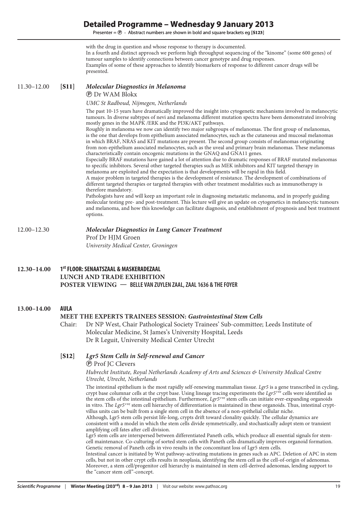### **Detailed Programme – Wednesday 9 January 2013**

Presenter =  $\circled{P}$  · Abstract numbers are shown in bold and square brackets eg [S123]

with the drug in question and whose response to therapy is documented. In a fourth and distinct approach we perform high throughput sequencing of the "kinome" (some 600 genes) of tumour samples to identify connections between cancer genotype and drug responses. Examples of some of these approaches to identify biomarkers of response to different cancer drugs will be presented.

#### 11.30–12.00 [S11] *Molecular Diagnostics in Melanoma* P Dr WAM Blokx

#### *UMC St Radboud, Nijmegen, Netherlands*

The past 10-15 years have dramatically improved the insight into cytogenetic mechanisms involved in melanocytic tumours. In diverse subtypes of nevi and melanoma different mutation spectra have been demonstrated involving mostly genes in the MAPK /ERK and the PI3K/AKT pathways.

Roughly in melanoma we now can identify two major subgroups of melanomas. The first group of melanomas, is the one that develops from epithelium associated melanocytes, such as the cutaneous and mucosal melanomas in which BRAF, NRAS and KIT mutations are present. The second group consists of melanomas originating from non-epithelium associated melanocytes, such as the uveal and primary brain melanomas. These melanomas characteristically contain oncogenic mutations in the GNAQ and GNA11 genes.

Especially BRAF mutations have gained a lot of attention due to dramatic responses of BRAF mutated melanomas to specific inhibitors. Several other targeted therapies such as MEK inhibitors and KIT targeted therapy in melanoma are exploited and the expectation is that developments will be rapid in this field.

A major problem in targeted therapies is the development of resistance. The development of combinations of different targeted therapies or targeted therapies with other treatment modalities such as immunotherapy is therefore mandatory.

Pathologists have and will keep an important role in diagnosing metastatic melanoma, and in properly guiding molecular testing pre- and post-treatment. This lecture will give an update on cytogenetics in melanocytic tumours and melanoma, and how this knowledge can facilitate diagnosis, and establishment of prognosis and best treatment options.

12.00–12.30 *Molecular Diagnostics in Lung Cancer Treatment* Prof Dr HJM Groen *University Medical Center, Groningen*

#### **12.30–14.00 1stFloor: Senaatszaal & Maskeradezaal LUNCH and TRADE EXHIBITION POSTER VIEWING — Belle van Zuylen Zaal, Zaal 1636 & The Foyer**

#### **13.00–14.00 AULA**

#### **MEET THE EXPERTS TRAINEES SESSION:** *Gastrointestinal Stem Cells*

 Chair: Dr NP West, Chair Pathological Society Trainees' Sub-committee; Leeds Institute of Molecular Medicine, St James's University Hospital, Leeds Dr R Leguit, University Medical Center Utrecht

#### [S12] *Lgr5 Stem Cells in Self-renewal and Cancer*

P Prof JC Clevers

#### *Hubrecht Institute, Royal Netherlands Academy of Arts and Sciences & University Medical Centre Utrecht, Utrecht, Netherlands*

The intestinal epithelium is the most rapidly self-renewing mammalian tissue. *Lgr5* is a gene transcribed in cycling, crypt base columnar cells at the crypt base. Using lineage tracing experiments the *Lgr5*+ve cells were identified as the stem cells of the intestinal epithelium. Furthermore, *Lgr5*+ve stem cells can initiate ever-expanding organoids in vitro. The *Lgr5*+ve stem cell hierarchy of differentiation is maintained in these organoids. Thus, intestinal cryptvillus units can be built from a single stem cell in the absence of a non-epithelial cellular niche. Although, Lgr5 stem cells persist life-long, crypts drift toward clonality quickly. The cellular dynamics are

consistent with a model in which the stem cells divide symmetrically, and stochastically adopt stem or transient amplifying cell fates after cell division.

Lgr5 stem cells are interspersed between differentiated Paneth cells, which produce all essential signals for stemcell maintenance. Co-culturing of sorted stem cells with Paneth cells dramatically improves organoid formation. Genetic removal of Paneth cells in vivo results in the concomitant loss of Lgr5 stem cells.

Intestinal cancer is initiated by Wnt pathway-activating mutations in genes such as APC. Deletion of APC in stem cells, but not in other crypt cells results in neoplasia, identifying the stem cell as the cell-of-origin of adenomas. Moreover, a stem cell/progenitor cell hierarchy is maintained in stem cell-derived adenomas, lending support to the "cancer stem cell"-concept.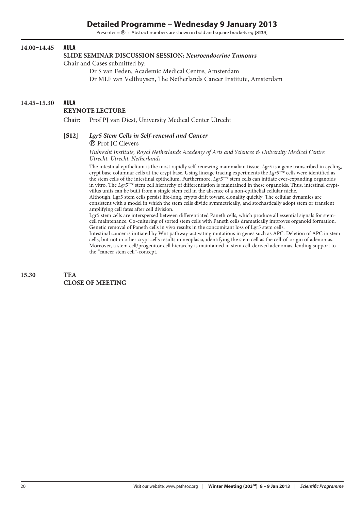Presenter =  $(P \cdot$  Abstract numbers are shown in bold and square brackets eq [**S123**]

#### **14.00–14.45 AULA**

#### **Slide Seminar Discussion Session:** *Neuroendocrine Tumours*

Chair and Cases submitted by:

Dr S van Eeden, Academic Medical Centre, Amsterdam

Dr MLF van Velthuysen, The Netherlands Cancer Institute, Amsterdam

#### **14.45–15.30 AULA**

#### **KEYNOTE LECTURE**

Chair: Prof PJ van Diest, University Medical Center Utrecht

#### [S12] *Lgr5 Stem Cells in Self-renewal and Cancer* P Prof JC Clevers

#### *Hubrecht Institute, Royal Netherlands Academy of Arts and Sciences & University Medical Centre Utrecht, Utrecht, Netherlands*

The intestinal epithelium is the most rapidly self-renewing mammalian tissue. *Lgr5* is a gene transcribed in cycling, crypt base columnar cells at the crypt base. Using lineage tracing experiments the *Lgr5*+ve cells were identified as the stem cells of the intestinal epithelium. Furthermore, *Lgr5*+ve stem cells can initiate ever-expanding organoids in vitro. The *Lgr5*+ve stem cell hierarchy of differentiation is maintained in these organoids. Thus, intestinal cryptvillus units can be built from a single stem cell in the absence of a non-epithelial cellular niche.

Although, Lgr5 stem cells persist life-long, crypts drift toward clonality quickly. The cellular dynamics are consistent with a model in which the stem cells divide symmetrically, and stochastically adopt stem or transient amplifying cell fates after cell division.

Lgr5 stem cells are interspersed between differentiated Paneth cells, which produce all essential signals for stemcell maintenance. Co-culturing of sorted stem cells with Paneth cells dramatically improves organoid formation. Genetic removal of Paneth cells in vivo results in the concomitant loss of Lgr5 stem cells.

Intestinal cancer is initiated by Wnt pathway-activating mutations in genes such as APC. Deletion of APC in stem cells, but not in other crypt cells results in neoplasia, identifying the stem cell as the cell-of-origin of adenomas. Moreover, a stem cell/progenitor cell hierarchy is maintained in stem cell-derived adenomas, lending support to the "cancer stem cell"-concept.

**15.30 Tea Close of Meeting**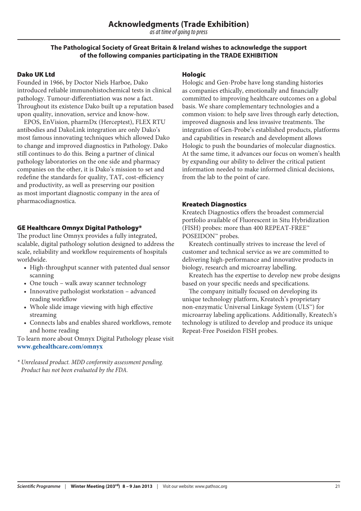*as at time of going to press*

### **The Pathological Society of Great Britain & Ireland wishes to acknowledge the support of the following companies participating in the TRADE EXHIBITION**

### Dako UK Ltd

Founded in 1966, by Doctor Niels Harboe, Dako introduced reliable immunohistochemical tests in clinical pathology. Tumour-differentiation was now a fact. Throughout its existence Dako built up a reputation based upon quality, innovation, service and know-how.

EPOS, EnVision, pharmDx (Herceptest), FLEX RTU antibodies and DakoLink integration are only Dako's most famous innovating techniques which allowed Dako to change and improved diagnostics in Pathology. Dako still continues to do this. Being a partner of clinical pathology laboratories on the one side and pharmacy companies on the other, it is Dako's mission to set and redefine the standards for quality, TAT, cost-efficiency and productivity, as well as preserving our position as most important diagnostic company in the area of pharmacodiagnostica.

### GE Healthcare Omnyx Digital Pathology\*

The product line Omnyx provides a fully integrated, scalable, digital pathology solution designed to address the scale, reliability and workflow requirements of hospitals worldwide.

- High-throughput scanner with patented dual sensor scanning
- One touch walk away scanner technology
- Innovative pathologist workstation advanced reading workflow
- Whole slide image viewing with high effective streaming
- Connects labs and enables shared workflows, remote and home reading

To learn more about Omnyx Digital Pathology please visit **[www.gehealthcare.com/omnyx](http://www.gehealthcare.com/omnyx)**

*\* Unreleased product. MDD conformity assessment pending. Product has not been evaluated by the FDA.*

#### Hologic

Hologic and Gen-Probe have long standing histories as companies ethically, emotionally and financially committed to improving healthcare outcomes on a global basis. We share complementary technologies and a common vision: to help save lives through early detection, improved diagnosis and less invasive treatments. The integration of Gen-Probe's established products, platforms and capabilities in research and development allows Hologic to push the boundaries of molecular diagnostics. At the same time, it advances our focus on women's health by expanding our ability to deliver the critical patient information needed to make informed clinical decisions, from the lab to the point of care.

### Kreatech Diagnostics

Kreatech Diagnostics offers the broadest commercial portfolio available of Fluorescent in Situ Hybridization (FISH) probes: more than 400 REPEAT-FREE™ POSEIDON™ probes.

Kreatech continually strives to increase the level of customer and technical service as we are committed to delivering high-performance and innovative products in biology, research and microarray labelling.

Kreatech has the expertise to develop new probe designs based on your specific needs and specifications.

The company initially focused on developing its unique technology platform, Kreatech's proprietary non-enzymatic Universal Linkage System (ULS™) for microarray labeling applications. Additionally, Kreatech's technology is utilized to develop and produce its unique Repeat-Free Poseidon FISH probes.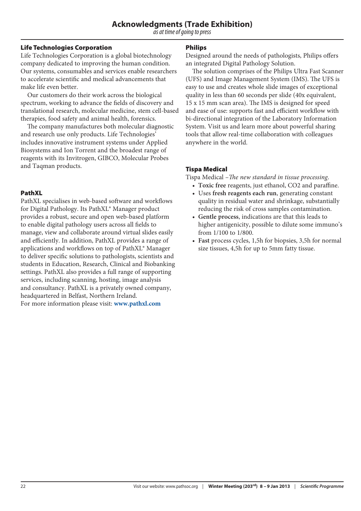*as at time of going to press*

#### Life Technologies Corporation

Life Technologies Corporation is a global biotechnology company dedicated to improving the human condition. Our systems, consumables and services enable researchers to accelerate scientific and medical advancements that make life even better.

Our customers do their work across the biological spectrum, working to advance the fields of discovery and translational research, molecular medicine, stem cell-based therapies, food safety and animal health, forensics.

The company manufactures both molecular diagnostic and research use only products. Life Technologies' includes innovative instrument systems under Applied Biosystems and Ion Torrent and the broadest range of reagents with its Invitrogen, GIBCO, Molecular Probes and Taqman products.

### PathXL

PathXL specialises in web-based software and workflows for Digital Pathology. Its PathXL® Manager product provides a robust, secure and open web-based platform to enable digital pathology users across all fields to manage, view and collaborate around virtual slides easily and efficiently. In addition, PathXL provides a range of applications and workflows on top of PathXL® Manager to deliver specific solutions to pathologists, scientists and students in Education, Research, Clinical and Biobanking settings. PathXL also provides a full range of supporting services, including scanning, hosting, image analysis and consultancy. PathXL is a privately owned company, headquartered in Belfast, Northern Ireland. For more information please visit: **[www.pathxl.com](http://www.pathxl.com)**

### Philips

Designed around the needs of pathologists, Philips offers an integrated Digital Pathology Solution.

The solution comprises of the Philips Ultra Fast Scanner (UFS) and Image Management System (IMS). The UFS is easy to use and creates whole slide images of exceptional quality in less than 60 seconds per slide (40x equivalent, 15 x 15 mm scan area). The IMS is designed for speed and ease of use: supports fast and efficient workflow with bi-directional integration of the Laboratory Information System. Visit us and learn more about powerful sharing tools that allow real-time collaboration with colleagues anywhere in the world.

### Tispa Medical

Tispa Medical –*The new standard in tissue processing*.

- **Toxic free** reagents, just ethanol, CO2 and paraffine.
- Uses **fresh reagents each run**, generating constant quality in residual water and shrinkage, substantially reducing the risk of cross samples contamination.
- **Gentle process**, indications are that this leads to higher antigenicity, possible to dilute some immuno's from 1/100 to 1/800.
- **Fast** process cycles, 1,5h for biopsies, 3,5h for normal size tissues, 4,5h for up to 5mm fatty tissue.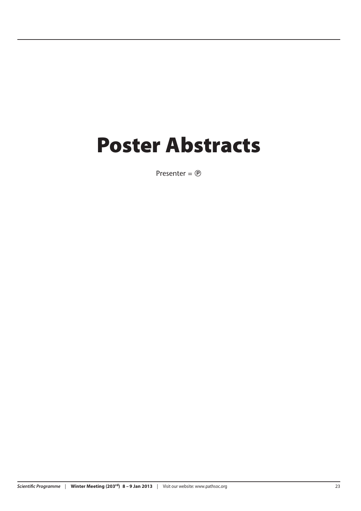# Poster Abstracts

Presenter =  $<sup>②</sup>$ </sup>

**Scientific Programme** | **Winter Meeting (203<sup>rd</sup>) 8 – 9 Jan 2013** | Visit our website: [www.pathsoc.org](http://www.pathsoc.org)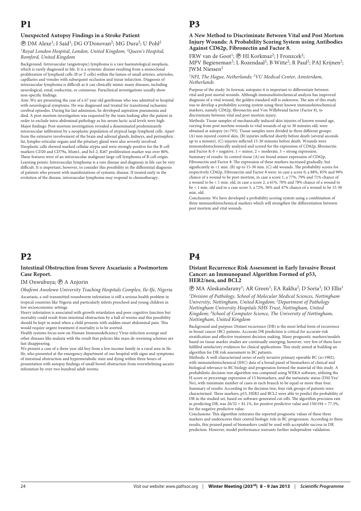#### **Unexpected Autopsy Findings in a Stroke Patient**

P DM Alexe1; I Said1; DG O'Donovan2; MG Dura2; U Pohl2 *1Royal London Hospital, London, United Kingdom; 2Queen's Hospital,* 

*Romford, United Kingdom* Background: Intravascular (angiotropic) lymphoma is a rare haematological neoplasia, which is rarely diagnosed in life. It is a systemic disease resulting from a monoclonal proliferation of lymphoid cells (B or T cells) within the lumen of small arteries, arterioles, capillaries and venules with subsequent occlusion and tissue infarction. Diagnosis of intravascular lymphoma is difficult as it can clinically mimic many diseases, including neurological, renal, endocrine, or cutaneous. Paraclinical investigations usually show non-specific findings.

Aim: We are presenting the case of a 67 year old gentleman who was admitted to hospital with neurological symptoms. He was diagnosed and treated for transitional ischaemic cerebral episodes. During his last admission, he developed aspiration pneumonia and died. A post-mortem investigation was requested by the team looking after the patient in order to exclude intra-abdominal pathology as his serum lactic acid levels were high. Major findings: Post-mortem investigation revealed a disseminated predominantly intravascular infiltration by a neoplastic population of atypical large lymphoid cells. Apart from the extensive involvement of the brain and adrenal glands, kidneys, and perinephric fat, lympho-reticular organs and the pituitary gland were also severely involved. Neoplastic cells showed marked cellular atypia and were strongly positive for the B-cell markers CD20 and CD79a, Mum1, and bcl-2. Ki67 proliferation marker was over 80%. These features were of an intravascular malignant large cell lymphoma of B-cell origin. Learning points: Intravascular lymphoma is a rare disease and diagnosis in life can be very difficult. It is important, however, to consider this possibility in the differential diagnosis of patients who present with manifestations of systemic disease. If treated early in the evolution of the disease, intravascular lymphoma may respond to chemotherapy.

## P3

#### **A New Method to Discriminate Between Vital and Post Mortem Injury Wounds: A Probability Scoring System using Antibodies Against CD62p, Fibronectin and Factor 8.**

FRW van de Goot<sup>1</sup>;  $\textcircled{P}$  HI Korkmaz<sup>2</sup>; J Fronzcek<sup>2</sup>; MPV Begieneman<sup>2</sup>; L Rozendaal<sup>2</sup>; B Witte<sup>2</sup>; R Paul<sup>2</sup>; PAJ Krijnen<sup>2</sup>; JWM Niessen<sup>2</sup>

*1NFI, The Hague, Netherlands; 2VU Medical Center, Amsterdam, Netherlands*

Purpose of the study: In forensic autopsies it is important to differentiate between vital and post mortal wounds. Although immunohistochemical analysis has improved diagnosis of a vital wound, the golden standard still is unknown. The aim of this study was to develop a probability scoring system using three known immunohistochemical markers, namely CD62p, fibronectin and Von Willebrand factor (Factor 8), to discriminate between vital and post mortem injury.

Methods: Tissue samples of mechanically induced skin injuries of known wound age, varying from post mortem wounds to vital wounds of up to 30 minutes old, were obtained at autopsy (n=793). Tissue samples were divided in three different groups: (A) non injured control skin, (B) injuries inflicted shortly before death (several seconds up to a minute), (C) injuries inflicted 15-30 minutes before death. Wounds were immunohistochemically analyzed and scored for the expression of CD62p, fibronectin and Factor 8;  $0 =$  negative,  $1 =$  minor,  $2 =$  moderate,  $3 =$  strong expression. Summary of results: In control tissue (A) we found minor expression of CD62p, Fibronectin and Factor 8. The expression of these markers increased gradually, but significantly in <1 min. (B) up to 15-30 min. (C) old wounds. The probability scores for respectively CD62p, Fibronectin and Factor 8 were: in case a score 0, a 88%, 85% and 99% chance of a wound to be post-mortem, in case a score 1, a 77%, 79% and 71% chance of a wound to be < 1 min. old, in case a score 2, a 61%, 70% and 78% chance of a wound to be < 1 min. old and in a case score 3, a 72%, 56% and 47% chance of a wound to be 15-30 min. old.

Conclusions: We have developed a probability scoring system using a combination of three immunohistochemical markers which will strengthen the differentiation between post mortem and vital wounds.

### P2

#### **Intestinal Obstruction from Severe Ascariasis: a Postmortem Case Report.**

#### IM Onwubuya;  $\textcircled{P}$  A Anjorin

*Obafemi Awolowo University Teaching Hospitals Complex, Ile-Ife, Nigeria* Ascariasis, a soil transmitted roundworm infestation is still a serious health problem in tropical countries like Nigeria and particularly infests preschool and young children in

low socioeconomic settings. Heavy infestation is associated with growth retardation and poor cognitive function but mortality could result from intestinal obstruction by a ball of worms and this possibility should be kept in mind when a child presents with sudden onset abdominal pain. This would require urgent treatment if mortality is to be averted.

Health systems focus now on Human Immunodeficiency Virus infection scourge and other diseases like malaria with the result that policies like mass de-worming schemes are fast disappearing.

We present a case of a three year old boy from a low income family in a rural area in Ile-Ife, who presented at the emergency department of our hospital with signs and symptoms of intestinal obstruction and hypermetabolic state and dying within three hours of presentation with autopsy findings of small bowel obstruction from overwhelming ascaris infestation by over two hundred adult worms.

### **P4**

#### **Distant Recurrence Risk Assessment in Early Invasive Breast Cancer: an Immunopanel Algorithm Formed of p53, HER2/neu, and BCL2**

P MA Aleskandarany1; AR Green1; EA Rakha2; D Soria3; IO Ellis1

*1Division of Pathology, School of Molecular Medical Sciences, Nottingham University, Nottingham, United Kingdom; 2Department of Pathology Nottingham University Hospitals NHS Trust, Nottingham, United Kingdom; 3School of Computer Science, The University of Nottingham, Nottingham, United Kingdom*

Background and purpose: Distant recurrence (DR) is the most lethal form of recurrence in breast cancer (BC) patients. Accurate DR prediction is critical for accurate risk stratification and effective treatment decision making. Many prognostic markers/models based on tissue marker studies are continually emerging; however, very few of them have fulfilled satisfactory evidences for clinical applications. This study aimed at building an algorithm for DR risk assessment in BC patients.

Methods: A well-characterised series of early invasive primary operable BC (n=1902), with immunohistochemical (IHC) data of a broad panel of biomarkers of clinical and biological relevance to BC biology and progression formed the material of this study. A probabilistic decision tree algorithm was computed using WEKA software, utilising the H-score or percentage expression of 15 biomarkers, and the metastatic status (DM Yes/ No), with minimum number of cases in each branch to be equal or more than four. Summary of results: According to the decision tree, four risk groups of patients were characterised. Three markers; p53, HER2 and BCL2 were able to predict the probability of DR in the studied set, based on software-generated cut-offs. The algorithm precision rate in predicting DR, was  $26/32 = 81.1\%$ , for positive predictive value and  $150/194 = 77.3\%$ , for the negative predictive value.

Conclusions: This algorithm reiterates the reported prognostic values of these three markers and underscores their central biologic role in BC progression. According to these results, this pruned panel of biomarkers could be used with acceptable success in DR prediction. However, model performance warrants further independent validation.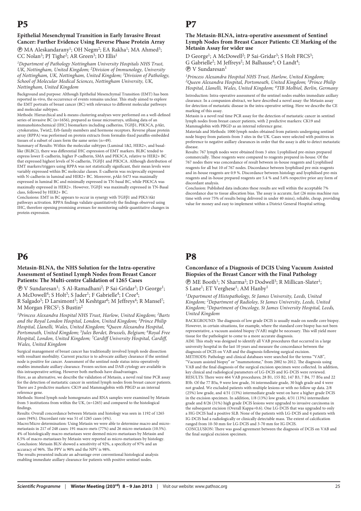#### **Epithelial Mesenchymal Transition in Early Invasive Breast Cancer: Further Evidence Using Reverse Phase Protein Array**

P MA Aleskandarany1; OH Negm2; EA Rakha1; MA Ahmed3; CC Nolan<sup>3</sup>; PJ Tighe<sup>2</sup>; AR Green<sup>3</sup>; IO Ellis<sup>1</sup>

*1Department of Pathology Nottingham University Hospitals NHS Trust, UK, Nottingham, United Kingdom; 2Division of Immunology, University of Nottingham, UK, Nottingham, United Kingdom; 3Division of Pathology, School of Molecular Medical Sciences, Nottingham University, UK, Nottingham, United Kingdom*

Background and purpose: Although Epithelial Mesenchymal Transition (EMT) has been reported in-vivo, the occurrence of events remains unclear. This study aimed to explore the EMT portraits of breast cancer (BC) with relevance to different molecular pathways and molecular subtypes.

Methods: Hierarchical and k-means clustering analyses were performed on a well-defined series of invasive BC (n=1656), prepared as tissue microarrays, utilising data of an immunohistochemical (IHC) biomarkers including cadherins, TGFβ1, PIK3CA, pAkt, cytokeratins, Twist2, Erb-family members and hormone receptors. Reverse phase protein array (RPPA) was performed on protein extracts from formalin-fixed paraffin-embedded tissues of a subset of cases form the same series (n=49).

Summary of Results: Within the molecular subtypes (Luminal 1&2, HER2+, and basallike (BLBC)), there was differential IHC expression of EMT markers. BLBC tended to express lower E-cadherin, higher P-cadherin, SMA and PIK3CA, relative to HER2+ BC that expressed highest levels of N-cadherin, TGFβ1 and PIK3CA. Although distribution of EMT markers/triggers using RPPA was not statistically significant, their mean levels were variably expressed within BC molecular classes. E-cadherin was reciprocally expressed with N-cadherin in luminal and HER2+ BC. Moreover, pAkt-S473 was maximally expressed in luminal BC and minimally expressed in TN-basal BC, while PIK3CA was maximally expressed in HER2+. However, TGFβ1 was maximally expressed in TN-Basal class, followed by HER2+ BC.

Conclusions: EMT in BC appears to occur in synergy with TGFβ1 and PIK3/Akt pathways activation. RPPA findings validate quantitatively the findings observed using IHC, therefore opening promising avenues for monitoring subtle quantitative changes in protein expression.

### P6

#### **Metasin-BLNA, the NHS Solution for the Intra-operative Assessment of Sentinel Lymph Nodes from Breast Cancer Patients: The Multi-centre Calidation of 1265 Cases**

P V Sundaresan1; S Al-Ramadhani2; P Sai-Gridar3; D George1; A McDowell<sup>4</sup>; S Holt<sup>3</sup>; S Jader<sup>1</sup>; F Gabrielle<sup>4</sup>; I Cree<sup>4</sup>; R Salgado<sup>5</sup>; D Larsimont<sup>5</sup>; M Keshtgar<sup>6</sup>; M Jeffreys<sup>4</sup>; R Mansel<sup>7</sup>; M Morgan FRCS<sup>1</sup>; S Bustin<sup>2</sup>

*1Princess Alexandra Hospital NHS Trust, Harlow, United Kingdom; 2Barts and the Royal London Hospital, London, United Kingdom; 3Prince Philip Hospital, Llanelli, Wales, United Kingdom; 4Queen Alexandra Hospital, Portsmouth, United Kingdom; 5Jules Bordet, Brussels, Belgium; 6Royal Free Hospital, London, United Kingdom; 7Cardiff University Hospital, Cardiff, Wales, United Kingdom*

Surgical management of breast cancer has traditionally involved lymph node dissection with resultant morbidity. Current practice is to advocate axillary clearance if the sentinel node is positive for cancer. Assessment of the sentinel node status intra-operatively enables immediate axillary clearance. Frozen section and DAB cytology are available in this intraoperative setting. However both methods have disadvantages.

Here, as an alternative, we describe the validation of Metasin, a novel real time PCR assay for the detection of metastatic cancer in sentinel lymph nodes from breast cancer patients. There are 2 predictive markers: CK19 and Mammaglobin with PBGD as an internal reference gene.

Methods: Stored lymph node homogenates and RNA samples were examined by Metasin from 5 institutions from within the UK, (n=1265) and compared to the histological findings.

Results: Overall concordance between Metasin and histology was seen in 1192 of 1265 cases (94%). Discordant rate was 51 of 1265 cases (4%).

Macro/Micro determination: Using Metasin we were able to determine macro and micrometastasis in 217 of 248 cases: 191 macro-mets (77%) and 26 micro-metastasis (10.5%). 4% of histologically macro-metastases were deemed micro-metastases by Metasin and 8.5% of macro-metastases by Metasin were reported as micro-metastases by histology. Conclusion: Metasin BLN showed a sensitivity of 92%, a specificity of 97% and an accuracy of 96%. The PPV is 90% and the NPV is 98%.

The results presented indicate an advantage over conventional histological analysis enabling immediate axillary clearance for patients with positive sentinel nodes.

## **P7**

#### **The Metasin-BLNA, intra-operative assessment of Sentinel Lymph Nodes from Breast Cancer Patients: CE Marking of the Metasin Assay for wider use**

D George<sup>1</sup>; A McDowell<sup>2</sup>; P Sai-Gridar<sup>3</sup>; S Holt FRCS<sup>3</sup>; G Gabrielle<sup>2</sup>; M Jeffreys<sup>2</sup>; M Balhause<sup>4</sup>; O Landt<sup>4</sup>;  $\textcircled{P}$  V Sundaresan<sup>1</sup>

*1Princess Alexandra Hospital NHS Trust, Harlow, United Kingdom; 2Queen Alexandra Hospital, Portsmouth, United Kingdom; 3Prince Philip Hospital, Llanelli, Wales, United Kingdom; 4TIB Molbiol, Berlin, Germany*

Introduction: Intra-operative assessment of the sentinel nodes enables immediate axillary clearance. In a companion abstract, we have described a novel assay: the Metasin assay for detection of metastatic disease in the intra-operative setting. Here we describe the CE marking of this assay.

Metasin is a novel real time PCR assay for the detection of metastatic cancer in sentinel lymph nodes from breast cancer patients, with 2 predictive markers: CK19 and Mammaglobin with PBGD as an internal reference gene.

Materials and Methods: 1000 lymph nodes obtained from patients undergoing sentinel node biopsy from patients from 3 sites in the UK. Cases were selected with positives in preference to negative axillary clearances in order that the assay is able to detect metastatic disease.

Results: 767 lymph nodes were obtained from 3 sites: Lyophilised pre-mixes prepared commercially. These reagents were compared to reagents prepared in-house. Of the 767 nodes there was concordance of result between in-house reagents and Lyophilised reagents for all but 10 of 767 nodes. Discordance between lyophilised pre-mix reagents and in-house reagents are 0.9 %. Discordance between histology and lyophilised pre-mix reagents and in-house prepared reagents are 5.4 % and 5.6% respective prior any form of discordant analysis.

Conclusion: Published data indicates these results are well within the acceptable 7% discordance due to tissue allocation bias. The assay is accurate, fast (26 mins machine run time with over 75% of results being delivered in under 40 mins), reliable, cheap, providing value for money and easy to implement within a District General Hospital setting.

### P8

#### **Concordance of a Diagnosis of DCIS Using Vacuum Assisted Biopsies of the Breast Cancer with the Final Pathology**

P ME Booth1; N Sharma2; D Dodwell3; R Millican-Slater1; S Lane<sup>1</sup>; ET Verghese<sup>1</sup>; AM Hanby<sup>1</sup>

<sup>1</sup>Department of Histopathology, St James University, Leeds, United *Kingdom; 2Department of Radioloy, St James University, Leeds, United Kingdom; 3Department of Oncology, St James University Hospital, Leeds, United Kingdom*

BACKGROUND: The diagnosis of low grade DCIS is usually made on needle core biopsy. However, in certain situations, for example, where the standard core biopsy has not been representative, a vacuum assisted biopsy (VAB) might be necessary. This will yield more tissue for the pathologist to come to a more accurate diagnosis.

AIM: This study was designed to identify all VAB procedures that occurred in a large university hospital in the last 10 years and measure the concordance between the diagnosis of DCIS on VAB and the diagnosis following surgical excision.

METHODS: Pathology and clinical databases were searched for the terms "VAB", "Vacuum assisted biopsy" or "mammotome," from 2002 to 2012. The diagnosis using VAB and the final diagnosis of the surgical excision specimen were collected. In addition, key clinical and radiological parameters of LG-DCIS and IG-DCIS were reviewed. RESULTS: There were 464 VAB procedures; 28 B1, 155 B2, 147 B3, 7 B4, 77 B5a and 22 B5b. Of the 77 B5a, 9 were low grade, 34 intermediate grade, 30 high grade and 4 were not graded. We excluded patients with multiple lesions or with no follow up data. 2/8 (25%) low grade, and 4/31 (13%) intermediate grade went on have a higher grade DCIS in the excision specimen. In addition, 1/8 (13%) low grade, 4/31 (13%) intermediate grade and 8/26 (31%) high grade DCIS lesions were upgraded to invasive carcinoma in the subsequent excision (Overall Kappa=0.6). One LG-DCIS that was upgraded to only a HG-DCIS had a positive SLB. None of the patients with LG-DCIS and 4 patients with IG-DCIS had a radiologically or clinically detectable mass. The extent of calcification ranged from 10-50 mm for LG-DCIS and 3-70 mm for IG-DCIS.

CONCLUSION: There was good agreement between the diagnosis of DCIS on VAB and the final surgical excision specimen.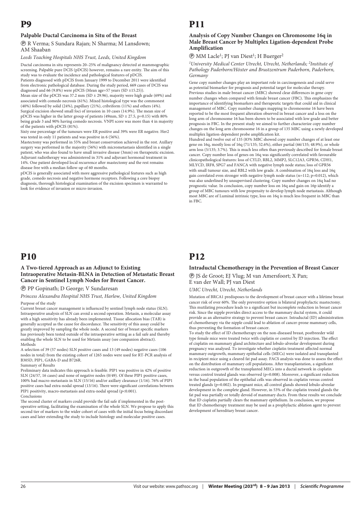### P9

#### **Palpable Ductal Carcinoma in Situ of the Breast**

P R Verma; S Sundara Rajan; N Sharma; M Lansdown; AM Shaaban

#### *Leeds Teaching Hospitals NHS Trust, Leeds, United Kingdom*

Ductal carcinoma in situ represents 20–25% of malignancy detected at mammographic screening. Palpable pure DCIS (pDCIS) however, remains a rare entity. The aim of this study was to evaluate the incidence and pathological features of pDCIS. Patients diagnosed with pDCIS from January 1999 to December 2011 were identified

from electronic pathological database. During the study period, 669 cases of DCIS was diagnosed and  $66$  (9.8%) were pDCIS (Mean age=57 years (SD  $\pm$ 15.25)).

Mean size of the pDCIS was  $37.2 \text{ mm (SD ± 29.96)}$ , majority were high grade (69%) and associated with comedo necrosis (61%). Mixed histological type was the commonest (40%) followed by solid (24%), papillary (21%), cribriform (11%) and others (4%). Surgical excision showed small foci of invasion in 10 cases (14.9%). The mean size of pDCIS was higher in the latter group of patients (49mm, SD ± 27.5, p=0.15) with 80% being grade 3 and 90% having comedo necrosis. VNPI score was more than 4 in majority of the patients with pDCIS (81%).

Sixty one percentage of the tumours were ER positive and 39% were ER negative. Her2 was tested in only 11 patients and was positive in 6 (56%).

Mastectomy was performed in 55% and breast conservation achieved in the rest. Axillary surgery was performed in the majority (56%) with micrometastasis identified in a single patient, who was also found to have small invasive disease (3mm) on therapeutic excision. Adjuvant radiotherapy was administered in 31% and adjuvant hormonal treatment in 14%. One patient developed local recurrence after mastectomy and the rest remains disease free with a median follow-up of 60 months.

pDCIS is generally associated with more aggressive pathological features such as high grade, comedo necrosis and negative hormone receptors. Following a core biopsy diagnosis, thorough histological examination of the excision specimen is warranted to look for evidence of invasion or micro-invasion.

### **P10**

#### **A Two-tiered Approach as an Adjunct to Existing Intraoperative Metasin-BLNA in Detection of Metastatic Breast Cancer in Sentinel Lymph Nodes for Breast Cancer.**

#### P PP Gopinath; D George; V Sundaresan

*Princess Alexandra Hospital NHS Trust, Harlow, United Kingdom* Purpose of the study

Current breast cancer management is influenced by sentinel lymph node status (SLN). Intraoperative analysis of SLN can avoid a second operation. Metasin, a molecular assay with a high sensitivity has already been implemented. Tissue allocation bias (TAB) is generally accepted as the cause for discordance. The sensitivity of this assay could be greatly improved by sampling the whole node. A second tier of breast specific markers has previously been tested outside of the intraoperative setting as a fail safe and thereby enabling the whole SLN to be used for Metasin assay (see companion abstract). Methods

A selection of 39 (57 nodes) SLN positive cases and 13 (49 nodes) negative cases (106 nodes in total) from the existing cohort of 1265 nodes were used for RT-PCR analysis of B305D, PIP1, GABA-D and B726R.

Summary of Results

Preliminary data indicates this approach is feasible. PIP1 was positive in 42% of positive SLN (24/57, 16 cases) and none of negative nodes (0/49). Of these PIP1 positive cases, 100% had macro-metastasis in SLN (15/16) and/or axillary clearance (1/16). 76% of PIP1 positive cases had extra-nodal spread (13/16). There were significant correlations between PIP1 positivity, macro-metastasis and extra-nodal spread (p<0.001). Conclusions

The second cluster of markers could provide the fail safe if implemented in the postoperative setting, facilitating the examination of the whole SLN. We propose to apply this second tier of markers to the wider cohort of cases with the initial focus being discordant cases and later extending the study to include histology and molecular positive cases.

### P11

#### **Analysis of Copy Number Changes on Chromosome 16q in Male Breast Cancer by Multiplex Ligation-dependent Probe Amplification**

 $\textcircled{P}$  MM Lacle<sup>1</sup>; PJ van Diest<sup>1</sup>; H Buerger<sup>2</sup>

*1University Medical Center Utrecht, Utrecht, Netherlands; 2Institute of Pathology Paderborn/Höxter and Brustzentrum Paderborn, Paderborn, Germany*

Gene copy number changes play an important role in carcinogenesis and could serve as potential biomarker for prognosis and potential target for molecular therapy. Previous studies in male breast cancer (MBC) showed clear differences in gene copy number changes when compared with female breast cancer (FBC). This emphasizes the importance of identifying biomarkers and therapeutic targets that could aid in clinical management of MBC. Copy number changes mapping to chromosome 16 have been reported to be the most frequent alteration observed in breast cancer and a loss on the long arm of chromosome 16 has been shown to be associated with low grade and better prognosis in FBC. In the present study we aimed to further characterize copy number changes on the long arm chromosome 16 in a group of 135 MBC using a newly developed multiplex ligation-dependent probe amplification kit.

Hundred and twelve out of 135 (83% MBC showed copy number changes of at least one gene on 16q, mostly loss of 16q (71/135; 52.6%), either partial (66/135; 48.9%), or whole arm loss (5/135; 3.7%). This is much less often than previously described for female breast cancer. Copy number loss of genes on 16q was significantly correlated with favourable clinicopathological features: loss of CYLD, RBL2, MMP2, SLC12A3, GPR56, CDH1, MLYCD, IRF8, SPG7 and FANCA with negative lymph node status; loss of GPR56 with small tumour size, and RBL2 with low grade. A combination of 16q loss and 16q gain correlated even stronger with negative lymph node status (n=112;  $p=0.012$ ), which was also underlined by unsupervised clustering. Copy number changes on 16q had no prognostic value. In conclusion, copy number loss on 16q and gain on 16p identify a group of MBC tumours with low propensity to develop lymph node metastasis. Although most MBC are of Luminal intrinsic type, loss on 16q is much less frequent in MBC than in FBC.

### P12

#### **Intraductal Chemotherapy in the Prevention of Breast Cancer**

P JS de Groot; EJ Vlug; M van Amersfoort; X Pan; E van der Wall; PJ van Diest

#### *UMC Utrecht, Utrecht, Netherlands*

Mutation of BRCA1 predisposes to the development of breast cancer with a lifetime breast cancer risk of over 60%. The only preventive option is bilateral prophylactic mastectomy. This mutilating procedure leads to a significant but incomplete reduction in breast cancer risk. Since the nipple provides direct access to the mammary ductal system, it could provide as an alternative strategy to prevent breast cancer. Intraductal (ID) administration of chemotherapy via the nipple could lead to ablation of cancer-prone mammary cells, thus preventing the formation of breast cancer.

To study the effect of ID chemotherapy on the non-diseased breast, postbreeder wild type female mice were treated twice with cisplatin or control by ID injection. The effect of cisplatin on mammary gland architecture and lobulo-alveolar development during pregnancy was analysed. To investigate whether cisplatin treatment affected normal mammary outgrowth, mammary epithelial cells (MECs) were isolated and transplanted in recipient mice using a cleared fat pad assay. FACS analysis was done to assess the effect on the distribution of mammary cell populations. After transplantation, a significant reduction in outgrowth of the transplanted MECs into a ductal network in cisplatin versus control treated glands was observed (p=0.008). Moreover, a significant reduction in the basal population of the epithelial cells was observed in cisplatin versus control treated glands (p=0.002). In pregnant mice, all control glands showed lobulo-alveolar development in the complete gland. However, in 53% of the cisplatin treated glands the fat pad was partially or totally devoid of mammary ducts. From these results we conclude that ID cisplatin partially clears the mammary epithelium. In conclusion, we propose that ID chemotherapy treatment may be used as a prophylactic ablation agent to prevent development of hereditary breast cancer.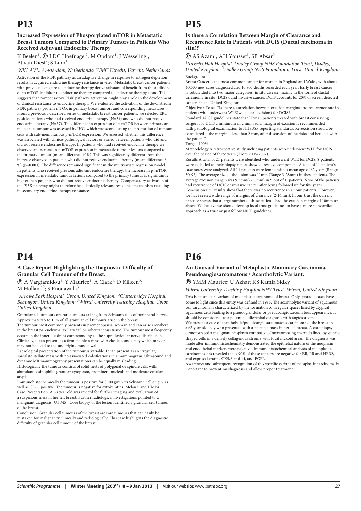#### **Increased Expression of Phosporylated mTOR in Metastatic Breast Tumors Compared to Primary Tumors in Patients Who Received Adjuvant Endocrine Therapy**

K Beelen<sup>1</sup>;  $\textcircled{P}$  LDC Hoefnagel<sup>2</sup>; M Opdam<sup>1</sup>; J Wesseling<sup>1</sup>; PJ van Diest<sup>2</sup>; S Linn<sup>1</sup>

#### *1NKI-AVL, Amsterdam, Netherlands; 2UMC Utrecht, Utrecht, Netherlands*

Activation of the PI3K pathway as an adaptive change in response to estrogen depletion results in acquired endocrine therapy resistance in vitro. Metastatic breast cancer patients with previous exposure to endocrine therapy derive substantial benefit from the addition of an mTOR inhibitor to endocrine therapy compared to endocrine therapy alone. This suggests that compensatory PI3K pathway activation might play a role in the development of clinical resistance to endocrine therapy. We evaluated the activation of the downstream PI3K pathway protein mTOR in primary breast tumors and corresponding metastases. From a previously described series of metastatic breast cancer patients, we selected ERα positive patients who had received endocrine therapy (N=34) and who did not receive endocrine therapy (N=37). The difference in expression of p-mTOR between primary and metastatic tumour was assessed by IHC, which was scored using the proportion of tumour cells with sub-membranous p-mTOR expression. We assessed whether this difference was associated with clinico-pathological factors or varied between patients who did and did not receive endocrine therapy. In patients who had received endocrine therapy we observed an increase in p-mTOR expression in metastatic tumour lesions compared to the primary tumour (mean difference 40%). This was significantly different from the increase observed in patients who did not receive endocrine therapy (mean difference 6 %) (p=0.003). The difference remained significant in the multivariate regression model. In patients who received previous adjuvant endocrine therapy, the increase in p-mTOR expression in metastatic tumour lesions compared to the primary tumour is significantly higher than patients who did not receive endocrine therapy. Compensatory activation of the PI3K pathway might therefore be a clinically relevant resistance mechanism resulting in secondary endocrine therapy resistance.

### P14

#### **A Case Report Highlighting the Diagnostic Difficulty of Granular Cell Tumour of the Breast.**

 $\textcircled{P}$  A Vargiamidou<sup>1</sup>; Y Maurice<sup>1</sup>; A Clark<sup>1</sup>; D Killeen<sup>2</sup>; M Holland<sup>2</sup>; S Poonawala<sup>3</sup>

*1Arrowe Park Hospital, Upton, United Kingdom; 2Clatterbridge Hospital, Bebington, United Kingdom; 3Wirral University Teaching Hospital, Upton, United Kingdom*

Granular cell tumours are rare tumours arising from Schwann cells of peripheral nerves. Approximately 5 to 15% of all granular cell tumours arise in the breast.

The tumour most commonly presents in premenopausal woman and can arise anywhere in the breast parenchyma, axillary tail or subcutaneous tissue. The tumour most frequently occurs in the inner quadrant corresponding to the supraclavicular nerve distribution. Clinically, it can present as a firm, painless mass with elastic consistency which may or may not be fixed to the underlying muscle wall.

Radiological presentation of the tumour is variable. It can present as an irregular, spiculate stellate mass with no associated calcifications in a mammogram. Ultrasound and dynamic MR mammography presentations can be equally misleading. Histologically the tumour consists of solid nests of polygonal or spindle cells with abundant eosinophilic granular cytoplasm, prominent nucleoli and moderate cellular

atypia. Immunohistochemically the tumour is positive for S100 given its Schwann cell origin. as well as CD68 positive. The tumour is negative for cytokeratins, MelanA and HMB45. Case Presentation: A 53 year old was invited for further imaging and evaluation of a suspicious mass in her left breast. Further radiological investigations pointed to a malignant diagnosis (U5 M5). Core biopsy of the lesion identified a granular cell tumour of the breast.

Conclusion: Granular cell tumours of the breast are rare tumours that can easily be mistaken for malignancy clinically and radiologically. This case highlights the diagnostic difficulty of granular cell tumour of the breast.

### **P15**

#### **Is there a Correlation Between Margin of Clearance and Recurrence Rate in Patients with DCIS (Ductal carcinoma in situ)?**

#### $\textcircled{P}$  AS Azam<sup>1</sup>; AH Youssef<sup>1</sup>; SB Absar<sup>2</sup>

*1Russells Hall Hospital, Dudley Group NHS Foundation Trust, Dudley, United Kingdom; 2Dudley Group NHS Foundation Trust, United Kingdom* Background:

Breast Cancer is the most common cancer for women in England and Wales, with about 40,500 new cases diagnosed and 10,900 deaths recorded each year. Early breast cancer is subdivided into two major categories, in situ disease, mainly in the form of ductal carcinoma in situ (DCIS), and invasive cancer. DCIS accounts for 20% of screen detected cancers in the United Kingdom.

Objectives: To see "Is there a correlation between excision margins and recurrence rate in patients who underwent WLE(wide local excision) for DCIS?

Standard: NICE guidelines state that "For all patients treated with breast conserving surgery for DCIS a minimum of 2 mm radial margin of excision is recommended with pathological examination to NHSBSP reporting standards. Re-excision should be considered if the margin is less than 2 mm, after discussion of the risks and benefits with the patient"

Target: 100%

Methodology:A retrospective study including patients who underwent WLE for DCIS over the period of three years (From 2005-2007).

Results:A total of 21 patients were identified who underwent WLE for DCIS. 8 patients were excluded as their biopsy report showed invasive component. A total of 11 patient's case notes were analyzed. All 11 patients were female with a mean age of 62 years (Range 50-92). The average size of the lesion was 11mm (Range 3-28mm) in these patients. The average excision margin was 9.3mm(2-16mm) in 9 out of 11patients. None of the patients had recurrence of DCIS or invasive cancer after being followed up for five years. Conclusion:Our results show that there was no recurrence in all our patients. However, we have seen a wide range of margins of clearance (2-16mm). In our trust the current practice shows that a large number of these patients had the excision margin of 10mm or above. We believe we should develop local trust guidelines to have a more standardized approach as a trust or just follow NICE guidelines.

### P16

#### **An Unusual Variant of Metaplastic Mammary Carcinoma, Pseudoangiosarcomatous / Acantholytic Variant.**

#### P YMM Maurice; U Azhar; KS Kamla Sidky

*Wirral University Teaching Hospital NHS Trust, Wirral, United Kingdom* This is an unusual variant of metaplastic carcinoma of breast. Only sporadic cases have come to light since this entity was defined in 1986. The acantholytic variant of squamous cell carcinoma is characterized by the formation of irregular spaces lined by atypical squamous cells leading to a pseudoglandular or pseudoangiosarcomatous appearance. It should be considered as a potential differential diagnosis with angiosarcoma. We present a case of acantholytic/pseudoangiosarcomatous carcinoma of the breast in a 65 year old lady who presented with a palpable mass in her left breast. A core biopsy demonstrated a malignant neoplasm composed of anastomosing channels lined by spindle shaped cells in a densely collagenous stroma with focal myxoid areas. The diagnosis was made after immunohistochemistry demonstrated the epithelial nature of the neoplasm and endothelial markers were negative. Immunohistochemical analysis of metaplastic carcinomas has revealed that >90% of these cancers are negative for ER, PR and HER2, and express keratins CK5/6 and 14, and EGFR.

Awareness and subsequent recognition of this specific variant of metaplastic carcinoma is important to prevent misdiagnosis and allow proper treatment.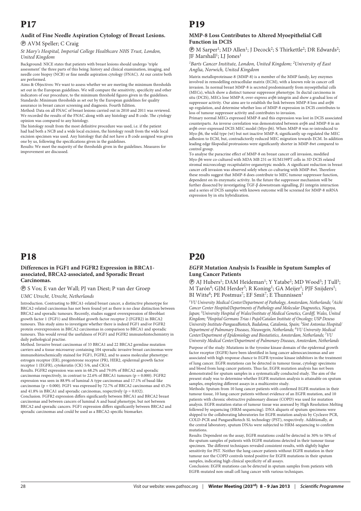### **Audit of Fine Needle Aspiration Cytology of Breast Lesions.**

P AVM Speller; C Craig

*St Mary's Hospital, Imperial College Healthcare NHS Trust, London, United Kingdom*

Background: NICE states that patients with breast lesions should undergo 'triple assessment' the three parts of this being: history and clinical examination, imaging, and needle core biopsy (NCB) or fine needle aspiration cytology (FNAC). At our centre both are performed.

Aims & Objectives: We want to assess whether we are meeting the minimum thresholds set out in the European guidelines. We will compare the sensitivity, specificity and other indicators of our procedure, to the minimum threshold figures given in the guidelines. Standards: Minimum thresholds as set out by the European guidelines for quality assurance in breast cancer screening and diagnosis. Fourth Edition.

Method: Data on all FNAC of breast lesions carried out in 2010 and 2011 was reviewed. We recorded the results of the FNAC along with any histology and B code. The cytology opinion was compared to any histology.

The histology result from the most definitive procedure was used, i.e. if the patient had had both a NCB and a wide local excision, the histology result from the wide local excision specimen was used. Any histology that did not have a B code assigned was given one by us, following the specifications given in the guidelines.

Results: We meet the majority of the thresholds given in the guidelines. Measures for improvement are discussed.

# P19

#### **MMP-8 Loss Contributes to Altered Myoepithelial Cell Function in DCIS**

 $\textcircled{P}$  M Sarper<sup>1</sup>; MD Allen<sup>1</sup>; J Decock<sup>2</sup>; S Thirkettle<sup>2</sup>; DR Edwards<sup>2</sup>; IF Marshall<sup>1</sup>; LJ Jones<sup>1</sup>

*1Barts Cancer Institute, London, United Kingdom; 2University of East Anglia, Norwich, United Kingdom*

Matrix metalloproteinase-8 (MMP-8) is a member of the MMP family, key enzymes involved in remodelling extracellular matrix (ECM), with a known role in cancer cell invasion. In normal breast MMP-8 is secreted predominantly from myoepithelial cells (MECs), which show a distinct tumour suppressor phenotype. In ductal carcinoma in situ (DCIS), MECs lose MMP-8, over-express αvβ6 integrin and show a gradual loss of suppressor activity. Our aims are to establish the link between MMP-8 loss and αvβ6 up-regulation, and determine whether loss of MMP-8 expression in DCIS contributes to loss of tumour suppressor activity and contributes to invasion.

Primary normal MECs expressed MMP-8 and this expression was lost in DCIS associated counterparts. An inverse correlation was demonstrated between αvβ6 and MMP-8 in an αvβ6 over-expressed DCIS MEC model (Myo-β6). When MMP-8 was re-introduced to Myo-β6, the wild type (wt) but not inactive MMP-8, significantly up-regulated the MEC adhesion to ECM, but, contradictorily reduced MEC migration towards ECM. In addition leading edge filopodial protrusions were significantly shorter in MMP-8wt compared to control group.

To analyse the paracrine effect of MMP-8 on breast cancer cell invasion, modified Myo-β6 were co-cultured with MDA MB 231 or SUM159PT cells in 3D DCIS related stromal microecology recapitulative organotypic models. A significant reduction in breast cancer cell invasion was observed solely when co-culturing with MMP-8wt. Therefore these results suggest that MMP-8 does contribute to MEC tumour suppressor function, dependent on its enzymatic activity. In the future the suppressor mechanism will be further dissected by investigating TGF-β downstream signalling, β1 integrin interaction and a series of DCIS samples with known outcome will be screened for MMP-8 mRNA expression by in situ hybridization.

### P18

#### **Differences in FGF1 and FGFR2 Expression in BRCA1 associated, BRCA2-associated, and Sporadic Breast Carcinomas.**

P S Vos; E van der Wall; PJ van Diest; P van der Groep

*UMC Utrecht, Utrecht, Netherlands*

Introduction. Contrasting to BRCA1-related breast cancer, a distinctive phenotype for BRCA2-related carcinomas has not been found yet as there is no clear distinction between BRCA2 and sporadic tumours. Recently, studies suggest overexpression of fibroblast growth factor 1 (FGF1) and fibroblast growth factor receptor 2 (FGFR2) in BRCA2 tumours. This study aims to investigate whether there is indeed FGF1 and/or FGFR2 protein overexpression in BRCA2 carcinomas in comparison to BRCA1 and sporadic tumours. This would reveal the usefulness of FGF1 and FGFR2 immunohistochemistry in daily pathological practise.

Method. Invasive breast carcinomas of 33 BRCA1 and 22 BRCA2 germline mutation carriers and a tissue microarray containing 104 sporadic invasive breast carcinomas were immunohistochemically stained for FGF1, FGFR2, and to assess molecular phenotype: estrogen receptor (ER), progesterone receptor (PR), HER2, epidermal growth factor receptor 1 (EGFR), cytokeratin (CK) 5/6, and CK14.

Results. FGFR2 expression was seen in 68.2% and 79.0% of BRCA2 and sporadic carcinomas respectively, in contrast to 22.6% of BRCA1 tumours ( $p = 0.000$ ). FGFR2 expression was seen in 88.9% of luminal A type carcinomas and 17.1% of basal-like carcinomas (p = 0.000). FGF1 was expressed by 72.7% of BRCA2 carcinomas and 45.2% and 41.8% in BRCA1 and sporadic carcinomas, respectively ( $p = 0.032$ ). Conclusion. FGFR2 expression differs significantly between BRCA1 and BRCA2 breast carcinomas and between cancers of luminal A and basal phenotype, but not between BRCA2 and sporadic cancers. FGF1 expression differs significantly between BRCA2 and sporadic carcinomas and could be used as a BRCA2-specific biomarker.

### P20

#### *EGFR* **Mutation Analysis Is Feasible in Sputum Samples of Lung Cancer Patients**

 $\textcircled{P}$  AJ Hubers<sup>1</sup>; DAM Heideman<sup>1</sup>; Y Yatabe<sup>2</sup>; MD Wood<sup>3</sup>; J Tull<sup>3</sup>; M Tarón<sup>4</sup>; GJM Herder<sup>5</sup>; R Koning<sup>1</sup>; GA Meijer<sup>1</sup>; PJF Snijders<sup>1</sup>; BI Witte<sup>6</sup>; PE Postmus<sup>7</sup>; EF Smit<sup>7</sup>; E Thunnissen<sup>1</sup>

<sup>1</sup>VU University Medical Center/Department of Pathology, Amsterdam, Netherlands; <sup>2</sup>Aichi *Cancer Center Hospital/Departments of Pathology and Molecular Diagnostics, Nagoya, Japan; <sup>3</sup> University Hospital of Wales/Institute of Medical Genetics, Cardiff, Wales, United Kingdom; <sup>4</sup> Hospital Germans Trias i Pujol/Catalan Institute of Oncology; USP Dexeus*  University Institute-PangaeaBiotech, Badalona, Catalonia, Spain; <sup>5</sup>Sint Antonius Hospital/<br>Department of Pulmonary Diseases, Nieuwegein, Netherlands; <sup>6</sup>VU University Medical *Center/Department of Epidemiology and Biostatistics, Amsterdam, Netherlands; <sup>7</sup> VU University Medical Center/Department of Pulmonary Diseases, Amsterdam, Netherlands*

Purpose of the study: Mutations in the tyrosine kinase domain of the epidermal growth factor receptor (EGFR) have been identified in lung cancer adenocarcinomas and are associated with high response chance to EGFR tyrosine kinase inhibitors in the treatment of lung cancer. EGFR mutations can be detected in tumour tissue, cytology specimens and blood from lung cancer patients. Thus far, EGFR mutation analysis has not been demonstrated for sputum samples in a systematically conducted study. The aim of the present study was to determine whether EGFR mutation analysis is attainable on sputum samples, employing different assays in a multicentre study.

Methods: Sputum from 10 lung cancer patients with confirmed EGFR mutation in their tumour tissue, 10 lung cancer patients without evidence of an EGFR mutation, and 10 patients with chronic obstructive pulmonary disease (COPD) was used for mutation analysis. EGFR mutation status of tumour tissue was assessed by High Resolution Melting followed by sequencing (HRM-sequencing). DNA aliquots of sputum specimens were shipped to the collaborating laboratories for EGFR mutation analysis by Cycleave PCR, COLD-PCR and PangaeaBiotech SL technology (PST), respectively. Additionally, at the central laboratory, sputum DNAs were subjected to HRM-sequencing to confirm mutations.

Results: Dependent on the assay, EGFR mutations could be detected in 30% to 50% of the sputum samples of patients with EGFR mutations detected in their tumour tissue specimen. The different techniques revealed consistent results, with slightly higher sensitivity for PST. Neither the lung cancer patients without EGFR mutation in their tumour nor the COPD controls tested positive for EGFR mutations in their sputum samples, indicating high clinical specificity of all assays.

Conclusion: EGFR mutations can be detected in sputum samples from patients with EGFR-mutated non-small cell lung cancer with various techniques.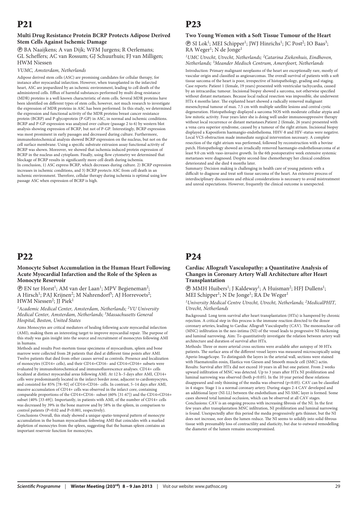#### **Multi Drug Resistance Protein BCRP Protects Adipose Derived Stem Cells Against Ischemic Damage**

P BA Naaijkens; A van Dijk; WFM Jurgens; R Oerlemans; GL Scheffers; AC van Rossum; GJ Schuurhuis; FJ van Milligen; HWM Niessen

#### *VUMC, Amsterdam, Netherlands*

Adipose derived stem cells (ASC) are promising candidates for cellular therapy, for instance after myocardial infarction. However, when transplanted in the infarcted heart, ASC are jeopardized by an ischemic environment, leading to cell death of the administered cells. Efflux of harmful substances performed by multi drug resistance (MDR) proteins is a well known characteristic of stem cells. Several MDR proteins have been identified on different types of stem cells, however, not much research to investigate the expression of MDR proteins in ASC has been performed. In this study, we determined the expression and functional activity of the MDR proteins breast cancer resistance protein (BCRP) and P-glycoprotein (P-GP) in ASC, in normal and ischemic conditions. BCRP and P-GP expression was analyzed over culture (passage 2 to 6) by western blot analysis showing expression of BCRP, but not of P-GP. Interestingly, BCRP expression was most prominent in early passages and decreased during culture. Furthermore, immunohistochemical analysis showed BCRP expression on the nucleus, but not on the cell surface membrane. Using a specific substrate extrusion assay functional activity of BCRP was shown. Moreover, we showed that ischemia induced protein expression of BCRP in the nucleus and cytoplasm. Finally, using flow cytometry we determined that blockage of BCRP results in significantly more cell death during ischemia. In conclusion, 1) ASC express BCRP, which decreases during culture. 2) BCRP expression increases in ischemic conditions, and 3) BCRP protects ASC from cell death in an ischemic environment. Therefore, cellular therapy during ischemia is optimal using low passage ASC when expression of BCRP is high.

### **P23**

#### **Two Young Women with a Soft Tissue Tumour of the Heart**

 $\textcircled{P}$  SI Lok<sup>1</sup>; MEI Schipper<sup>1</sup>; JWJ Hinrichs<sup>1</sup>; JC Post<sup>2</sup>; IO Baas<sup>3</sup>;  $RA$  Weger<sup>1</sup>; N de Jonge<sup>1</sup>

*1UMC Utrecht, Utrecht, Netherlands; 2Catarina Ziekenhuis, Eindhoven, Netherlands; 3Meander Medisch Centrum, Amersfoort, Netherlands*

Introduction: Primary malignant neoplasms of the heart are exceptionally rare, mostly of vascular origin and classified as angiosarcomas. The overall survival of patients with a soft tissue sarcoma of the heart is poor, irrespective of histopathology, grading and staging. Case reports: Patient 1 (female, 19 years) presented with ventricular tachycardia, caused by an intracardiac tumour. Incisional biopsy showed a sarcoma, not otherwise specified without distant metastases. Because local radical resection was impossible, she underwent HTx 4 months later. The explanted heart showed a radically removed malignant mesenchymal tumour of max. 7.5 cm with multiple satellite lesions and central cystic degeneration. Histopathology displayed a sarcoma NOS with moderate cellular atypia and low mitotic activity. Four years later she is doing well under immunosuppressive therapy without local recurrence or distant metastases.Patient 2 (female, 26 years) presented with a vena cava superior syndrome, caused by a tumour of the right atrium. Incisional biopsy displayed a Kaposiform haemangio-endothelioma. HHV-8 and HIV-status were negative. Local VCS obstruction made immediate surgical intervention necessary. A complete resection of the right atrium was performed, followed by reconstruction with a bovine patch. Histopathology showed an irradically removed haemangio-endotheliosarcoma of at least 9.0 cm with vaso-invasive growth. In the 6th postoperative week extensive systemic metastases were diagnosed. Despite second-line chemotherapy her clinical condition deteriorated and she died 4 months later.

Summary: Decision making is challenging in health care of young patients with a difficult to diagnose and treat soft tissue sarcoma of the heart. An extensive process of interdisciplinary discussions and ethical considerations is necessary to avoid mistreatment and unreal expectations. However, frequently the clinical outcome is unexpected.

### P22

#### **Monocyte Subset Accumulation in the Human Heart Following Acute Myocardial Infarction and the Role of the Spleen as Monocyte Reservoir**

 $\circledR$  EN ter Horst<sup>1</sup>; AM van der Laan<sup>1</sup>; MPV Begieneman<sup>2</sup>; A Hirsch<sup>1</sup>; PAJ Krijnen<sup>2</sup>; M Nahrendorf<sup>3</sup>; AJ Horrevoets<sup>2</sup>; HWM Niessen<sup>2</sup>; JJ Piek<sup>1</sup>

*1Academic Medical Center, Amsterdam, Netherlands; 2VU University Medical Center, Amsterdam, Netherlands; 3Massachusetts General Hospital, Boston, United States*

Aims Monocytes are critical mediators of healing following acute myocardial infarction (AMI), making them an interesting target to improve myocardial repair. The purpose of this study was gain insight into the source and recruitment of monocytes following AMI in humans.

Methods and results Post-mortem tissue specimens of myocardium, spleen and bone marrow were collected from 28 patients that died at different time points after AMI. Twelve patients that died from other causes served as controls. Presence and localization of monocytes (CD14+ cells), and their CD14+CD16– and CD14+CD16+ subsets were evaluated by immunohistochemical and immunofluorescence analyses. CD14+ cells localized at distinct myocardial areas following AMI. At 12 h–5 days after AMI, CD14+ cells were predominantly located in the infarct border zone, adjacent to cardiomyocytes, and consisted for 85% [78–92] of CD14+CD16– cells. In contrast, 5–14 days after AMI, massive accumulation of CD14+ cells was observed in the infarct core, containing comparable proportions of the CD14+CD16– subset (60% [31-67]) and the CD14+CD16+ subset (40% [33-69]). Importantly, in patients with AMI, of the number of CD14+ cells was decreased by 39% in the bone marrow and by 58% in the spleen, in comparison to control patients (P=0.02 and P<0.001, respectively).

Conclusions Overall, this study showed a unique spatio-temporal pattern of monocyte accumulation in the human myocardium following AMI that coincides with a marked depletion of monocytes from the spleen, suggesting that the human spleen contains an important reservoir function for monocytes.

### P24

#### **Cardiac Allograft Vasculopathy: a Quantitative Analysis of Changes in Coronary Artery Wall Architecture after Heart Transplantation**

 $\textcircled{P}$  MMH Huibers<sup>1</sup>; J Kaldeway<sup>1</sup>; A Huisman<sup>2</sup>; HFJ Dullens<sup>1</sup>; MEI Schipper<sup>1</sup>; N De Jonge<sup>1</sup>; RA De Weger<sup>1</sup>

*1University Medical Centre Utrecht, Utrecht, Netherlands; 2MedicalPHIT, Utrecht, Netherlands*

Background: Long term survival after heart transplantation (HTx) is hampered by chronic rejection. A critical step in this process is the immune reaction directed to the donor coronary arteries, leading to Cardiac Allograft Vasculopathy (CAV). The mononuclear cell (MNC) infiltration in the neo-intima (NI) of the vessel leads to progressive NI thickening and luminal narrowing. Aim: To quantitatively investigate the relation between artery wall architecture and duration of survival after HTx.

Methods: Three or more arterial cross sections were available after autopsy of 30 HTx patients. The surface area of the different vessel layers was measured microscopically using Aperio ImageScope. To distinguish the layers in the arterial wall, sections were stained with Haematoxilin eosin, Elastica von Gieson and Smooth muscle cell (SMC) actin. Results: Survival after HTx did not exceed 10 years in all but one patient. From 2 weeks upward infiltration of MNC was detected. Up to 3 years after HTx NI proliferation and luminal narrowing was observed (both p<0.05). In the 10 year period these relations disappeared and only thinning of the media was observed ( $p<0.05$ ). CAV can be classified in 4 stages: Stage 1 is a normal coronary artery. During stages 2-4 CAV developed and an additional layer (NI-LL) between the endothelium and NI-SMC layer is formed. Some cases showed total luminal occlusion, which can be observed at all CAV stages. Conclusions: CAV is an ongoing process with increasing fibrosis of the NI. In the first few years after transplantation MNC infiltration, NI proliferation and luminal narrowing is found. Unexpectedly after this period the media progressively gets thinner, but the NI does not increase, nor does the lumen reduce. The NI seems to solidify into solid fibrous tissue with presumably loss of contractility and elasticity, but due to outward remodelling the diameter of the lumen remains uncompromised.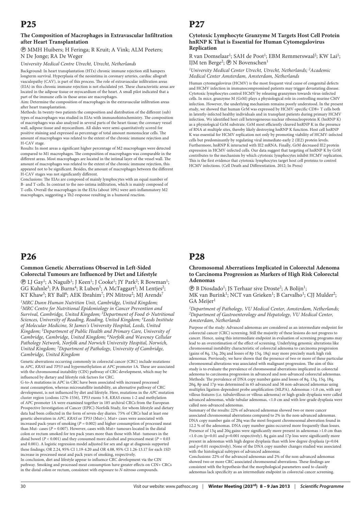#### **The Composition of Macrophages in Extravascular Infiltration after Heart Transplantation**

#### P MMH Huibers; H Feringa; R Kruit; A Vink; ALM Peeters; N De Jonge; RA De Weger

*University Medical Centre Utrecht, Utrecht, Netherlands*

Background: In heart transplantation (HTx) chronic immune rejection still hampers longterm survival. Hyperplasia of the neointima in coronary arteries, cardiac allograft vasculopathy (CAV), is part of this process. The role of extravascular infiltration areas (EIA) in this chronic immune rejection is not elucidated yet. These characteristic areas are located in the adipose tissue or myocardium of the heart. A small pilot indicated that a part of the immune cells in those areas are macrophages.

Aim: Determine the composition of macrophages in the extravascular infiltration areas after heart transplantation.

Methods: In twenty-two patients the composition and distribution of the different (sub) types of macrophages was studied in EIAs with immunohistochemistry. The composition of macrophages was also analyzed in several parts of the heart tissue; the coronary vessel wall, adipose tissue and myocardium. All slides were semi-quantitatively scored for positive staining and expressed as percentage of total amount mononuclear cells. The amount of macrophages was related to the extent of the chronic immune rejection and H-CAV stage.

Results: In most areas a significant higher percentage of M2 macrophages were detected compared to M1 macrophages. The composition of macrophages was comparable in the different areas. Most macrophages are located in the intimal layer of the vessel wall. The amount of macrophages was related to the extent of the chronic immune rejection, this appeared not to be significant. Besides, the amount of macrophages between the different H-CAV stages was not significantly different.

Conclusions: The EIAs are composed of mainly lymphocytes with an equal number of B- and T-cells. In contrast to the neo-intima infiltration, which is mainly composed of T-cells. Overall the macrophages in the EIAs (about 10%) were anti-inflammatory M2 macrophages, suggesting a Th2-response resulting in a humoral reaction.

### P26

#### **Common Genetic Aberrations Observed in Left-Sided Colorectal Tumours are Influenced by Diet and Lifestyle**

 $\textcircled{P}$  LJ Gay<sup>1</sup>; A Naguib<sup>1</sup>; J Keen<sup>1</sup>; J Cooke<sup>1</sup>; JY Park<sup>2</sup>; R Bowman<sup>1</sup>; GG Kuhnle<sup>3</sup>; PA Burns<sup>4</sup>; R Luben<sup>5</sup>; A McTaggart<sup>2</sup>; M Lentjes<sup>2</sup>; KT Khaw<sup>5</sup>; RY Ball<sup>6</sup>; AEK Ibrahim<sup>7</sup>; PN Mitrou<sup>2</sup>; MJ Arends<sup>7</sup>

*1MRC Dunn Human Nutrition Unit, Cambridge, United Kingdom; 2MRC Centre for Nutritional Epidemiology in Cancer Prevention and Survival, Cambridge, United Kingdom; 3Department of Food & Nutritional Sciences, University of Reading, Reading, United Kingdom; 4Leeds Institute of Molecular Medicine, St James's University Hospital, Leeds, United Kingdom; 5Department of Public Health and Primary Care, University of Cambridge, Cambridge, United Kingdom; 6Norfolk and Waveney Cellular Pathology Network, Norfolk and Norwich University Hospital, Norwich, United Kingdom; 7Department of Pathology, University of Cambridge, Cambridge, United Kingdom*

Genetic aberrations occurring commonly in colorectal cancer (CRC) include mutations in *APC, KRAS* and *TP53* and hypermethylation at *APC* promoter 1A. These are associated with the chromosomal instability (CIN) pathway of CRC development, which may be influenced by dietary and lifestyle risk factors for CRC.

G-to-A mutations in *APC* in CRC have been associated with increased processed meat consumption, whereas microsatellite instability, an alternative pathway of CRC development, is not influenced by diet and lifestyle. Here, mutations in the *APC* mutation cluster region (codons 1276-1556), *TP53* exons 5-8, *KRAS* exons 1-2 and methylation of *APC* promoter 1A were examined together in 185 archival CRCs from the European Prospective Investigation of Cancer (EPIC)-Norfolk Study, for whom lifestyle and dietary data had been collected in the form of seven-day diaries. 75% of CRCs had at least one genetic aberration in *APC, KRAS* or *TP53* (Mut+). Mut+ cases were associated with increased pack-years of smoking (*P* = 0.002) and higher consumption of processed meat than Mut- cases ( $P = 0.007$ ). However, cases with Mut+ tumours located in the distal colon or rectum smoked for ten pack years more than those with Mut- tumours in the distal bowel (*P* < 0.001) and they consumed more alcohol and processed meat (*P* = 0.03 and 0.001). A logistic regression model adjusted for sex and age at diagnosis supported these findings; OR 2.24, 95% CI 1.19-4.20 and OR 4.08, 95% CI 1.26-13.17 for each 1SD increase in processed meat and pack years of smoking, respectively. In conclusion, diet and lifestyle appear to influence CRC development via the CIN

pathway. Smoking and processed meat consumption have greater effects on CIN+ CRCs in the distal colon or rectum, consistent with exposure to *N*-nitroso compounds.

### P<sub>27</sub>

#### **Cytotoxic Lymphocyte Granzyme M Targets Host Cell Protein hnRNP K That is Essential for Human Cytomegalovirus Replication**

R van Domselaar<sup>1</sup>; SAH de Poot<sup>1</sup>; EBM Remmerswaal<sup>2</sup>; KW Lai<sup>1</sup>; IJM ten Berge<sup>2</sup>;  $\textcircled{P}$  N Bovenschen<sup>1</sup>

*1University Medical Center Utrecht, Utrecht, Netherlands; 2Academic Medical Center Amsterdam, Amsterdam, Netherlands*

Human cytomegalovirus (HCMV) is the most frequent viral cause of congenital defects and HCMV infection in immunocompromised patients may trigger devastating disease. Cytotoxic lymphocytes control HCMV by releasing granzymes towards virus-infected cells. In mice, granzyme M (GrM) plays a physiological role in controlling murine CMV infection. However, the underlying mechanism remains poorly understood. In the present study, we showed that human GrM was expressed by HCMV-specific CD8+ T cells both in latently-infected healthy individuals and in transplant patients during primary HCMV infection. We identified host cell heterogeneous nuclear ribonucleoprotein K (hnRNP K) as a physiological GrM substrate. GrM most efficiently cleaved hnRNP K in the presence of RNA at multiple sites, thereby likely destroying hnRNP K function. Host cell hnRNP K was essential for HCMV replication not only by promoting viability of HCMV-infected cells but predominantly by regulating viral immediate-early 2 (IE2) protein levels. Furthermore, hnRNP K interacted with IE2 mRNA. Finally, GrM decreased IE2 protein expression in HCMV-infected cells. Our data suggest that targeting of hnRNP K by GrM contributes to the mechanism by which cytotoxic lymphocytes inhibit HCMV replication. This is the first evidence that cytotoxic lymphocytes target host cell proteins to control HCMV infections. (Cell Death and Differentiation. 2012; In Press)

### P28

#### **Chromosomal Aberrations Implicated in Colorectal Adenoma to Carcinoma Progression as Markers of High Risk Colorectal Adenomas**

P B Diosdado1; JS Terhaar sive Droste2; A Bolijn1; MK van Burink<sup>1</sup>; NCT van Grieken<sup>1</sup>; B Carvalho<sup>1</sup>; CJJ Mulder<sup>2</sup>; GA Meijer<sup>1</sup>

#### *1Department of Pathology, VU Medical Center, Amsterdam, Netherlands; 2Department of Gastroenterology and Hepatology, VU Medical Center, Amsterdam, Netherlands*

Purpose of the study: Advanced adenomas are considered as an intermediate endpoint for colorectal cancer (CRC) screening. Still the majority of these lesions do not progress to cancer. Hence, using this intermediate endpoint in evaluation of screening programs may lead to an overestimation of the effect of screening. Underlying genomic alterations like chromosomal instability characteristic of colorectal adenoma to carcinoma progression (gains of 8q, 13q, 20q and losses of 8p 15q, 18q) may more precisely mark high risk adenomas. Previously, we have shown that the presence of two or more of these particular chromosomal alterations was associated with malignant progression. The aim of this study is to evaluate the prevalence of chromosomal aberrations implicated in colorectal adenoma to carcinoma progression in advanced and non-advanced colorectal adenomas. Methods: The prevalence of DNA copy number gains and losses of 8q, 13q, 15q, 18q, 20q, 8p and 17p was determined in 65 advanced and 58 non-advanced adenomas using multiplex ligation-dependent probe amplification (MLPA). Adenomas >1.0 cm, with any villous features (i.e. tubulovillous or villous adenoma) or high-grade dysplasia were called advanced adenomas, while tubular adenomas, <1.0 cm and with low-grade dysplasia were called non-advanced adenomas.

Summary of the results: 22% of advanced adenomas showed two or more cancer associated chromosomal aberrations compared to 2% in the non-advanced adenomas. DNA copy number gain of 20q was the most frequent chromosomal aberration found in 12.2 % of the adenomas. DNA copy number gains occurred more frequently than losses. Presence of 13q and 20q gains were significantly more present in adenomas >1.0 cm than  $\leq$  1.0 cm (p=0.01 and p=0.001 respectively). 8q gain and 17p loss were significantly more present in adenomas with high degree dysplasia than with low degree dysplasia (p=0.04 and p=0.01 respectively). None of the DNA copy number changes studied was associated with the histological subtypes of advanced adenomas.

Conclusions: 22% of the advanced adenomas and 2% of the non-advanced adenomas showed two or more CRC associated chromosomal aberrations. These findings are consistent with the hypothesis that the morphological parameters used to classify adenomas lack specificity as an intermediate endpoint in colorectal cancer screening.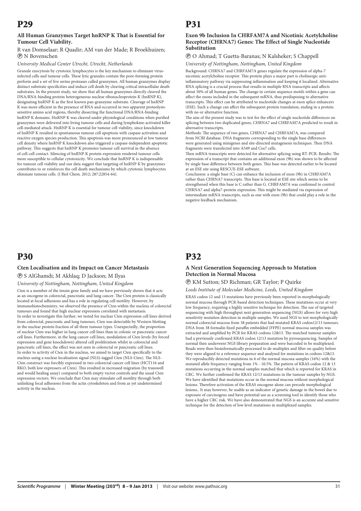#### **All Human Granzymes Target hnRNP K That is Essential for Tumour Cell Viability.**

#### R van Domselaar; R Quadir; AM van der Made; R Broekhuizen; P N Bovenschen

*University Medical Center Utrecht, Utrecht, Netherlands*

Granule exocytosis by cytotoxic lymphocytes is the key mechanism to eliminate virusinfected cells and tumour cells. These lytic granules contain the pore-forming protein perforin and a set of five serine proteases called granzymes. All human granzymes display distinct substrate specificities and induce cell death by cleaving critical intracellular death substrates. In the present study, we show that all human granzymes directly cleaved the DNA/RNA-binding protein heterogeneous nuclear ribonucleoprotein K (hnRNP K), designating hnRNP K as the first known pan-granzyme substrate. Cleavage of hnRNP K was more efficient in the presence of RNA and occurred in two apparent proteolysissensitive amino acid regions, thereby dissecting the functional DNA/RNA-binding hnRNP K domains. HnRNP K was cleaved under physiological conditions when purified granzymes were delivered into living tumour cells and during lymphokine-activated killer cell-mediated attack. HnRNP K is essential for tumour cell viability, since knockdown of hnRNP K resulted in spontaneous tumour cell apoptosis with caspase activation and reactive oxygen species production. This apoptosis was more pronounced at low tumour cell density where hnRNP K knockdown also triggered a caspase-independent apoptotic pathway. This suggests that hnRNP K promotes tumour cell survival in the absence of cell-cell contact. Silencing of hnRNP K protein expression rendered tumour cells more susceptible to cellular cytotoxicity. We conclude that hnRNP K is indispensable for tumour cell viability and our data suggest that targeting of hnRNP K by granzymes contributes to or reinforces the cell death mechanisms by which cytotoxic lymphocytes eliminate tumour cells. (J Biol Chem. 2012; 287:22854-64).

### P31

#### **Exon 9b Inclusion In CHRFAM7A and Nicotinic Acetylcholine Receptor (CHRNA7) Genes: The Effect of Single Nucleotide Substitution**

### P O Ahmad; T Guetta-Baranas; N Kalsheker; S Chappell

*University of Nottingham, Nottingham, United Kingdom*

Background: CHRNA7 and CHRFAM7A genes regulate the expression of alpha-7 nicotinic acetylcholine receptor. This protein plays a major part is cholinergic antiinflammatory pathway via suppressing inflammation and keeping it localized. Alternative RNA splicing is a crucial process that results in multiple RNA transcripts and affects about 50% of all human genes. The change in certain sequence motifs within a gene can affect the exons included in the subsequent mRNA, thus predisposing to alternative transcripts. This effect can be attributed to nucleotide changes at exon splice enhancers (ESE). Such a change can affect the subsequent protein translation, ending in a protein with no or alternative function.

The aim of the present study was to test for the effect of single nucleotide differences on splicing between two duplicated genes, CHRNA7 and CHRFAM7A predicted to result in alternative transcripts.

Methods: The sequence of two genes, CHRNA7 and CHRFAM7A, was compared from NCBI database. DNA fragments corresponding to the single base differences were generated using minigenes and site-directed mutagenesis techniques. Then DNA fragments were transfected into A549 and Cos7 cells.

Then mRNA transcripts were detected for alternative splicing using RT-PCR. Results: The expression of a transcript that contains an additional exon (9b) was shown to be affected by single base difference between both genes. This base was detected earlier to be located at an ESE site using RESCUE-ESE software.

Conclusion: a single base (C) can enhance the inclusion of exon (9b) in CHRFAM7A rather than CHRNA7 transcripts. This base is located at ESE site which seems to be strengthened when this base is C rather than G. CHRFAM7A was confirmed to control CHRNA7 and alpha7-protein expression. This might be mediated via expression of intermediate mRNA transcripts, such as one with exon (9b) that could play a role in the negative feedback mechanism.

### P30

#### **Cten Localisation and its Impact on Cancer Metastasis**

P S AlGhamdi; M Akhlaq; D Jackson; M Ilyas

*University of Nottingham, Nottingham, United Kingdom*

Cten is a member of the tensin gene family and we have previously shown that it acts as an oncogene in colorectal, pancreatic and lung cancer. The Cten protein is classically located at focal adhesions and has a role in regulating cell motility. However, by immunohistochemistry, we observed the presence of Cten within the nucleus of colorectal tumours and found that high nuclear expression correlated with metastasis. In order to investigate this further, we tested for nuclear Cten expression cell lines derived from colorectal, pancreatic and lung tumours. Cten was detectable by Western blotting in the nuclear protein fraction of all three tumour types. Unexpectedly, the proportion of nuclear Cten was higher in lung cancer cell lines than in colonic or pancreatic cancer cell lines. Furthermore, in the lung cancer cell lines, modulation of Cten levels (by forced expression and gene knockdown) altered cell proliferation whilst in colorectal and pancreatic cell lines, the effect was not seen in colorectal or pancreatic cell lines. In order to activity of Cten in the nucleus, we aimed to target Cten specifically to the nucleus using a nuclear localisation signal (NLS)-tagged Cten (NLS-Cten). The NLS-Cten construct was forcibly expressed in two colorectal cancer cell lines (HCT116 and RKO, both low expressers of Cten). This resulted in increased migration (by transwell and would healing assay) compared to both empty vector controls and the usual Cten expression vectors. We conclude that Cten may stimulate cell motility through both unlinking focal adhesions from the actin cytoskeleton and from as yet undetermined activity in the nucleus.

### P32

#### **A Next Generation Sequencing Approach to Mutation Detection in Normal Mucosa**

#### P KM Sutton; SD Richman; GR Taylor; P Quirke

*Leeds Institute of Molecular Medicine, Leeds, United Kingdom*

KRAS codon 12 and 13 mutations have previously been reported in morphologically normal mucosa through PCR-based detection techniques. These mutations occur at very low frequency, requiring a highly sensitive technique for detection. The use of targeted sequencing with high throughput next generation sequencing (NGS) allows for very high sensitivity mutation detection in multiple samples. We used NGS to test morphologically normal colorectal mucosa from 38 patients that had mutated KRAS codon12/13 tumours. DNA from 38 formalin fixed paraffin embedded (FFPE) normal mucosa samples was extracted and amplified by PCR for KRAS codons 12&13. The matched tumour samples had a previously confirmed KRAS codon 12/13 mutation by pyrosequencing. Samples of normal then underwent NGS library preparation and were barcoded to be multiplexed. Reads were then bioinformatically processed to de-multiplex and filter on quality before they were aligned to a reference sequence and analysed for mutations in codons 12&13. We reproducibly detected mutations in 6 of the normal mucosa samples (16%) with the mutated allele frequency ranging from 1% - 10.5%. The pattern of KRAS codon 12 & 13 mutations occurring in the normal samples matched that which is reported for KRAS in CRC. We further confirmed the KRAS 12/13 mutations in the tumour samples by NGS. We have identified that mutations occur in the normal mucosa without morphological lesions. Therefore activation of the KRAS oncogene alone can precede morphological lesions.. It may however, be usable as an indicator of genetic damage in the bowel due to exposure of carcinogens and have potential use as a screening tool to identify those who have a higher CRC risk. We have also demonstrated that NGS is an accurate and sensitive technique for the detection of low level mutations in multiplexed samples.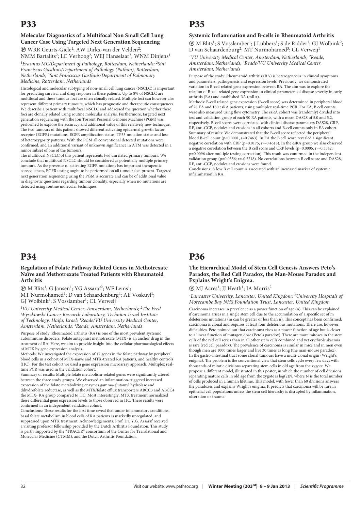**Molecular Diagnostics of a Multifocal Non Small Cell Lung Cancer Case Using Targeted Next Generation Sequencing**

P WRR Geurts-Giele1; AW Dirkx-van der Velden2;

NMM Bartalits<sup>2</sup>; LC Verhoog<sup>2</sup>; WEJ Hanselaar<sup>3</sup>; WNM Dinjens<sup>1</sup> *1Erasmus MC/Department of Pathology, Rotterdam, Netherlands; 2Sint Franciscus Gasthuis/Department of Pathology (Pathan), Rotterdam, Netherlands; 3Sint Franciscus Gasthuis/Department of Pulmonary Medicine, Rotterdam, Netherlands*

Histological and molecular subtyping of non-small cell lung cancer (NSCLC) is important for predicting survival and drug response in these patients. Up to 8% of NSCLC are multifocal and these tumour foci are often clonally related. Multiple foci can however also represent different primary tumours, which has prognostic and therapeutic consequences. We describe a patient with multifocal NSCLC and addressed the question whether these foci are clonally related using routine molecular analysis. Furthermore, targeted next generation sequencing with the Ion Torrent Personal Genome Machine (PGM) was performed to explore the accuracy and additional value of this relatively new technique. The two tumours of this patient showed different activating epidermal growth factor receptor (EGFR) mutations, EGFR amplification status, TP53 mutation status and loss of heterozygosity patterns. With the PGM all conventional detected mutations were confirmed, and an additional variant of unknown significance in ATM was detected in a minor subset of one of the tumours.

The multifocal NSCLC of this patient represents two unrelated primary tumours. We conclude that multifocal NSCLC should be considered as potentially multiple primary tumours. As the presence of activating EGFR mutations has important therapeutic consequences, EGFR testing ought to be performed on all tumour foci present. Targeted next generation sequencing using the PGM is accurate and can be of additional value in diagnostic questions regarding tumour clonality, especially when no mutations are detected using routine molecular techniques.

### P34

#### **Regulation of Folate Pathway Related Genes in Methotrexate Naïve and Methotrexate Treated Patients with Rheumatoid Arthritis**

 $\textcircled{P}$  M Blits<sup>1</sup>; G Jansen<sup>1</sup>; YG Assaraf<sup>2</sup>; WF Lems<sup>1</sup>; MT Nurmohamed<sup>3</sup>; D van Schaardenburg<sup>4</sup>; AE Voskuyl<sup>1</sup>; GJ Wolbink<sup>4</sup>; S Vosslamber<sup>1</sup>; CL Verweij<sup>1</sup>

*1VU University Medical Center, Amsterdam, Netherlands; 2The Fred Wyszkowski Cancer Research Laboratory, Technion-Israel Institute of Technology, Haifa, Israel; 3Reade/VU University Medical Center, Amsterdam, Netherlands; 4Reade, Amsterdam, Netherlands*

Purpose of study: Rheumatoid arthritis (RA) is one of the most prevalent systemic autoimmune disorders. Folate antagonist methotrexate (MTX) is an anchor drug in the treatment of RA. Here, we aim to provide insight into the cellular pharmacological effects of MTX by gene expression analysis.

Methods: We investigated the expression of 17 genes in the folate pathway by peripheral blood cells in a cohort of MTX-naïve and MTX-treated RA patients, and healthy controls (HC). For the test cohort we used a gene expression microarray approach. Multiplex realtime PCR was used in the validation cohort.

Summary of results: Multiple folate metabolism-related genes were significantly altered between the three study groups. We observed an inflammation-triggered increased expression of the folate metabolizing enzymes gamma-glutamyl hydrolase and dihydrofolate reductase, as well as the MTX/folate efflux transporters ABCC3 and ABCC4 the MTX- RA group compared to HC. Most interestingly, MTX treatment normalized these differential gene expression levels to those observed in HC. These results were confirmed in an independent validation cohort.

Conclusions: These results for the first time reveal that under inflammatory conditions, basal folate metabolism in blood cells of RA patients is markedly upregulated, and suppressed upon MTX treatment. Acknowledgements: Prof. Dr. Y.G. Assaraf received a visiting professor fellowship provided by the Dutch Arthritis Foundation. This study is partly supported by the "TRACER" consortium of the Center for Translational and Molecular Medicine (CTMM), and the Dutch Arthritis Foundation.

### P35

#### **Systemic Inflammation and B-cells in Rheumatoid Arthritis**

 $\textcircled{P}$  M Blits<sup>1</sup>; S Vosslamber<sup>1</sup>; J Lubbers<sup>1</sup>; S de Ridder<sup>1</sup>; GJ Wolbink<sup>2</sup>; D van Schaardenburg<sup>2</sup>; MT Nurmohamed<sup>3</sup>; CL Verweij<sup>1</sup>

*1VU University Medical Center, Amsterdam, Netherlands; 2Reade, Amsterdam, Netherlands; 3Reade/VU University Medical Center, Amsterdam, Netherlands*

Purpose of the study: Rheumatoid arthritis (RA) is heterogeneous in clinical symptoms and parameters, pathogenesis and expression levels. Previously, we demonstrated variation in B-cell related gene expression between RA. The aim was to explore the relation of B-cell related gene expression to clinical parameters of disease severity in early arthritis (EA) and established RA (esRA).

Methods: B-cell related gene expression (B-cell score) was determined in peripheral blood of 26 EA and 180 esRA patients, using multiplex real-time PCR. For EA, B cell counts were also measured using flow cytometry. The esRA cohort was (randomly) divided into test and validation group of each 90 RA patients, with a mean DAS28 of 5.0 and 5.2, respectively. B-cell scores were correlated with clinical disease parameters DAS28, CRP, RF, anti-CCP, nodules and erosions in all cohorts and B-cell counts only in EA cohort. Summary of results: We demonstrated that the B-cell score reflected the peripheral blood B-cell count (p<0.0001, r=0.7463). In EA the B cell score revealed a significant negative correlation with CRP (p=0.0175; r=-0.4618). In the esRA group we also observed a negative correlation between the B cell score and CRP levels ( $p=0.0006$ ,  $r=-0.3542$ ; p=0.0096 after multiple testing correction). This result was confirmed in the independent validation group (p=0.0356; r=-0.2218). No correlations between B cell score and DAS28, RF, anti-CCP, nodules and erosions were found.

Conclusions: A low B cell count is associated with an increased marker of systemic inflammation in RA.

### P36

#### **The Hierarchical Model of Stem Cell Genesis Answers Peto's Paradox, the Red Cell Paradox, the Man-Mouse Paradox and Explains Wright's Enigma.**

#### $\textcircled{P}$  MJ Acres<sup>1</sup>; JJ Heath<sup>1</sup>; JA Morris<sup>2</sup>

*1Lancaster University, Lancaster, United Kingdom; 2University Hospitals of Morecambe Bay NHS Foundation Trust, Lancaster, United Kingdom*

Carcinoma increases in prevalence as a power function of age (n). This can be explained if carcinoma arises in a single stem cell due to the accumulation of a specific set of m deleterious mutations (m can be greater or less than n). This concept has been confirmed; carcinoma is clonal and requires at least four deleterious mutations. There are, however, difficulties. Peto pointed out that carcinoma rises as a power function of age but is closer to a linear function of mutagen dose (Peto's paradox). There are more mitoses in the stem cells of the red cell series than in all other stem cells combined and yet erythroleukaemia is rare (red cell paradox). The prevalence of carcinoma is similar in mice and in men even though men are 1000 times larger and live 30 times as long (the man-mouse paradox). In the gastro-intestinal tract some clonal tumours have a multi-clonal origin (Wright's enigma). The problem is the conventional view that stem cells cycle every few days with thousands of mitotic divisions separating stem cells in old age from the zygote. We propose a different model, illustrated in this poster, in which the number of cell divisions separating mature cells in old age from the zygote is  $log(2)N$ , where N is the total number of cells produced in a human lifetime. This model, with fewer than 60 divisions answers the paradoxes and explains Wright's enigma. It predicts that carcinoma will be rare in epithelial cell populations unless the stem cell hierarchy is disrupted by inflammation, ulceration or trauma.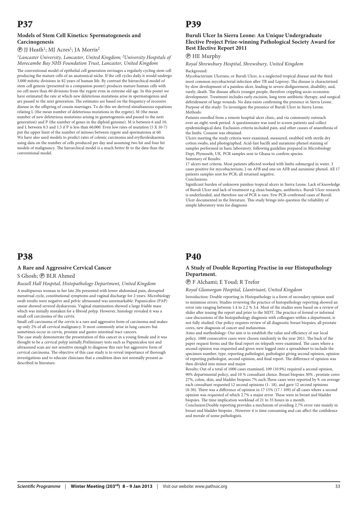#### **Models of Stem Cell Kinetics: Spermatogenesis and Carcinogenesis**

#### $\circledR$  JJ Heath<sup>1</sup>; MJ Acres<sup>1</sup>; JA Morris<sup>2</sup>

*1Lancaster University, Lancaster, United Kingdom; 2University Hospitals of Morecambe Bay NHS Foundation Trust, Lancaster, United Kingdom*

The conventional model of epithelial cell generation envisages a regularly cycling stem cell producing the mature cells of an anatomical niche. If the cell cycles daily it would undergo 3,000 mitotic divisions in 82 years of human life. By contrast the hierarchical model of stem cell genesis (presented in a companion poster) produces mature human cells with no cell more than 60 divisions from the zygote even in extreme old age. In this poster we have estimated the rate at which new deleterious mutations arise in spermatogensis and are passed to the next generation. The estimates are based on the frequency of recessive disease in the offspring of cousin marriages. To do this we derived simultaneous equations relating L (the mean number of deleterious mutations in the zygote), M (the mean number of new deleterious mutations arising in gametogenesis and passed to the next generation) and P (the number of genes in the diploid genome). M is between 6 and 10, and L between 0.5 and 1.5 if P is less than 60,000. Even low rates of mutation (5 X 10-7) put the upper limit of the number of mitoses between zygote and spermatozoa at 60. We have also used models to predict rates of colonic carcinoma and erythroleukaemia using data on the number of cells produced per day and assuming two hit and four hit models of malignancy. The hierarchical model is a much better fit to the data than the conventional model.

### P39

#### **Buruli Ulcer In Sierra Leone: An Unique Undergraduate Elective Project Prize-winning Pathological Society Award for Best Elective Report 2011**

#### P HE Murphy

*Royal Shrewsbury Hospital, Shrewsbury, United Kingdom* Background<sup>.</sup>

Mycobacterium Ulcerans, or Buruli Ulcer, is a neglected tropical disease and the third most common mycobacterial infection after TB and Leprosy. The disease is characterised by slow development of a painless ulcer, leading to severe disfigurement, disability, and, rarely, death. The disease affects younger people, therefore crippling socio-economic development. Treatment includes early excision, long term antibiotic therapy, and surgical debridement of large wounds. No data exists confirming the presence in Sierra Leone. Purpose of the study: To investigate the presence of Buruli Ulcer in Sierra Leone. Methods:

Patients enrolled from a remote hospital ulcer clinic, and via community outreach over an eight-week period. A questionnaire was used to screen patients and collect epidemiological data. Exclusion criteria included pain, and other causes of anaesthesia of the limbs. Consent was obtained.

Ulcers meeting the study criteria were examined, measured, swabbed with sterile dry cotton swabs, and photographed. Acid-fast bacilli and auramine-phenol staining of samples performed in basic laboratory, following guideline prepared in Microbiology Dept, Plymouth, UK. PCR samples sent to Ghana to confirm species. Summary of Results:

17 ulcers met criteria. Most patients affected worked with limbs submerged in water. 3 cases positive for mycobacterium; 2 on AFB and one on AFB and auramine phenol. All 17 patients samples sent for PCR; all returned negative. Conclusions:

Significant burden of unknown painless tropical ulcers in Sierra Leone. Lack of knowledge of Buruli Ulcer and lack of treatment e.g clean bandages, antibiotics. Buruli Ulcer research is underfunded, and therefore use of PCR is rare. Few PCR-confirmed cases of Buruli Ulcer documented in the literature. This study brings into question the reliability of simple laboratory tests for diagnosis

### P38

#### **A Rare and Aggressive Cervical Cancer**

#### S Ghosh;  $\circledR$  BLR Ahmed

#### *Russell Hall Hospital, Histopathology Department, United Kingdom*

A multiparous woman in her late 20s presented with lower abdominal pain, disrupted menstrual cycle, constitutional symptoms and vaginal discharge for 2 years. Microbiology swab results were negative and pelvic ultrasound was unremarkable. Papanicalou (PAP) smear showed severed dyskaryosis. Vaginal examination showed a large friable mass which was initially mistaken for a fibroid polyp. However, histology revealed it was a small cell carcinoma of the cervix.

Small cell carcinoma of the cervix is a rare and aggressive form of carcinoma and makes up only 2% of all cervical malignancy. It most commonly arise in lung cancers but sometimes occur in cervix, prostate and gastro intestinal tract cancers.

The case study demonstrate the presentation of this cancer in a young female and it was thought to be a cervical polyp initially.Preliminary tests such as Papanicalou test and ultrasound scan are not sensitive enough to diagnose this rare but aggressive form of cervical carcinoma. The objective of this case study is to reveal importance of thorough investigations and to educate clinicians that a condition does not normally present as described in literature.

### **P40**

#### **A Study of Double Reporting Practise in our Histopathology Department.**

#### P F Alchami; E Youd; R Trefor

#### *Royal Glamorgan Hospital, Llantrisant, United Kingdom*

Introduction: Double reporting in Histopathology is a form of secondary opinion used to minimise errors. Studies reviewing the practice of histopathology reporting showed an error rate ranging between 1.4 to 2.2 % 3,4. Most of the studies were based on a review of slides after issuing the report and prior to the MDT. The practice of formal or informal case discussions of the histopathology diagnosis with colleagues within a department, is not fully studied. Our policy requires review of all diagnostic breast biopsies, all prostate cores, new diagnosis of cancer and melanomas.

Aims and methodology: Our aim is to establish the value and efficiency of our local policy. 1000 consecutive cases were chosen randomly in the year 2011. The back of the paper request forms and the final report on telepath were examined. The cases where a second opinion was requested and given were logged onto a spreadsheet to include the specimen number, type, reporting pathologist, pathologist giving second opinion, opinion of reporting pathologist, second opinion, and final report. The difference of opinion was then divided into minor and major.

Results: Out of a total of 1000 cases examined, 109 (10.9%) required a second opinion, 90% departmental policy, and 10 % consultant choice. Breast biopsies 30% , prostate cores 27%, colon, skin, and bladder biopsies 7% each.These cases were reported by 9, on average each consultant requested 12 second opinions (1- 18), and gave 12 second opinions (0-30). There was a difference of opinion in 17 15% (17 / 109) of all cases where a second opinion was requested of which 2.7% a major error. These were in breast and bladder biopsies. The time implication workload of 21 to 35 hours in a month.

Conclusion:Double reporting provides a mechnism of avoiding 2.7% error rate mainly in breast and bladder biopsies , However it is time consuming and can affect the confidence and morale of some pathologists.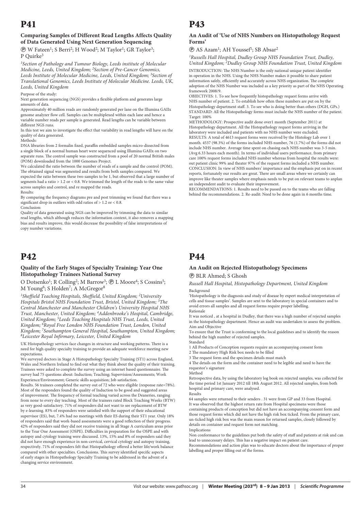#### **Comparing Samples of Different Read Lengths Affects Quality of Data Generated Using Next Generation Sequencing**

 $\textcircled{P}$  W Fateen<sup>1</sup>; S Berri<sup>2</sup>; H Wood<sup>2</sup>; M Taylor<sup>1</sup>; GR Taylor<sup>3</sup>; P Quirke<sup>3</sup>

*1Section of Pathology and Tumour Biology, Leeds institute of Molecular Medicine, Leeds, United Kingdom; 2Section of Pre-Cancer Genomics, Leeds Institute of Molecular Medicine, Leeds, United Kingdom; 3Section of Translational Genomics, Leeds Institute of Molecular Medicine. Leeds, UK, Leeds, United Kingdom*

Purpose of the study:

Next generation sequencing (NGS) provides a flexible platform and generates large amounts of data.

Approximately 40 million reads are randomly generated per lane on the Illumina GAIIx genome analyzer flow cell. Samples can be multiplexed within each lane and hence a variable number reads per sample is generated. Read lengths can be variable between different NGS runs.

In this test we aim to investigate the effect that variability in read lengths will have on the quality of data generated.

Methods:

DNA libraries from 2 formalin fixed, paraffin embedded samples micro-dissected from a single block of a normal human heart were sequenced using Illumina GAIIx on two separate runs. The control sample was constructed from a pool of 20 normal British males (POM) downloaded from the 1000 Genomes Project.

We calculated the ratio between the number of reads of a sample and the control (POM). The obtained signal was segmented and results from both samples compared. We expected the ratio between these two samples to be 1, but observed that a large number of segments had a ratio > 1.2 or < 0.8. We trimmed the length of the reads to the same value across samples and control, and re mapped the reads. Results:

By comparing the frequency diagrams pre and post trimming we found that there was a significant drop in outliers with odd ratios of > 1.2 or < 0.8. **Conclusion** 

Quality of data generated using NGS can be improved by trimming the data to similar read lengths, which although reduces the information content, it also removes a mapping bias and results improve, this would decrease the possibility of false interpretations of copy number variations.

### P42

#### **Quality of the Early Stages of Specialty Training: Year One Histopathology Trainees National Survey**

O Dotsenko<sup>1</sup>; R Colling<sup>2</sup>; M Barrow<sup>3</sup>;  $\textcircled{P}$  L Moore<sup>4</sup>; S Cossins<sup>5</sup>; M Young<sup>6</sup>; S Holden<sup>7</sup>; A McGregor<sup>8</sup>

*1Sheffield Teaching Hospitals, Sheffield, United Kingdom; 2University Hospitals Bristol NHS Foundation Trust, Bristol, United Kingdom; 3The Central Manchester and Manchester Children's University Hospital NHS Trust, Manchester, United Kingdom; 4Addenbrooke's Hospital, Cambridge, United Kingdom; 5Leeds Teaching Hospitals NHS Trust, Leeds, United Kingdom; 6Royal Free London NHS Foundation Trust, London, United Kingdom; 7Southampton General Hospital, Southampton, United Kingdom; 8Leicester Royal Infirmary, Leicester, United Kingdom*

UK Histopathology services face changes in structure and working patterns. There is a need for high quality specialty training to provide an adequate workforce meeting new expectations.

We surveyed doctors in Stage A Histopathology Specialty Training (ST1) across England, Wales and Northern Ireland to find out what they think about the quality of their training. Trainees were asked to complete the survey using an internet based questionnaire. The survey had 75 questions about: Induction; Teaching; Supervision/Assessments; Work Experience/Environment; Generic skills acquisition; Job satisfaction. Results. 56 trainees completed the survey out of 72 who were eligible (response rate=78%). Most of the responders found the quality of Induction to be good and suggested areas of improvement. The frequency of formal teaching varied across the Deaneries, ranging from none to every day teaching. Most of the trainees rated Block Teaching Weeks (BTW) as very good-satisfactory. 71% of responders did not want to see replacement of BTW by e-learning. 83% of responders were satisfied with the support of their educational supervisor (ES), but, 7.4% had no meetings with their ES during their ST1 year. Only 18% of responders said that work-based assessments were a good reflection of their progress. 42% of responders said they did not receive training in all Stage A curriculum areas prior to the Year One Assessment (OSPE). Difficulties in preparation for the OSPE and with autopsy and cytology training were discussed. 13%, 15% and 8% of responders said they did not have enough experience in non-cervical, cervical cytology and autopsy training, respectively. 71% of responders felt that Histopathology offered a better life/work balance compared with other specialties. Conclusions. This survey identified specific aspects of early stages in Histopathology Specialty Training to be addressed in the advent of a changing service environment.

### P43

#### **An Audit of 'Use of NHS Numbers on Histopathology Request Forms'**

#### $\textcircled{P}$  AS Azam<sup>1</sup>; AH Youssef<sup>1</sup>; SB Absar<sup>2</sup>

*1Russells Hall Hospital, Dudley Group NHS Foundation Trust, Dudley, United Kingdom; 2Dudley Group NHS Foundation Trust, United Kingdom*

INTRODUCTION: The NHS Number is the only national unique patient identifier in operation in the NHS. Using the NHS Number makes it possible to share patient information safely, efficiently and accurately across NHS organization. The complete adoption of the NHS Number was included as a key priority as part of the NHS Operating framework 2008/9.

OBJECTIVES: 1. To see how frequently histopathology request forms arrive with NHS number of patient. 2. To establish how often these numbers are put on by the Histopathology department staff. 3. To see who is doing better than others (DGH, GPs.) STANDARD: All the Histopathology forms must include the NHS number of the patient. Target: 100%

METHODOLOGY: Prospective audit done over1 month (September 2011) at Histopathology department. All the Histopathology request forms arriving in the laboratory were included and patients with no NHS number were excluded. RESULTS: A total of 4613 request forms were received by the Histology Lab over 1 month. 4537 (98.3%) of the forms included NHS number, 76 (1.7%) of the forms did not include NHS number. Average time spent on chasing each NHS number was 3-5 min. (Avg 6.33 hours each month). In terms of individual users performance, from primary care 100% request forms included NHS number whereas from hospital the results were: out patient clinic 99% and theater 97% of the request forms included a NHS number. CONCLUSION: In view of NHS numbers' importance and the emphasis put on in recent reports, fortunately our results are great. There are small areas where we certainly can improve like theater samples where emphasis needs to be put on relevant teams to anplan an independent audit to evaluate their improvement.

RECOMMENDATIONS: 1. Results need to be passed on to the teams who are falling behind the recommendations. 2. Re-audit: Need to be done again in 6 months time.

### P44

#### **An Audit on Rejected Histopathology Specimens**

P BLR Ahmed; S Ghosh

*Russell Hall Hospital, Histopathology Department, United Kingdom* Background

'Histopathology is the diagnosis and study of disease by expert medical interpretation of cells and tissue samples'. Samples are sent to the laboratory in special containers and to avoid errors all samples and all request forms require proper labelling. Rationale

It was noticed , at a hospital in Dudley, that there was a high number of rejected samples in the histopathology department. Hence an audit was undertaken to assess the problem. Aim and Objective

To ensure that the Trust is conforming to the local guidelines and to identify the reason behind the high number of rejected samples.

Standard

1 All Products of Conception requests require an accompanying consent form 2 The mandatory High Risk box needs to be filled

3 The request form and the specimen details must match

4 The details on the form and the container need to be legible and need to have the requestor's signature

Method

Retrospective data, by using the laboratory log book on rejected samples, was collected for the time period 1st January 2012 till 18th August 2012. All rejected samples, from both hospital and primary care, were analysed. Results

64 samples were returned to their senders . 31 were from GP and 33 from Hospital. It was observed that the highest return rate from Hospital specimens were those containing products of conception but did not have an accompanying consent form and those request forms which did not have the high risk box ticked. From the primary care, un-ticked high risk box was the main reason for returned samples, closely followed by details on container and request form not matching. Implications

Non conformance to the guidelines put both the safety of staff and patients at risk and can

lead to unnecessary delays. This has a negative impact on patient care. Recommendations and action plan was to educate doctors about the importance of proper labelling and proper filling out of the forms.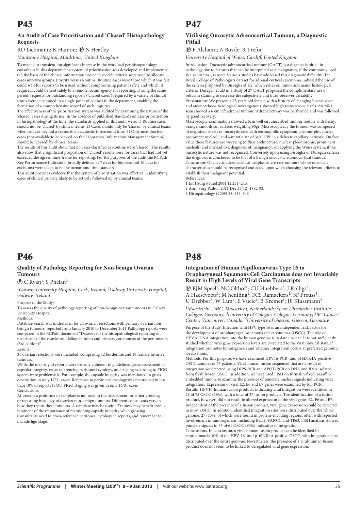#### **An Audit of Case Prioritisation and 'Chased' Histopathology Requests**

#### RD Liebmann; K Hamon; ® N Heatley

*Maidstone Hospital, Maidstone, United Kingdom*

To manage a transient but significant increase in the workload per histopathology consultant in this department a system of prioritisation was developed and implemented. On the basis of the clinical information provided specific criteria were used to allocate cases into two groups: Priority versus Routine. Routine cases were those which it was felt could wait for reports to be issued without compromising patient safety and which, if required, could be sent safely to a remote locum agency for reporting. During the same period, requests for outstanding reports ('chased cases') required by a variety of clinical teams were telephoned to a single point of contact in the department, enabling the formation of a comprehensive record of such inquiries.

The effectiveness of the prioritisation system was audited by examining the nature of the 'chased' cases during its use. In the absence of published standards on case prioritisation in histopathology at the time, the standards applied in this audit were: 1) Routine cases should not be 'chased' by clinical teams. 2) Cases should only be 'chased' by clinical teams when delayed beyond a reasonable diagnostic turnaround time. 3) Only unauthorised cases (not available to be viewed on the Laboratory Information Management System) should be 'chased' by clinical teams.

The results of this audit show that no cases classified as Routine were 'chased'. The results also show that a significant proportion of 'chased' results were for cases that had not yet exceeded the agreed time-frame for reporting. For the purposes of the audit the RCPath Key Performance Indicators (broadly defined as 7 days for biopsies and 10 days for excisions) were taken to be the turnaround time standard.

This audit provides evidence that the system of prioritisation was effective in identifying cases of clinical priority likely to be actively followed up by clinical teams.

### **P47**

#### **Virilising Oncocytic Adrenocortical Tumour, a Diagnostic Pitfall**

#### P F Alchami; A Boyde; R Trefor

*University Hospital of Wales, Cardiff, United Kingdom*

Introduction: Oncocytic adrenocortical tumour (OACT) is a diagnostic pitfall in pathology due to features that can be interpreted as a malignancy, if the commonly used Weiss criteria1, is used. Various studies have addressed this diagnostic difficulty. The Royal College of Pathologists dataset for adrenal cortical carcinoma1 advised the use of the criteria proposed by Bisceglia et al2, which relies on minor and major histological criteria. Duregan et al3 in a study of 27 OACT proposed the complimentary use of reticulin staining to decrease the subjectivity and inter-observer variability.

Presentation: We present a 25 years old female with a history of changing hoarse voice and amenorrhoea. Serological investigations showed high testosterone levels. An MRI scan showed a 6 cm left adrenal tumour. Adrenalectomy was performed and was followed by good recovery.

Macroscopic examination showed a 6cm well circumscribed tumour nodule with fleshy, orange, smooth cut surface, weighting 90gr. Microscopically the tumour was composed of organised sheets of oncocytic cells with eosinophilic cytoplasm, pleomorphic nuclei, prominent nucleoli, and a mitotic ate of 3/50 HPF in a delicate capillary network. On face value these features are worrying (diffuse architecture, nuclear pleomorphic, prominent nucleoli) and mislead to a diagnosis of malignancy, on applying the Weiss system, if the oncocytic nature was not recognised. Conversely upon using Bisceglia or Duregan criteria the diagnosis is concluded to be that of a benign oncocytic adrenocortical tumour. Conclusion: Oncocytic adrenocortical neoplasms are rare tumours whose oncocytic

characteristics should be recognised and acted upon when choosing the relevant criteria to establish their malignant potential.

References:

1 Int J Surg Pathol 2004;12:231–243. 2 Am J Surg Pathol. 2011 Dec;35(12):1882-93.

3 Histopathology (2009) 55, 535–543

### P46

#### **Quality of Pathology Reporting for Non-benign Ovarian Tumours**

 $\circledR$  C Ryan<sup>1</sup>; S Phelan<sup>2</sup>

*1Galway University Hospital, Cork, Ireland; 2Galway University Hospital, Galway, Ireland*

Purpose of the Study:

To assess the quality of pathology reporting of non-benign ovarian tumours in Galway University Hospital Methods:

Database search was undertaken for all ovarian resections with primary ovarian nonbenign tumours, reported from January 2010 to December 2011 Pathology reports were compared to the RCPath document "Datasets for the histopathological reporting of neoplasms of the ovaries and fallopian tubes and primary carcinomas of the peritoneum (3rd edition)". Results:

31 ovarian resections were included, comprising 12 borderline and 19 frankly invasive tumours.

While the majority of reports were broadly adherent to guidelines, gross assessment of capsular integrity, cross-referencing peritoneal cytology, and staging according to FIGO system were problematic. For example, the capsule integrity was mentioned in gross description in only 17/31 cases. Reference to peritoneal cytology was mentioned in less than 10% of reports (3/31) FIGO staging was given in only 16/31 cases. Conclusions:

At present a proforma or template is not used in the department for either grossing or reporting histology of ovarian non-benign tumours. Different consultants vary in how they report these tumours. A template may be useful. Trainees may benefit from a reminder of the importance of mentioning capsule integrity when grossing. Consultants need to cross-reference peritoneal cytology in reports, and remember to include figo stage.

### **P48**

#### **Integration of Human Papillomavirus Type 16 in Oropharyngeal Squamous Cell Carcinomas does not Invariably Result in High Levels of Viral Gene Transcripts**

 $\circledR$  EJM Speel<sup>1</sup>; NC Olthof<sup>1</sup>; CU Huebbers<sup>2</sup>; J Kolligs<sup>2</sup>; A Haesevoets<sup>1</sup>; M henfling<sup>1</sup>; FCS Ramaekers<sup>1</sup>; SF Preuss<sup>3</sup>; U Drebber<sup>3</sup>; W Lam<sup>4</sup>; E Vucic<sup>4</sup>; B Kremer<sup>1</sup>; JP Klussmann<sup>5</sup>

*1Maastricht UMC, Maastricht, Netherlands; 2Jean Uhrmacher Institute, Cologne, Germany; 3University of Cologne, Cologne, Germany; 4BC Cancer Center, Vancouver, Canada; 5University of Giessen, Giessen, Germany*

Purpose of the study. Infection with HPV type 16 is an independent risk factor for the development of oropharyngeal squamous cell carcinomas (OSCC). The role of HPV16 DNA integration into the human genome is to date unclear. It is not sufficiently studied whether viral gene expression levels are correlated to the viral physical state, if integration promotes tumorigenesis and whether integration occurs at preferred genomic localizations.

Methods. For this purpose, we have examined HPV16-PCR- and p16INK4A-positive OSCC samples of 75 patients. Viral-human fusion sequences that are a result of integration we detected using DIPS-PCR and APOT-PCR on DNA and RNA isolated from fresh frozen OSCC. In addition, we have used FISH on formalin-fixed, paraffinembedded tumors to examine the presence of punctate nuclear signals indicating viral integration. Expression of viral E2, E6 and E7 genes were examined by RT-PCR. Results. HPV16-human fusion products indicating viral integration were identified in 29 of 75 OSCC (39%), with a total of 37 fusion products. The identification of a fusion product, however, did not result in altered expression of the viral genes E2, E6 and E7. Independent of the presence of a fusion product, viral gene expression could be detected in most OSCC. In addition, identified integration sites were distributed over the whole genome, 27 (73%) of which were found in protein-encoding regions, often with reported involvement in tumorigenesis, including BCL2, FANCC and TP63. FISH analysis showed punctate signals in 55 of 61 OSCC (90%) indicative of integration. Conclusions. In conclusion, a viral-human fusion product can be identified in

approximately 40% of the HPV-16- and p16INK4A-positive OSCC, with integration sites distributed over the entire genome. Nevertheless, the presence of a viral-human fusion product does not seem to be linked to deregulated viral gene expression.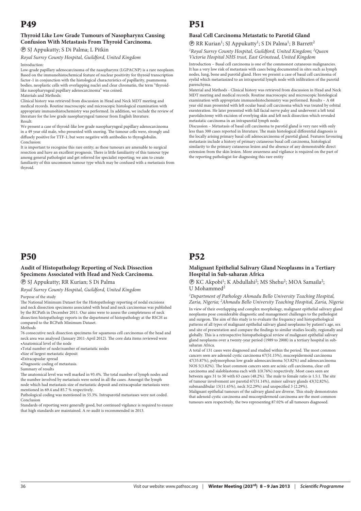#### **Thyroid Like Low Grade Tumours of Nasopharynx Causing Confusion With Metastasis From Thyroid Carcinoma.**

P SJ Appukutty; S Di Palma; L Pitkin

*Royal Surrey County Hospital, Guildford, United Kingdom*

Introduction:

Low-grade papillary adenocarcinoma of the nasopharynx (LGPACNP) is a rare neoplasm. Based on the immunohistochemical feature of nuclear positivity for thyroid transcription factor-1 in conjunction with the histological characteristics of papillarity, psammoma bodies, neoplastic cells with overlapping nuclei and clear chromatin, the term "thyroidlike nasopharyngeal papillary adenocarcinoma" was coined. Materials and Methods:

Clinical history was retrieved from discussion in Head and Neck MDT meeting and medical records. Routine macroscopic and microscopic histological examination with appropriate immunohistochemistry was performed. In addition, we include the review of literature for the low grade nasopharyngeal tumour from English literature. Result:

We present a case of thyroid-like low grade nasopharyngeal papillary adenocarcinoma in a 49 year old male, who presented with snoring. The tumour cells were, strongly and diffusely positive for TTF-1; but were negative with antibodies to thyroglobulin. Conclusion:

It is important to recognise this rare entity; as these tumours are amenable to surgical resection and have an excellent prognosis. There is little familiarity of this tumour type among general pathologist and get referred for specialist reporting; we aim to create familiarity of this uncommon tumour type which may be confused with a metastasis from thyroid.

### P51

#### **Basal Cell Carcinoma Metastatic to Parotid Gland**

P RR Kurian1; SJ Appukutty1; S Di Palma1; B Barrett2

*1Royal Surrey County Hospital, Guildford, United Kingdom; 2Queen Victoria Hospital NHS trust, East Grinstead, United Kingdom*

Introduction – Basal cell carcinoma is one of the commonest cutaneous malignancies. It has a very low risk of metastasis with cases being documented in sites such as lymph nodes, lung, bone and parotid gland. Here we present a case of basal cell carcinoma of eyelid which metastasized to an intraparotid lymph node with infiltration of the parotid parenchyma.

Material and Methods - Clinical history was retrieved from discussion in Head and Neck MDT meeting and medical records. Routine macroscopic and microscopic histological examination with appropriate immunohistochemistry was performed. Results – A 68 year old man presented with left ocular basal cell carcinoma which was treated by orbital exenteration. He later presented with full facial nerve palsy and underwent a left total parotidectomy with excision of overlying skin and left neck dissection which revealed metastatic carcinoma in an intraparotid lymph node.

Discussion – Metastasis of basal cell carcinoma to parotid gland is very rare with only less than 300 cases reported in literature. The main histological differential diagnosis is the locally arising primary basal cell adenocarcinoma of parotid gland. Features favouring metastasis include a history of primary cutaneous basal cell carcinoma, histological similarity to the primary cutaneous lesion and the absence of any demonstrable direct extension from the skin lesion. More awareness and vigilance is required on the part of the reporting pathologist for diagnosing this rare entity

### **P50**

#### **Audit of Histopathology Reporting of Neck Dissection Specimens Associated with Head and Neck Carcinoma.**

P SJ Appukutty; RR Kurian; S Di Palma

*Royal Surrey County Hospital, Guildford, United Kingdom*

Purpose of the study

The National Minimum Dataset for the Histopathology reporting of nodal excisions and neck dissection specimens associated with head and neck carcinomas was published by the RCPath in December 2011. Our aims were to assess the completeness of neck dissection histopathology reports in the department of histopathology at the RSCH as compared to the RCPath Minimum Dataset.

Methods

76 consecutive neck dissection specimens for squamous cell carcinomas of the head and neck area was analysed (January 2011-April 2012). The core data items reviewed were •Anatomical level of the node

•Total number of node/number of metastatic nodes

•Size of largest metastatic deposit

•Extracapsular spread

•Diagnostic coding of metastasis.

Summary of results

The anatomical level was well marked in 93.4%. The total number of lymph nodes and the number involved by metastasis were noted in all the cases. Amongst the lymph node which had metastasis size of metastatic deposit and extracapsular metastasis were mentioned in 69.4 and 85.7 % respectively.

Pathological coding was mentioned in 55.3%. Intraparotid metastases were not coded. Conclusion

Standards of reporting were generally good, but continued vigilance is required to ensure that high standards are maintained. A re-audit is recommended in 2013.

### P52

#### **Malignant Epithelial Salivary Gland Neoplasms in a Tertiary Hospital in Sub-saharan Africa**

P KC Akpobi1; K Abdullahi2; MS Shehu2; MOA Samaila2; U Mohammed2

*1Department of Pathology Ahmadu Bello University Teaching Hospital, Zaria, Nigeria; 2Ahmadu Bello University Teaching Hospital, Zaria, Nigeria*

In view of their overlapping and complex morphology, malignant epithelial salivary gland neoplasms pose considerable diagnostic and management challenges to the pathologist and surgeon. The aim of this study is to evaluate the frequency and histopathological patterns of all types of malignant epithelial salivary gland neoplasms by patient's age, sex and site of presentation and compare the findings to similar studies locally, regionally and globally. This is a retrospective histopathological review of malignant epithelial salivary gland neoplasms over a twenty-year period (1989 to 2008) in a tertiary hospital in subsaharan Africa.

A total of 131 cases were diagnosed and studied within the period. The most common cancers seen are adenoid cystic carcinoma 67(51.15%), mucoepidermoid carcinoma 47(35.87%), polymorphous low grade adenocarcinoma 5(3.82%) and adenocarcinoma NOS 5(3.82%). The least common cancers seen are acinic cell carcinoma, clear cell carcinoma and sialoblastoma each with 1(0.76%) respectively. Most cases seen are between ages 31 to 50 with 63 cases (48.2%). The male to female ratio is 1.5:1. The site of tumour involvement are parotid 67(51.14%), minor salivary glands 43(32.82%), submandibular 15(11.45%), neck 3(2.29%) and unspecified 3 (2.29%).

Malignant epithelial tumours of the salivary gland are diverse. This study demonstrates that adenoid cystic carcinoma and mucoepidermoid carcinoma are the most common tumours seen respectively, the two representing 87.02% of all tumours diagnosed.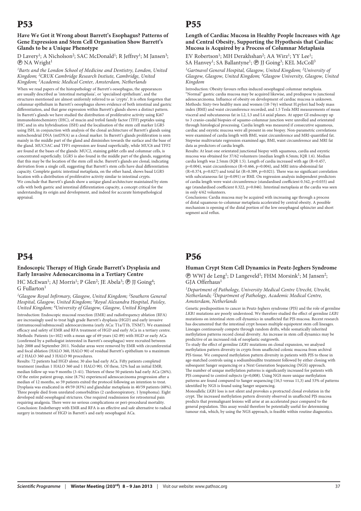#### **Have We Got it Wrong about Barrett's Esophagus? Patterns of Gene Expression and Stem Cell Organisation Show Barrett's Glands to be a Unique Phenotype**

D Lavery<sup>1</sup>; A Nicholson<sup>2</sup>; SAC McDonald<sup>1</sup>; R Jeffrey<sup>1</sup>; M Jansen<sup>3</sup>;  $\mathcal{P}$  NA Wright<sup>1</sup>

*1Barts and the London School of Medicine and Dentistry, London, United Kingdom; 2CRUK Cambridge Research Instiute, Cambridge, United Kingdom; 3Academic Medical Center, Amsterdam, Netherlands*

When we read papers of the histopathology of Barrett's oesophagus, the appearances are usually described as 'intestinal metaplasia', or 'specialised epithelium', and the structures mentioned are almost uniformly referred to as 'crypts'. It is often forgotten that columnar epithelium in Barrett's oesophagus shows evidence of both intestinal and gastric differentiation, and that gene expression within Barrett's glands shows a distinct pattern. In Barrett's glands we have studied the distribution of proliferative activity using Ki67 immunohistochemistry (IHC), of mucin and trefoil family factor (TFF) peptides using IHC and in situ hybridisation (ISH) and the localisation of the stem cell marker LGR5 using ISH, in conjunction with analysis of the clonal architecture of Barrett's glands using mitochondrial DNA (mtDNA) as a clonal marker. In Barrett's glands proliferation is seen mainly in the middle part of the gland and diminishes towards the surface and the base of the gland. MUC5AC and TFF1 expression are found superficially, while MUC6 and TFF2 are found at the bases of the glands: MUC2, staining goblet cells and columnar cells, is concentrated superficially. LGR5 is also found in the middle part of the glands, suggesting that this may be the location of the stem cell niche. Barrett's glands are clonal, indicating derivation from a single cell, suggesting that Barrett's stem cells have dual differentiation capacity. Complete gastric intestinal metaplasia, on the other hand, shows basal LGR5 location with a distribution of proliferative activity similar to intestinal crypts. We conclude that Barrett's glands show a unique gland architecture maintained by stem cells with both gastric and intestinal differentiation capacity, a concept critical for the understanding its origin and development, and indeed for accurate histopathological appraisal.

### P54

#### **Endoscopic Therapy of High Grade Barrett's Dysplasia and Early Invasive Adenocarcinoma in a Tertiary Centre**

HC McEwan<sup>1</sup>; AJ Morris<sup>1</sup>; P Glen<sup>2</sup>; JE Abela<sup>3</sup>; <sup>@</sup> JJ Going<sup>4</sup>;  $G$  Fullarton<sup>1</sup>

#### *1Glasgow Royal Infirmary, Glasgow, United Kingdom; 2Southern General Hospital, Glasgow, United Kingdom; 3Royal Alexandra Hospital, Paisley, United Kingdom; 4University of Glasgow, Glasgow, United Kingdom*

Introduction: Endoscopic mucosal resection (EMR) and radiofrequency ablation (RFA) are increasingly used to treat high grade Barrett's dysplasia (HGD) and early invasive (intramucosal/submucosal) adenocarcinoma (early ACa: T1a/T1b, TNM7). We examined efficacy and safety of EMR and RFA treatment of HGD and early ACa in a tertiary centre. Methods: Patients (n=102) with a mean age of 69 years (42-89) with HGD or early ACa (confirmed by a pathologist interested in Barrett's oesophagus) were recruited between July 2008 and September 2011. Nodular areas were removed by EMR with circumferential and focal ablation (HALO 360, HALO 90) of residual Barrett's epithelium to a maximum of 2 HALO 360 and 3 HALO 90 procedures.

Results: 72 patients had HGD alone; 30 also had early ACa. Fifty patients completed treatment (median 1 HALO 360 and 1 HALO 90). Of these, 52% had an initial EMR; median follow up was 9 months (3-41). Thirteen of these 50 patients had early ACa (26%). Of the entire patient group, nine (8.7%) experienced adenocarcinoma progression after a median of 12 months, so 59 patients exited the protocol following an intention to treat. Dysplasia was eradicated in 49/59 (83%) and glandular metaplasia in 40/59 patients (68%). Three people died from unrelated comorbidities (2 cardiorespiratory, 1 lymphoma). Eight developed mild oesophageal strictures. One required readmission for retrosternal pain requiring analgesia. There were no serious complications or peri-procedural mortality. Conclusion: Endotherapy with EMR and RFA is an effective and safe alternative to radical surgery in treatment of HGD in Barrett's and early oesophageal ACa.

### **P55**

#### **Length of Cardiac Mucosa in Healthy People Increases with Age and Central Obesity, Supporting the Hypothesis that Cardiac Mucosa is Acquired by a Process of Columnar Metaplasia**

EV Robertson<sup>1</sup>; MH Derakhshan<sup>2</sup>; AA Wirz<sup>1</sup>; YY Lee<sup>1</sup>; SA Hanvey<sup>1</sup>; SA Ballantyne<sup>1</sup>; <sup>@</sup> JJ Going<sup>3</sup>; KEL McColl<sup>3</sup>

*1Gartnavel General Hospital, Glasgow, United Kingdom; 2University of Glasgow, Glasgow, United Kingdom; 3Glasgow University, Glasgow, United Kingdom*

Introduction: Obesity favours reflux-induced oesophageal columnar metaplasia. "Normal" gastric cardia mucosa may be acquired likewise, and predispose to junctional adenocarcinoma. Influence of obesity on development of cardiac mucosa is unknown. Methods: Sixty-two healthy men and women (18-74y) without H.pylori had body mass index (BMI) and waist circumference recorded, and 1.5 Tesla MRI measurements of mean visceral and subcutaneous fat in L2, L3 and L4 axial planes. At upper GI endoscopy up to 3 cranio-caudal biopsies of squamo-columnar junction were unrolled and orientated through histological processing. Cardia length was measured if consecutive squamous, cardiac and oxyntic mucosa were all present in one biopsy. Non-parametric correlations were examined of cardia length with BMI, waist circumference and MRI-quantified fat. Stepwise multivariate regression examined age, BMI, waist circumference and MRI fat data as predictors of cardia length.

Results: At least one orientated junctional biopsy with squamous, cardia and oxyntic mucosa was obtained for 37/62 volunteers (median length 6.5mm; IQR 1.6). Median cardia length was 2.5mm (IQR 1.5). Length of cardia increased with age (R=0.457, p=0.004), waist circumference (R=0.466, p=0.004), and MRI intra-abdominal fat (R=0.374, p=0.027) and total fat (R=0.389, p=0.021). There was no significant correlation with subcutaneous fat (p=0.091) or BMI. On regression analysis independent predictors of cardia length were waist circumference (standardised coefficient 0.342, p=0.035) and age (standardised coefficient 0.322, p=0.046). Intestinal metaplasia at the cardia was seen in only 4/62 volunteers.

Conclusions: Cardia mucosa may be acquired with increasing age through a process of distal squamous-to-columnar metaplasia accelerated by central obesity. A possible mechanism is opening of the distal portion of the low oesophageal sphincter and short segment acid reflux.

### P56

#### **Human Crypt Stem Cell Dynamics in Peutz-Jeghers Syndrome**

P WWJ de Leng1; D Langeveld1; FHM Morsink1; M Jansen2; GJA Offerhaus<sup>1</sup>

#### *1Department of Pathology, University Medical Centre Utrecht, Utrecht, Netherlands; 2Department of Pathology, Academic Medical Centre, Amsterdam, Netherlands*

Genetic predisposition to cancer in Peutz-Jeghers syndrome (PJS) and the role of germline *LKB1* mutations are poorly understood. We therefore studied the effect of germline *LKB1* mutations on intestinal stem cell dynamics in unaffected flat PJS mucosa. Recent research has documented that the intestinal crypt houses multiple equipotent stem cell lineages. Lineages continuously compete through random drifts, while somatically inherited methylation patterns record clonal diversity. An increase in stem cell dynamics may be predictive of an increased risk of neoplastic outgrowth.

To study the effect of germline *LKB1* mutations on clonal expansion, we analysed methylation pattern diversity in crypts from unaffected colonic mucosa from archival PJS tissue. We compared methylation pattern diversity in patients with PJS to those in age-matched controls using a sodiumbisulfite treatment followed by either cloning with subsequent Sanger sequencing or a Next Generation Sequencing (NGS) approach. The number of unique methylation patterns is significantly increased for patients with PJS compared to control subjects (p=0,008). Using NGS more unique methylation patterns are found compared to Sanger sequencing (16,5 versus 11,3) and 53% of patterns identified by NGS is found using Sanger sequencing.

Monoallelic *LKB1* loss is not silent and provokes a protracted clonal evolution in the crypt. The increased methylation pattern diversity observed in unaffected PJS mucosa predicts that premalignant lesions will arise at an accelerated pace compared to the general population. This assay would therefore be potentially useful for determining tumour risk, which, by using the NGS approach, is feasible within routine diagnostics.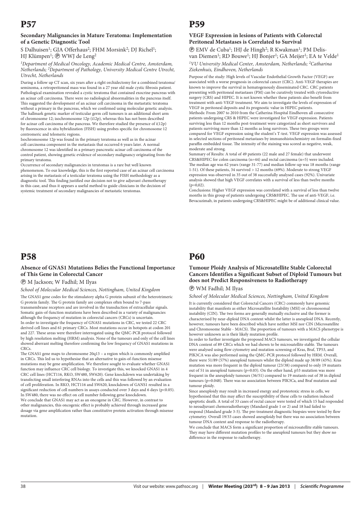#### **Secondary Malignancies in Mature Teratoma: Implementation of a Genetic Diagnostic Tool**

S Dalhuisen<sup>1</sup>; GJA Offerhaus<sup>2</sup>; FHM Morsink<sup>2</sup>; DJ Richel<sup>1</sup>; HJ Klümpen<sup>1</sup>; <sup>(2)</sup> WWJ de Leng<sup>2</sup>

*1Department of Medical Oncology, Academic Medical Centre, Amsterdam, Netherlands; 2Department of Pathology, University Medical Centre Utrecht, Utrecht, Netherlands*

During a follow up CT scan, six years after a right orchidectomy for a combined teratoma/ seminoma, a retroperitoneal mass was found in a 27 year old male cystic fibrosis patient. Pathological examination revealed a cystic teratoma that contained exocrine pancreas with an acinar cell carcinoma. There were no radiological abnormalities in the pancreas itself. This suggested the development of an acinar cell carcinoma in the metastatic teratoma without a primary in the pancreas, which we confirmed using molecular genetic analysis. The hallmark genetic marker of testicular germ cell tumours is an additional short arm of chromosome 12; isochromosome 12p (i12p), whereas this has not been described for acinar cell carcinoma of the pancreas. We therefore studied the presence of i(12p) by fluorescence in situ hybridization (FISH) using probes specific for chromosome 12 centromeric and telomeric regions.

Isochromosome 12p was found in the primary teratoma as well as in the acinar cell carcinoma component in the metastasis that occurred 6 years later. A normal chromosome 12 was identified in a primary pancreatic acinar cell carcinoma of the control patient, showing genetic evidence of secondary malignancy originating from the primary teratoma.

Occurrence of secondary malignancies in teratomas is a rare but well known phenomenon. To our knowledge, this is the first reported case of an acinar cell carcinoma arising in the metastasis of a testicular teratoma using the FISH methodology as a diagnostic tool. This finding justified our decision not to give adjuvant chemotherapy in this case, and thus it appears a useful method to guide clinicians in the decision of systemic treatment of secondary malignancies of metastatic teratomas.

### **P59**

#### **VEGF Expression in lesions of Patients with Colorectal Peritoneal Metastases is Correlated to Survival**

 $\textcircled{P}$  EMV de Cuba<sup>1</sup>; IHJ de Hingh<sup>2</sup>; R Kwakman<sup>1</sup>; PM Delisvan Diemen<sup>1</sup>; RD Bouwe<sup>1</sup>; HJ Bonjer<sup>1</sup>; GA Meijer<sup>1</sup>; EA te Velde<sup>1</sup>

*1VU University Medical Center, Amsterdam, Netherlands; 2Catharina Ziekenhuis, Eindhoven, Netherlands*

Purpose of the study: High levels of Vascular Endothelial Growth Factor (VEGF) are associated with a worse prognosis in colorectal cancer (CRC). Anti-VEGF therapies are known to improve the survival in hematogenously disseminated CRC. CRC patients presenting with peritoneal metastases (PM) can be curatively treated with cytoreductive surgery (CRS) and HIPEC. It is not known whether these patients also benefit from treatment with anti-VEGF treatment. We aim to investigate the levels of expression of VEGF in peritoneal deposits and its prognostic value in HIPEC patients.

Methods: From 2007 to 2010 from the Catherina Hospital Eindhoven all consecutive patients undergoing CRS & HIPEC were investigated for VEGF expression. Patients surviving less than 12 months post-treatment were categorized as short survivors and patients surviving more than 12 months as long survivors. These two groups were compared for VEGF expression using the student's T-test. VEGF expression was assessed in selected sections of peritoneal metastases by immunohistochemistry on formalin-fixed paraffin embedded tissue. The intensity of the staining was scored as negative, weak, moderate and strong.

Summary of Results: A total of 49 patients (22 male and 27 female) that underwent CRS&HIPEC for colon carcinoma (n=44) and rectal carcinoma (n=5) were included. The median age was 62 years (range 31-77) and median follow-up was 18 months (range 1-51). Of these patients, 34 survived > 12 months (69%). Moderate to strong VEGF expression was observed in 35 out of 38 successfully analysed cases (92%). Univariate analysis showed that high VEGF correlates with a survival of less than twelve months  $(p=0,02)$ .

Conclusions: Higher VEGF expression was correlated with a survival of less than twelve months in this group of patients undergoing CRS&HIPEC. The use of anti-VEGF, i.e. Bevacuzimab, in patients undergoing CRS&HIPEC might be of additional clinical value.

### P58

#### **Absence of GNAS1 Mutations Belies the Functional Importance of This Gene in Colorectal Cancer**

#### P M Jackson; W Fadhil; M Ilyas

#### *School of Molecular Medical Sciences, Nottingham, United Kingdom*

The GNAS1 gene codes for the stimulatory alpha G protein subunit of the heterotrimeric G protein family. The G protein family are complexes often bound to 7-pass transmembrane receptors and are involved in the transduction of extracellular signals. Somatic gain-of-function mutations have been described in a variety of malignancies although the frequency of mutation in colorectal cancers (CRCs) is uncertain. In order to investigate the frequency of GNAS1 mutations in CRC, we tested 22 CRC derived cell lines and 61 primary CRCs. Most mutations occur in hotspots at codon 201 and 227. These areas were therefore interrogated using the QMC-PCR protocol followed by high resolution melting (HRM) analysis. None of the tumours and only of the cell lines showed aberrant melting therefore confirming the low frequency of GNAS1 mutations in CRCs.

The GNAS1 gene maps to chromosome 20q13 – a region which is commonly amplified in CRCs. This led us to hypothesise that an alternative to gain-of-function misense mutations may be gene amplification. We therefore sought to evaluate whether GNAS1 function may influence CRC cell biology. To investigate this, we knocked GNAS1 in 4 CRC cell lines (HCT116, RKO, SW480, SW620). Gene knockdown was undertaking by transfecting small interfering RNAs into the cells and this was followed by an evaluation of cell proliferation. In RKO, HCT116 and SW620, knockdown of GANS1 resulted in a significant reduction of cell numbers in assays conducted over 3 days and 6 days (p<0.05). In SW480, there was no effect on cell number following gene knockdown. We conclude that GNAS1 may act as an oncogene in CRC. However, in contrast to other malignancies, this oncogenic effect is probably achieved through increased gene dosage via gene amplification rather than constitutive protein activation through misense mutation.

### **P60**

#### **Tumour Ploidy Analysis of Microsatellite Stable Colorectal Cancers Identifies a Significant Subset of Diploid Tumours but does not Predict Responsiveness to Radiotherapy**

#### P WM Fadhil; M Ilyas

*School of Molecular Medical Sciences, Nottingham, United Kingdom*

It is currently considered that Colorectal Cancers (CRC) commonly have genomic instability that manifests as either Microsatellite Instability (MSI) or chromosomal instability (CIN). The two forms are generally mutually exclusive and the former is characterised by near-diploid DNA content whilst the latter is aneuploid DNA. Recently, however, tumours have been described which have neither MSI nor CIN (Microsatellite and Chromosome Stable - MACS). The proportion of tumours with a MACS phenotype is however unknown as is their likely mutation profile.

In order to further investigate the proposed MACS tumours, we investigated the cellular DNA content of 89 CRCs which we had shown to be microsatellite stable. The tumours were analysed using flow cytometry and mutation screening of Kras, Braf, TP53, and PIK3CA was also performed using the QMC-PCR protocol followed by HRM. Overall, there were 51/89 (57%) aneuploid tumours whilst the diploid made up 38/89 (43%). Kras mutation was more frequent in the diploid tumour (23/38) compared to only 19 mutants out of 51 in aneuploid tumours (p=0.03). On the other hand, p53 mutation was more frequent in the aneuploidy tumours (36/51) compared to 19 mutants out of 38 in diploid tumours (p=0.048). There was no association between PIK3Ca, and Braf mutation and tumour ploidy.

Since aneuploidy may result in increased energy and proteotoxic stress in cells, we hypothesised that this may affect the susceptibility of these cells to radiation induced apoptotic death. A total of 33 cases of rectal cancer were tested of which 15 had responded to neoadjuvant chemoradiotherapy (Mandard grade 1 or 2) and 18 had failed to respond (Mandard grade 3-5). The pre-treatment diagnostic biopsies were tested by flow cytometry. Overall 19/33 cases showed aneuploidy but there was no association between tumour DNA content and response to the radiotherapy.

We conclude that MACS form a significant proportion of microsatellite stable tumours. They may have different mutation profiles to the aneuploid tumours but they show no difference in the response to radiotherapy.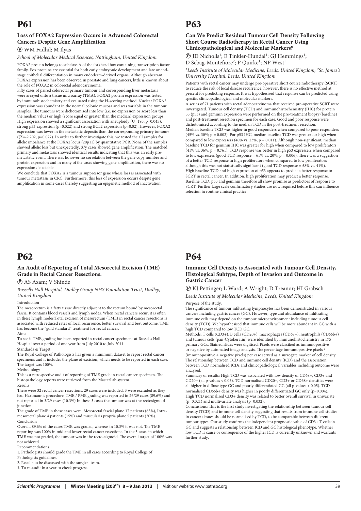#### **Loss of FOXA2 Expression Occurs in Advanced Colorectal Cancers Despite Gene Amplification**

#### P WM Fadhil; M Ilyas

*School of Molecular Medical Sciences, Nottingham, United Kingdom*

FOXA2 protein belongs to subclass A of the forkhead box containing transcription factor family. Fox proteins are essential for both early embryonic development and late or endstage epithelial differentiation in many endoderm-derived organs. Although aberrant FOXA2 expression has been observed in prostate and lung cancers, little is known about the role of FOXA2 in colorectal adenocarcinoma.

Fifty cases of paired colorectal primary tumour and corresponding liver metastasis were arrayed onto a tissue microarray (TMA). FOXA2 protein expression was tested by immunohistochemistry and evaluated using the H-scoring method. Nuclear FOXA2 expression was abundant in the normal colonic mucosa and was variable in the tumour samples. The tumours were dichotomised into low (i.e. no expression or score less than the median value) or high (score equal or greater than the median) expression groups. High expression showed a significant association with aneuploidy (U=195, p=0.045), strong p53 expression (p=0.022) and strong BCL2 expression (p=0.02). However, FOXA2 expression was lower in the metastatic deposits than the corresponding primary tumours  $(Z=-2.202, p=0.027)$ . In order to further investigate this, we tested the all samples for allelic imbalance at the FOXA2 locus (20p11) by quantitative PCR. None of the samples showed allelic loss but unexpectedly, X/y cases showed gene amplification. The matched primary and metastasis showed identical results indicating that this was an early premetastatic event. There was however no correlation between the gene copy number and protein expression and in many of the cases showing gene amplification, there was no expression detectable.

We conclude that FOXA2 is a tumour suppressor gene whose loss is associated with tumour metastasis in CRC. Furthermore, this loss of expression occurs despite gene amplification in some cases thereby suggesting an epigenetic method of inactivation.

### P63

#### **Can We Predict Residual Tumour Cell Density Following Short Course Radiotherapy in Rectal Cancer Using Clinicopathological and Molecular Markers?**

 $\textcircled{P}$  JD Nicholls<sup>1</sup>; E Tinkler-Hundal<sup>1</sup>; GJ Hemmings<sup>1</sup>; D Sebag-Montefiore<sup>2</sup>; P Quirke<sup>1</sup>; NP West<sup>1</sup>

*1Leeds Institute of Molecular Medicine, Leeds, United Kingdom; 2St. James's University Hospital, Leeds, United Kingdom*

Patients with rectal cancer may undergo pre-operative short course radiotherapy (SCRT) to reduce the risk of local disease recurrence, however, there is no effective method at present for predicting response. It was hypothesised that response can be predicted using specific clinicopathological and molecular markers.

A series of 71 patients with rectal adenocarcinoma that received pre-operative SCRT were investigated. Tumour cell density (TCD) and immunohistochemistry (IHC) for protein 53 (p53) and geminin expression were performed on the pre-treatment biopsy (baseline) and post-treatment resection specimen for each case. Good and poor response were dichotomised according to the median TCD in the post-treatment resection. Median baseline TCD was higher in good responders when compared to poor responders (45% vs. 30%;  $p = 0.002$ ). For p53 IHC, median baseline TCD was greater for high when compared to low expressers (40% vs. 23%;  $p = 0.011$ ). Although non-significant, median baseline TCD for geminin IHC was greater for high when compared to low proliferators (41% vs. 36%;  $p = 0.761$ ). TCD response was better in high p53 expressers when compared to low expressers (good TCD response = 61% vs. 20%;  $p = 0.006$ ). There was a suggestion of a better TCD response in high proliferators when compared to low proliferators although this was not statistically significant (good TCD response =  $58\%$  vs. 41%). High baseline TCD and high expression of p53 appears to predict a better response to SCRT in rectal cancer. In addition, high proliferation may predict a better response. Baseline TCD, p53 and geminin therefore all show promise as predictors of response to SCRT. Further large scale confirmatory studies are now required before this can influence selection in routine clinical practice.

### P62

#### **An Audit of Reporting of Total Mesorectal Excision (TME) Grade in Rectal Cancer Resections.**

#### P AS Azam; V Shinde

#### *Russells Hall Hospital, Dudley Group NHS Foundation Trust, Dudley, United Kingdom*

#### Introduction

The mesorectum is a fatty tissue directly adjacent to the rectum bound by mesorectal fascia. It contains blood vessels and lymph nodes. When rectal cancers recur, it is often in these lymph nodes.Total excision of mesorectum (TME) in rectal cancer resections is associated with reduced rates of local recurrence, better survival and best outcome. TME has become the "gold standard" treatment for rectal cancer. Aims

#### To see if TME grading has been reported in rectal cancer specimens at Russells Hall Hospital over a period of one year from July 2010 to July 2011.

Standards & Target

The Royal College of Pathologists has given a minimum dataset to report rectal cancer specimens and it includes the plane of excision, which needs to be reported in each case. The target was 100%.

#### Methodology

This is a retrospective audit of reporting of TME grade in rectal cancer specimen. The histopathology reports were retrieved from the MasterLab system. Results

There were 32 rectal cancer resections. 29 cases were included. 3 were excluded as they had Hartmann's procedure. TME / PME grading was reported in 26/29 cases (89.6%) and not reported in 3/29 cases (10.3%) In these 3 cases the tumour was at the rectosigmoid junction.

The grade of TME in these cases were: Mesorectal fascial plane 17 patients (65%), Intramesorectal plane 4 patients (15%) and muscularis propria plane 5 patients (20%). Conclusion

Overall, 89.6% of the cases TME was graded, whereas in 10.3% it was not. The TME reporting was 100% in mid and lower rectal cancer resections. In the 3 cases in which TME was not graded, the tumour was in the recto-sigmoid. The overall target of 100% was not achieved.

Recommendations

1. Pathologists should grade the TME in all cases according to Royal College of

Pathologists guidelines.

2. Results to be discussed with the surgical team.

3. To re-audit in a year to check progress.

### P64

#### **Immune Cell Density is Associated with Tumour Cell Density, Histological Subtype, Depth of Invasion and Outcome in Gastric Cancer**

#### P KJ Pettinger; L Ward; A Wright; D Treanor; HI Grabsch

*Leeds Institute of Molecular Medicine, Leeds, United Kingdom* Purpose of the study:

The significance of tumour infiltrating lymphocytes has been demonstrated in various cancers including gastric cancer (GC). However, type and abundance of infiltrating immune cells may depend on the tumour microenvironment including tumour cell density (TCD). We hypothesised that immune cells will be more abundant in GC with a high TCD compared to low TCD GC.

Methods: T cells (CD3+), B cells (CD20+), macrophages (CD68+), neutrophils (CD66b+) and tumour cells (pan-Cytokeratin) were identified by immunohistochemistry in 175 primary GCs. Stained slides were digitised. Pixels were classified as immunopositive or negative by automated image analysis. The percentage immunopositive pixels / (immunopositive + negative pixels) per case served as a surrogate marker of cell density. The relationship between TCD and immune cell density (ICD) and the association between TCD normalised ICDs and clinicopathological variables including outcome were analysed.

Summary of results: High TCD was associated with low density of CD68+, CD3+ and CD20+ (all p-values < 0.05). TCD normalised CD20+, CD3+ or CD68+ densities were all higher in diffuse type GC and poorly differentiated GC (all p-values < 0.05). TCD normalised CD66b+ density was higher in poorly differentiated GC only (p=0.004). High TCD normalised CD3+ density was related to better overall survival in univariate (p=0.021) and multivariate analysis (p=0.032).

Conclusions: This is the first study investigating the relationship between tumour cell density (TCD) and immune cell density suggesting that results from immune cell studies in cancer tissues should be normalised by TCD, to be comparable between different tumour types. Our study confirms the independent prognostic value of CD3+ T cells in GC and suggests a relationship between ICD and GC histological phenotype. Whether low TCD is cause or consequence of the higher ICD is currently unknown and warrants further study.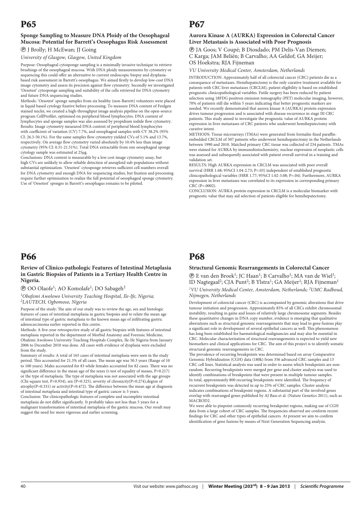### **Sponge Sampling to Measure DNA Ploidy of the Oesophageal Mucosa: Potential for Barrett's Oesophagus Risk Assessment**

P J Brolly; H McEwan; JJ Going

*University of Glasgow, Glasgow, United Kingdom*

Purpose: Oesophageal cytosponge sampling is a minimally invasive technique to retrieve brushings of the oesophageal mucosa. With DNA ploidy measurements by cytometry or sequencing this could offer an alternative to current endoscopic biopsy and dysplasiabased risk assessment in Barrett's oesophagus. We aimed firstly to develop low-cost DNA image cytometry and assess its precision against flow cytometry. Secondly we investigated 'Oesotest' cytosponge sampling and suitability of the cells retrieved for DNA cytometry and future DNA sequencing studies.

Methods: 'Oesotest' sponge samples from six healthy (non-Barrett) volunteers were placed in liquid based cytology fixative before processing. To measure DNA content of Feulgen stained nuclei, we created a high-throughput image analysis pipeline on the open-source program CellProfiler, optimised on peripheral blood lymphocytes. DNA content of lymphocytes and sponge samples was also assessed by propidium iodide flow cytometry. Results: Image cytometry measured DNA content of peripheral blood lymphocytes with coefficient of variation (CV) 7.7%, and oesophageal samples with CV 38.2% (95% CI: 26.3-50.1%). For the same samples flow cytometry yielded CVs of 5.1% and 13.7%, respectively. On average flow cytometry varied absolutely by 10.4% less than image cytometry (95% CI: 0.31-21.51%). Total DNA extractable from one oesophageal sponge cytology sample was estimated at 25µg.

Conclusions: DNA content is measurable by a low cost image cytometry assay, but high CVs are unlikely to allow reliable detection of aneuploid sub-populations without substantial optimisation. 'Oesotest' cytosponge retrieves sufficient cell numbers overall for DNA cytometry and enough DNA for sequencing studies, but fixation and processing require further optimisation to realize the full potential of oesophageal sponge cytometry. Use of 'Oesotest' sponges in Barrett's oesophagus remains to be piloted.

### **P67**

#### **Aurora Kinase A (AURKA) Expression in Colorectal Cancer Liver Metastasis is Associated with Poor Prognosis**

P JA Goos; V Coupé; B Diosdado; PM Delis-Van Diemen; C Karga; JAM Beliën; B Carvalho; AA Geldof; GA Meijer; OS Hoekstra; RJA Fijneman

#### *VU University Medical Center, Amsterdam, Netherlands*

INTRODUCTION: Approximately half of all colorectal cancer (CRC) patients die as a consequence of metastases. Hemihepatectomy is the only curative treatment available for patients with CRC liver metastases (CRCLM), patient eligibility is based on established prognostic clinicopathological variables. Futile surgery has been reduced by patient selection using 18FDG positron emission tomography (PET) molecular imaging, however, 70% of patients still die within 5 years indicating that better prognostic markers are needed. We recently demonstrated that aurora kinase A (AURKA) protein expression drives tumour progression and is associated with disease recurrence in stage III CRC patients. This study aimed to investigate the prognostic value of AURKA protein expression in liver metastases of CRC patients who underwent hemihepatectomy with curative intent.

METHODS: Tissue microarrays (TMAs) were generated from formalin-fixed paraffinembedded CRCLM of 507 patients who underwent hemihepatectomy in the Netherlands between 1990 and 2010. Matched primary CRC tissue was collected of 234 patients. TMAs were stained for AURKA by immunohistochemistry, nuclear expression of neoplastic cells was assessed and subsequently associated with patient overall survival in a training and validation set.

RESULTS: High AURKA expression in CRCLM was associated with poor overall survival (HRR 1.68; 95%CI 1.04-2.73; P=.03) independent of established prognostic clinicopathological variables (HRR 1.77; 95%CI 1.02-3.08; P=.04). Furthermore, AURKA expression in liver metastases was correlated to its expression in corresponding primary  $CRC (P=.0002)$ .

CONCLUSION: AURKA protein expression in CRCLM is a molecular biomarker with prognostic value that may aid selection of patients eligible for hemihepatectomy.

### P66

#### **Review of Clinico-pathologic Features of Intestinal Metaplasia in Gastric Biopsies of Patients in a Tertiary Health Centre in Nigeria.**

#### P OO Olaofe1; AO Komolafe1; DO Sabageh2

*1Obafemi Awolowo University Teaching Hospital, Ile-Ife, Nigeria; 2LAUTECH, Ogbomoso, Nigeria*

Purpose of the study: The aim of our study was to review the age, sex and histologic features of cases of intestinal metaplasia in gastric biopsies and to relate the mean age of intestinal type of gastric metaplasia to the known mean age of infiltrating gastric adenocarcinoma earlier reported in this centre.

Methods: A five-year retrospective study of all gastric biopsies with features of intestinal metaplasia reported in the department of Morbid Anatomy and Forensic Medicine, Obafemi Awolowo University Teaching Hospitals Complex, Ile-Ife Nigeria from January 2006 to December 2010 was done. All cases with evidence of dysplasia were excluded from the study.

Summary of results: A total of 165 cases of intestinal metaplasia were seen in the study period. This accounted for 21.3% of all cases. The mean age was 50.3 years (Range of 10 to 100 years). Males accounted for 83 while females accounted for 82 cases. There was no significant difference in the mean age of the sexes (t-test of equality of means, P=0.217) or the type of metaplasia. The type of metaplasia was not associated with the age groups (Chi-square test, P=0.934), sex (P=0.325), severity of chronicity(P=0.274), degree of atrophy(P=0.331) or activity(P=0.472). The difference between the mean age at diagnosis of intestinal metaplasia and intestinal type of gastric cancer is 5 years. Conclusion: The clinicopathologic features of complete and incomplete intestinal metaplasia do not differ significantly. It probably takes not less than 5 years for a malignant transformation of intestinal metaplasia of the gastric mucosa. Our result may suggest the need for more vigorous and earlier screening.

### P68

#### **Structural Genomic Rearrangements in Colorectal Cancer**

 $\textcircled{P}$  E van den Broek<sup>1</sup>; JC Haan<sup>1</sup>; B Carvalho<sup>1</sup>; MA van de Wiel<sup>1</sup>; ID Nagtegaal<sup>2</sup>; CJA Punt<sup>2</sup>; B Ylstra<sup>1</sup>; GA Meijer<sup>1</sup>; RJA Fijneman<sup>1</sup>

#### *1VU University Medical Center, Amsterdam, Netherlands; 2UMC Radboud, Nijmegen, Netherlands*

Development of colorectal cancer (CRC) is accompanied by genomic alterations that drive tumour initiation and progression. Approximately 85% of all CRCs exhibit chromosomal instability, resulting in gains and losses of relatively large chromosome segments. Besides these quantitative changes in DNA copy number, evidence is emerging that qualitative aberrations such as structural genomic rearrangements that may lead to gene fusions play a significant role in development of several epithelial cancers as well. This phenomenon has long been established for haematological malignancies and may also be essential in CRC. Molecular characterization of structural rearrangements is expected to yield new biomarkers and clinical applications for CRC. The aim of this project is to identify somatic structural genomic rearrangements in CRC.

The prevalence of recurring breakpoints was determined based on array Comparative Genomic Hybridization (CGH) data (180k) from 356 advanced CRC samples and 13 CRC cell lines. Statistical analysis was used in order to assess which breakpoints are nonrandom. Recurring breakpoints were merged per gene and cluster analysis was used to identify combinations of breakpoints that were present in multiple tumour samples. In total, approximately 800 recurring breakpoints were identified. The frequency of recurrent breakpoints was detected in up to 25% of CRC samples. Cluster analysis indicates combinations of breakpoint regions. A substantial part of the involved genes overlap with rearranged genes published by AJ Bass et al. (Nature Genetics 2011), such as MACROD2.

We were able to pinpoint commonly recurring breakpoint regions, making use of CGH data from a large cohort of CRC samples. The frequencies observed are conform recent findings for CRC and other types of epithelial cancers. At present we aim to confirm identification of gene fusions by means of Next Generation Sequencing analysis.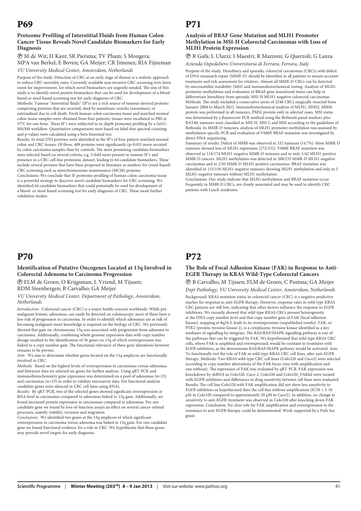#### **Proteome Profiling of Interstitial Fluids from Human Colon Cancer Tissue Reveals Novel Candidate Biomarkers for Early Diagnosis**

P M de Wit; H Kant; SR Piersma; TV Pham; S Mongera; MPA van Berkel; E Boven; GA Meijer; CR Jimenez; RJA Fijneman

*VU University Medical Center, Amsterdam, Netherlands*

Purpose of the study: Detection of CRC at an early stage of disease is a realistic approach to reduce CRC mortality rates. Currently available non-invasive CRC screening tests leave room for improvement, for which novel biomarkers are urgently needed. The aim of this study is to identify novel protein biomarkers that can be used for development of a bloodbased or stool-based screening test for early diagnosis of CRC.

Methods: Tumour "interstitial fluids" (IF's) are a rich source of tumour-derived proteins comprising proteins that are secreted, shed by membrane vesicles (exosomes), or externalised due to cell death. Fresh human colon carcinoma tissue and matched normal colon tissue samples were obtained from four patients; tissues were incubated in PBS at 37°C for one hour. These IF's were subjected to in-depth proteome profiling by a GeLC-MS/MS workflow. Quantitative comparisons were based on label-free spectral counting and p-values were calculated using a beta-binomial test.

Results: In total 2703 proteins were identified in the IF's of four patient-matched normal colon and CRC tissues. Of these, 409 proteins were significantly  $(p<0.05)$  more secreted by colon carcinoma samples than by controls. The most promising candidate biomarkers were selected based on several criteria, e.g. 5-fold more present in tumour IF's and presence in a CRC cell line proteomic dataset, leading to 64 candidate biomarkers. These include several proteins that have been proposed in literature as markers for (stool-based) CRC screening such as minichromosome maintenance (MCM) proteins.

Conclusions: We conclude that IF proteome profiling of human colon carcinoma tissue is a powerful strategy to discover novel candidate biomarkers for CRC screening. We identified 64 candidate biomarkers that could potentially be used for development of a blood- or stool-based screening test for early diagnosis of CRC. These await further validation studies.

### **P70**

#### **Identification of Putative Oncogenes Located at 13q Involved in Colorectal Adenoma to Carcinoma Progression**

P FLM de Groen; O Krijgsman; L Vriend; M Tijssen; RDM Steenbergen; B Carvalho; GA Meijer

*VU University Medical Center, Department of Pathology, Amsterdam, Netherlands*

*Introduction:* Colorectal cancer (CRC) is a major health concern worldwide. While premalignant lesions, adenomas, can easily be detected on colonoscopy, most of these have a low risk of progression to carcinoma. In order to identify which adenomas are at risk of becoming malignant more knowledge is required on the biology of CRC. We previously showed that gain on chromosome 13q was associated with progression from adenoma to carcinoma. Additionally, combining whole genome expression data with copy number dosage resulted in the identification of 36 genes on 13q of which overexpression was linked to a copy number gain. The functional relevance of these gene alterations however remains to be proven.

*Aim:* We aim to determine whether genes located on the 13q amplicon are functionally involved in CRC.

*Methods:* Based on the highest levels of overexpression in carcinomas versus adenomas and literature data we selected six genes for further analysis. Using qRT-PCR and immunohistochemistry gene expression was determined on a pool of adenomas (n=25) and carcinomas  $(n=23)$  in order to validate microarray data. For functional analysis candidate genes were silenced in CRC cell lines using RNAi.

*Results:* By qRT-PCR, two of the selected genes showed significant overexpression at RNA level in carcinomas compared to adenomas linked to 13q gain. Additionally, we found increased protein expression in carcinomas compared to adenomas. For one candidate gene we found by loss-of-function assays an effect on several cancer-related processes, namely viability, invasion and migration.

*Conclusions:* We identified two genes at the 13q amplicon of which significant overexpression in carcinoma versus adenoma was linked to 13q gain. For one candidate gene we found functional evidence for a role in CRC. We hypothesize that these genes may provide novel targets for early diagnosis.

### P71

#### **Analysis of BRAF Gene Mutation and MLH1 Promoter Methylation in MSI-H Colorectal Carcinomas with Loss of MLH1 Protein Expression**

### P R Gafà; L Ulazzi; I Maestri; R Mazzoni; G Querzoli; G Lanza

*Azienda Ospedaliero-Universitaria di Ferrara, Ferrara, Italy*

Purpose of the study. Hereditary and sporadic colorectal carcinomas (CRCs) with deficit of DNA mismatch repair (MMR-D) should be identified in all patients to ensure accurate treatment and risk assessment for relatives. Almost all MMR-D CRCs can be detected by microsatellite instability (MSI) and immunohistochemical testing. Analysis of MLH1 promoter methylation and evaluation of BRAF gene mutational status can help to differentiate hereditary from sporadic MSI-H MLH1-negative colorectal carcinomas. Methods. The study included a consecutive series of 2248 CRCs surgically resected from January 2004 to March 2012. Immunohistochemical analysis of MLH1, MSH2, MSH6 protein was performed in all tumours, PMS2 protein only in selected cases. MSI status was determined by a fluorescent PCR method using the Bethesda panel markers plus BAT40; tumours were classified as MSI-H, MSI-L and MSS according to the guidelines of Bethesda. In MMR-D tumours, analysis of MLH1 promoter methylation was assessed by methylation specific PCR and evaluation of V600E BRAF mutation was investigated by direct DNA sequencing.

Summary of results. Deficit of MMR was observed in 332 tumours (14.7%). Most MMR-D tumours showed loss of MLH1 expression (272/332). V600E BRAF mutation was observed in 118/174 MLH1-negative MMR-D tumours and in only 1/42 MLH1-positive MMR-D cancers. MLH1 methylation was detected in 208/235 MMR-D MLH1-negative carcinomas and in 2/50 MMR-D MLH1-positive carcinomas. BRAF mutation was identified in 115/150 MLH1-negative tumours showing MLH1 methylation and only in 3 MLH1-negative tumours without MLH1 methylation.

Conclusions. Our study indicate that MLH1 methylation and BRAF mutation occur frequently in MMR-D CRCs, are closely associated and may be used to identify CRC patients with Lynch syndrome.

### P72

#### **The Role of Focal Adhesion Kinase (FAK) in Response to Anti-EGFR Therapy in KRAS Wild-Type Colorectal Cancers**

#### P B Carvalho; M Tijssen; FLM de Groen; C Postma; GA Meijer

*Dept Pathology, VU University Medical Center, Amsterdam, Netherlands* Background: KRAS mutation status in colorectal cancer (CRC) is a negative predictive marker for response to anti-EGFR therapy. However, response rates in wild-type KRAS CRC patients are still low, indicating that other factors influence the response to EGFR inhibitors. We recently showed that wild-type KRAS CRCs present heterogeneity at the DNA copy number level and that copy number gain of FAK (focal adhesion kinase), mapping at 8q24.3, leads to its overexpression (unpublished results). FAK, or PTK2 (protein tyrosine kinase 2), is a cytoplasmic tyrosine kinase identified as a key mediator of signalling by integrins. The RAS/RAF/MAPK signalling pathway is one of the pathways that can be triggered by FAK. We hypothesized that wild-type KRAS CRC cells, where FAK is amplified and overexpressed, would be resistant to treatment with EGFR inhibitors, as the downstream RAS/RAF/MAPK pathway would be activated. Aim: To functionally test the role of FAK in wild-type KRAS CRC cell lines, after anti-EGFR therapy. Methods: Two KRAS wild-type CRC cell lines (Colo320 and Caco2) were selected according to copy number aberrations of the FAK locus (one with amplification and one without). The expression of FAK was evaluated by qRT-PCR. FAK expression was knockdown by shRNA in Colo320. Caco-2, Colo320 and Colo320\_FAKkd were treated with EGFR inhibitors and differences in drug sensitivity between cell lines were evaluated. Results: The cell line Colo320 with FAK amplification did not show less sensitivity to EGFR inhibitors as hypothesized then the cell line without amplification (IC50 =  $5-10$ ) μM in Colo320 compared to approximately 20 μM in Caco2). In addition, no change in sensitivity to anti-EGFR treatment was observed in Colo320 after knocking down FAK expression. Conclusion: No clear role for FAK amplification and overexpression in the resistance to anti-EGFR therapy could be demonstrated. Work supported by a Path Soc grant.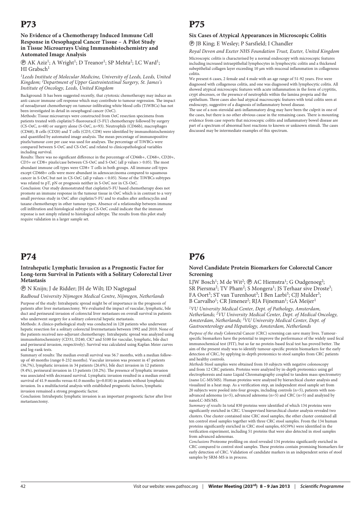## **P73**

**No Evidence of a Chemotherapy Induced Immune Cell Response in Oesophageal Cancer Tissue – A Pilot Study in Tissue Microarrays Using Immunohistochemistry and Automated Image Analysis**

 $\textcircled{P}$  AK Aziz<sup>1</sup>; A Wright<sup>1</sup>; D Treanor<sup>1</sup>; SP Mehta<sup>2</sup>; LC Ward<sup>1</sup>; HI Grabsch<sup>1</sup>

*1Leeds Institute of Molecular Medicine, University of Leeds, Leeds, United Kingdom; 2Department of Upper Gastrointestinal Surgery, St. James's Institute of Oncology, Leeds, United Kingdom*

Background: It has been suggested recently, that cytotoxic chemotherapy may induce an anti-cancer immune cell response which may contribute to tumour regression. The impact of neoadjuvant chemotherapy on tumour-infiltrating white blood cells (TiWBCs) has not been investigated in detail in oesophageal cancer (OeC).

Methods: Tissue microarrays were constructed from OeC resection specimens from patients treated with cisplatin/5-fluorouracil (5-FU) chemotherapy followed by surgery (CS-OeC, n=68) or surgery alone (S-OeC, n=93). Neutrophils (CD66b), macrophages (CD68), B cells (CD20) and T cells (CD3, CD8) were identified by immunohistochemistry and quantified by automated image analysis. The mean percentage of immunopositive pixels/tumour core per case was used for analyses. The percentage of TiWBCs were compared between S-OeC and CS-OeC and related to clinicopathological variables including survival.

Results: There was no significant difference in the percentage of CD66b+, CD68+, CD20+, CD3+ or CD8+ pixels/case between CS-OeC and S-OeC (all p values > 0.05). The most abundant immune cell types were CD8+ T cells in both groups. All immune cell types except CD66b+ cells were more abundant in adenocarcinoma compared to squamous cancer in S-OeC but not in CS-OeC (all p values < 0.05). None of the TiWBCs subtypes was related to pT, pN or prognosis neither in S-OeC nor in CS-OeC.

Conclusion: Our study demonstrated that cisplatin/5-FU based chemotherapy does not promote an immune response in the tumour tissue in OeC which is in contrast to a very small previous study in OeC after cisplatin/5-FU and to studies after anthracyclin and taxane chemotherapy in other tumour types. Absence of a relationship between immune cell infiltration and histological subtype in CS-OeC could indicate that the immune reponse is not simply related to histological subtype. The results from this pilot study require validation in a larger sample set.

### P74

#### **Intrahepatic Lymphatic Invasion as a Prognostic Factor for Long-term Survival in Patients with a Solitary Colorectal Liver Metastasis**

#### P N Knijn; J de Ridder; JH de Wilt; ID Nagtegaal

*Radboud University Nijmegen Medical Centre, Nijmegen, Netherlands*

Purpose of the study: Intrahepatic spread might be of importance in the prognosis of patients after liver metastasectomy. We evaluated the impact of vascular, lymphatic, bile duct and perineural invasion of colorectal liver metastases on overall survival in patients who underwent surgery for a solitary colorectal hepatic metastasis.

Methods: A clinico-pathological study was conducted in 128 patients who underwent hepatic resection for a solitary colorectal livermetastasis between 1992 and 2010. None of the patients received neo-adjuvant chemotherapy. Intrahepatic spread was analyzed using immunohistochemistry (CD31, D240, CK7 and S100 for vascular, lymphatic, bile duct and perineural invasion, respectively). Survival was calculated using Kaplan Meier curves and log-rank tests.

Summary of results: The median overall survival was 56.7 months, with a median followup of 40 months (range 0-232 months). Vascular invasion was present in 47 patients (36,7%), lymphatic invasion in 34 patients (26.6%), bile duct invasion in 12 patients (9.4%), perineural invasion in 13 patients (10.2%). The presence of lymphatic invasion was associated with decreased survival. Lymphatic invasion resulted in a median overall survival of 41.9 months versus 61.0 months (p=0.018) in patients without lymphatic invasion. In a multifactorial analysis with established prognostic factors, lymphatic invasion remained a strong prognostic factor.

Conclusion: Intrahepatic lymphatic invasion is an important prognostic factor after liver metastasectomy.

### **P75**

### **Six Cases of Atypical Appearances in Microscopic Colitis**

P JB King; E Wesley; P Sarsfield; I Chandler

*Royal Devon and Exeter NHS Foundation Trust, Exeter, United Kingdom*

Microscopic colitis is characterised by a normal endoscopy with microscopic features including increased intraepithelial lymphocytes in lymphocytic colitis and a thickened subepithelial collagen layer exceeding 10 μm with mucosal inflammation in collagenous colitis.

We present 6 cases, 2 female and 4 male with an age range of 51-92 years. Five were diagnosed with collagenous colitis, and one was diagnosed with lymphocytic colitis. All showed atypical microscopic features with acute inflammation in the form of cryptitis, crypt abscesses, or the presence of neutrophils within the lamina propria and the

epithelium. Three cases also had atypical macroscopic features with total colitis seen at endoscopy, suggestive of a diagnosis of inflammatory bowel disease

The use of a non-steroidal anti-inflammatory drug may have been the culprit in one of the cases, but there is no other obvious cause in the remaining cases. There is mounting evidence from case reports that microscopic colitis and inflammatory bowel disease are part of a spectrum of abnormal host reactions to known or unknown stimuli. The cases discussed may be intermediate examples of this spectrum.

### P76

#### **Novel Candidate Protein Biomarkers for Colorectal Cancer Screening**

LJW Bosch<sup>1</sup>; M de Wit<sup>2</sup>;  $\textcircled{P}$  AC Hiemstra<sup>1</sup>; G Oudgenoeg<sup>2</sup>; SR Piersma<sup>2</sup>; TV Pham<sup>2</sup>; S Mongera<sup>1</sup>; JS Terhaar sive Droste<sup>3</sup>; FA Oort<sup>3</sup>; ST van Turenhout<sup>3</sup>; I Ben Larbi<sup>3</sup>; CJJ Mulder<sup>3</sup>; B Carvalho<sup>1</sup>; CR Jimenez<sup>2</sup>; RJA Fijneman<sup>1</sup>; GA Meijer<sup>1</sup>

*1VU University Medical Center, Dept. of Pathology, Amsterdam, Netherlands; 2VU University Medical Center, Dept. of Medical Oncology, Amsterdam, Netherlands; 3VU University Medical Center, Dept. of Gastroenterology and Hepatology, Amsterdam, Netherlands*

*Purpose of the study* Colorectal Cancer (CRC) screening can save many lives. Tumourspecific biomarkers have the potential to improve the performance of the widely used fecal immunochemical test (FIT), but so far no protein-based fecal test has proved better. The aim of the present study was to identify tumour-specific protein biomarkers for the early detection of CRC, by applying in-depth proteomics to stool samples from CRC patients and healthy controls.

*Methods* Stool samples were obtained from 10 subjects with negative colonoscopy and from 12 CRC patients. Proteins were analyzed by in-depth proteomics using gel electrophoresis and nano Liquid Chromatography coupled to tandem mass spectrometry (nano LC-MS/MS). Human proteins were analyzed by hierarchical cluster analysis and visualized in a heat map. As a verification step, an independent stool sample set from 20 subjects were pooled into four groups, including controls (n=5), patients with nonadvanced adenoma (n=5), advanced adenoma (n=5) and CRC (n=5) and analyzed by nanoLC-MS/MS.

*Summary of results* In total 830 proteins were identified of which 134 proteins were significantly enriched in CRC. Unsupervised hierarchical cluster analysis revealed two clusters. One cluster contained nine CRC stool samples, the other cluster contained all ten control stool samples together with three CRC stool samples. From the 134 human proteins significantly enriched in CRC stool samples, 65(59%) were identified in the verification experiment, including 51 proteins that were also detected in stool samples from advanced adenomas.

*Conclusions* Proteome profiling on stool revealed 134 proteins significantly enriched in CRC compared to control stool samples. These proteins contain promising biomarkers for early detection of CRC. Validation of candidate markers in an independent series of stool samples by SRM-MS is in process.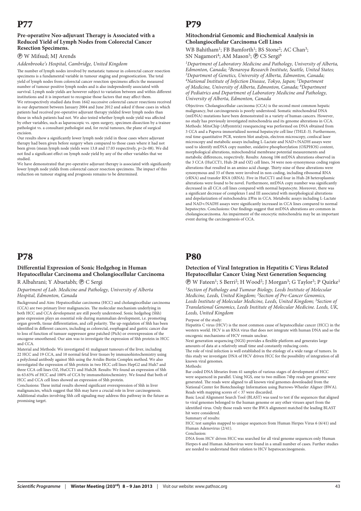#### **Pre-operative Neo-adjuvant Therapy is Associated with a Reduced Yield of Lymph Nodes from Colorectal Cancer Resection Specimens.**

P W Mifsud; MJ Arends

*Addenbrooke's Hospital, Cambridge, United Kingdom*

The number of lymph nodes involved by metastatic tumour in colorectal cancer resection specimens is a fundamental variable in tumour staging and prognostication. The total yield of lymph nodes from colorectal cancer resection specimens affects the measured number of tumour-positive lymph nodes and is also independently associated with survival. Lymph node yields are however subject to variation between and within different institutions and it is important to recognise those factors that may affect them. We retrospectively studied data from 1642 successive colorectal cancer resections received in our department between January 2004 and June 2012 and asked if those cases in which patients had received pre-operative adjuvant therapy yielded fewer lymph nodes than those in which patients had not. We also tested whether lymph node yield was affected by other variables, such as laparoscopic vs. open surgery, specimen dissection by a trainee pathologist vs. a consultant pathologist and, for rectal tumours, the plane of surgical excision.

Our results show a significantly lower lymph node yield in those cases where adjuvant therapy had been given before surgery when compared to those cases where it had not been given (mean lymph node yields were 13.8 and 17.03 respectively, p=2e-08). We did not find a significant effect on lymph node yield by any of the other variables that we studied.

We have demonstrated that pre-operative adjuvant therapy is associated with significantly lower lymph node yields from colorectal cancer resection specimens. The impact of this reduction on tumour staging and prognosis remains to be determined.

### P78

#### **Differential Expression of Sonic Hedgehog in Human Hepatocellular Carcinoma and Cholangiocellular Carcinoma**

#### R Albahrani; Y Abuetabh; ® C Sergi

#### *Department of Lab. Medicine and Pathology, University of Alberta Hospital, Edmonton, Canada*

Background and Aim: Hepatocellular carcinoma (HCC) and cholangiocellular carcinoma (CCA) are two primary liver malignancies. The molecular mechanism underlying in both HCC and CCA development are still poorly understood. Sonic hedgehog (Shh) gene expression plays an essential role during mammalian development, i.e. promoting organ growth, tissue differentiation, and cell polarity. The up-regulation of Shh has been identified in different cancers, including as colorectal, esophageal and gastric cancer due to loss of function of tumuor suppressor gene patched (Ptch) or overexpression of the oncogene smoothened. Our aim was to investigate the expression of Shh protein in HCC and CCA.

Material and Methods: We investigated 41 malignant tumours of the liver, including 22 HCC and 19 CCA, and 10 normal fetal liver tissues by immunohistochemistry using a polyclonal antibody against Shh using the Avidin-Biotin Complex method. We also investigated the expression of Shh protein in two HCC cell lines HepG2 and Huh7 and three CCA cell lines OZ, HuCCT1 and Huh28. Results: We found an expression of Shh in 63.63% of HCC and 100% of CCA by immunohistochemistry. We found that both of HCC and CCA cell lines showed an expression of Shh protein.

Conclusions: These initial results showed significant overexpression of Shh in liver malignancies, which suggest that Shh may have a crucial role in liver carcinogenesis. Additional studies involving Shh cell signaling may address this pathway in the future as promising target.

### **P79**

#### **Mitochondrial Genomic and Biochemical Analysis in Cholangiocellular Carcinoma Cell Lines**

WB Bahitham<sup>1</sup>; FB Bamforth<sup>1</sup>; BS Stone<sup>2</sup>; AC Chan<sup>3</sup>; SN Nagamori<sup>4</sup>; AM Mason<sup>5</sup>; **@** CS Sergi<sup>6</sup>

*1Department of Laboratory Medicine and Pathology, University of Alberta,*  <sup>3</sup>Department of Genetics, University of Alberta, Edmonton, Canada; *4National Institute of Infection Disease, Tokyo, Japan; 5Department of Medicine, University of Alberta, Edmonton, Canada; 6Department of Pediatrics and Department of Laboratory Medicine and Pathology, University of Alberta, Edmonton, Canada*

Objectives: Cholangiocellular carcinoma (CCA) is the second most common hepatic malignancy, but carcinogenesis is poorly understood. Somatic mitochondrial DNA (mtDNA) mutations have been demonstrated in a variety of human cancers. However, no study has previously investigated mitochondria and its genome alterations in CCA. Methods: MitoChip (Affyemtrix) resequencing was performed on DNA obtained from 3 CCA and a Papova-immortalized normal hepatocyte cell line (THLE-3). Furthermore, real time quantitative PCR, western blot analysis, electron microscopy, confocal laser microscopy and metabolic assays including L-Lactate and NAD+/NADH assays were used to identify mtDNA copy number, oxidative phosphorylation (OXPHOS) content, morphological alterations, mitochondrial membrane potential measurements and metabolic differences, respectively. Results: Among 106 mtDNA alterations observed in the 3 CCA (HuCCT1, Huh-28 and OZ) cell lines, 34 were non-synonymous coding region alterations that resulted in an amino acid change. Thirty-nine of these alterations were synonymous and 33 of them were involved in non-coding, including ribosomal RNA (rRNA) and transfer RNA (tRNA). Five in HuCCT1 and four in Huh-28 heteroplasmic alterations were found to be novel. Furthermore, mtDNA copy number was significantly decreased in all CCA cell lines compared with normal hepatocyte. Moreover, there was a significant decrease of complexes I and III associated with morphological alterations and depolarization of mitochondria ΔΨm in CCA. Metabolic assays including L-Lactate and NAD+/NADH assays were significantly increased in CCA lines compared to normal hepatocytes. Conclusions: Our findings suggest that mtDNA alterations are common in cholangiocarcinoma. An impairment of the oncocytic mitochondria may be an important event during the carcinogenesis of CCA.

**P80** 

#### **Detection of Viral Integration in Hepatitis C Virus Related Hepatocellular Cancer Using Next Generation Sequencing**

#### $\textcircled{P}$  W Fateen<sup>1</sup>; S Berri<sup>2</sup>; H Wood<sup>2</sup>; J Morgan<sup>3</sup>; G Taylor<sup>3</sup>; P Quirke<sup>1</sup>

*1Section of Pathology and Tumour Biology, Leeds Institute of Molecular Medicine, Leeds, United Kingdom; 2Section of Pre-Cancer Genomics,*  Leeds Institute of Molecular Medicine, Leeds, United Kingdom; <sup>3</sup>Section of *Translational Genomics, Leeds Institute of Molecular Medicine. Leeds, UK, Leeds, United Kingdom*

Purpose of the study:

Hepatitis C virus (HCV) is the most common cause of hepatocellular cancer (HCC) in the western world. HCV is an RNA virus that does not integrate with human DNA and so the oncogenic mechanisms of HCV remain unclear.

Next generation sequencing (NGS) provides a flexible platform and generates large amounts of data at a relatively small time and constantly reducing costs.

The role of viral infection is well established in the etiology of a wide range of tumors. In this study we investigate DNA of HCV driven HCC for the possibility of integration of all known viral genomes. Methods:

Bar coded DNA libraries from 41 samples of various stages of development of HCC were sequenced in parallel. Using NGS, one to two million 74bp reads per genome were generated. The reads were aligned to all known viral genomes downloaded from the National Center for Biotechnology Information using Burrows-Wheeler Aligner (BWA). Reads with mapping scores of < 37 were discarded.

Basic Local Alignment Search Tool (BLAST) was used to test if the sequences that aligned to viral genomes belonged to the human genome or any other viruses apart from the identified virus. Only those reads were the BWA alignment matched the leading BLAST hit were considered.

Summary of results:

HCC test samples mapped to unique sequences from Human Herpes Virus 6 (6/41) and Human Adenovirus (2/41).

Conclusion:

DNA from HCV driven HCC was searched for all viral genome sequences only Human Herpes 6 and Human Adenovirus were found in a small number of cases. Further studies are needed to understand their relation to HCV hepatocarcinogenesis.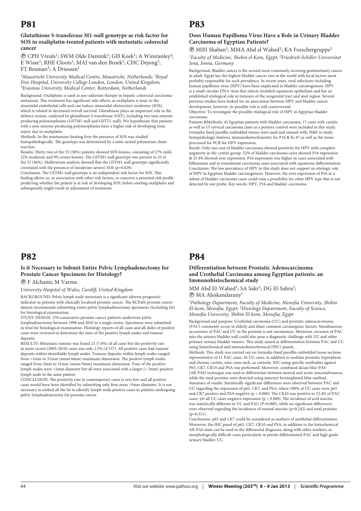### **P81**

#### **Glutathione S-transferase M1-null genotype as risk factor for SOS in oxaliplatin-treated patients with metastatic colorectal cancer**

 $\textcircled{P}$  CPH Vreuls<sup>1</sup>; SWM Olde Damink<sup>1</sup>; GH Koek<sup>1</sup>; A Winstanley<sup>2</sup>; E Wisse<sup>1</sup>; RHE Cloots<sup>1</sup>; MAJ van den Broek<sup>1</sup>; CHC Dejong<sup>1</sup>; FT Bosman<sup>3</sup>; A Driessen<sup>1</sup>

*1Maastricht University Medical Centre, Maastricht, Netherlands; 2Royal Free Hospital, University College London, London, United Kingdom; 3Erasmus University Medical Center, Rotterdam, Netherlands*

Background: Oxaliplatin is used as neo-adjuvant therapy in hepatic colorectal carcinoma metastasis. This treatment has significant side effects, as oxaliplatin is toxic to the sinusoidal endothelial cells and can induce sinusoidal obstruction syndrome (SOS), which is related to decreased overall survival. Glutathione plays an important role in the defence system, catalyzed by glutathione S-transferase (GST), including two non-enzyme producing polymorphisms (GSTM1-null and GSTT1-null). We hypothesize that patients with a non-enzyme producing polymorphisms have a higher risk of developing toxic injury due to oxaliplatin.

Methods: In the nontumour-bearing liver the presence of SOS was studied histopathologically. The genotype was determined by a semi-nested polymerase chain reaction.

Results: Thirty-two of the 55 (58%) patients showed SOS lesions, consisting of 27% mild, 22% moderate and 9% severe lesions. The GSTM1-null genotype was present in 25 of the 55 (46%). Multivariate analysis showed that the GSTM1-null genotype significantly correlated with the presence of (moderate-severe) SOS (p=0.029).

Conclusion: The GSTM1-null genotype is an independent risk factor for SOS. This finding allows us, in association with other risk factors, to conceive a potential risk profile predicting whether the patient is at risk of developing SOS, before starting oxaliplatin and subsequently might result in adjustment of treatment.

# **P82**

#### **Is it Necessary to Submit Entire Pelvic Lymphadenectomy for Prostate Cancer Specimens for Histology?**

#### P F Alchami; M Varma

#### *University Hospital of Wales, Cardiff, United Kingdom*

BACKGROUND: Pelvic lymph node metastasis is a significant adverse prognostic indicator in patients with clinically localised prostate cancer. The RCPath prostate cancer dataset recommends submitting entire pelvic lymphadenectomy specimens (including fat) for histological examination.

STUDY DESIGN: 278 consecutive prostate cancer patients underwent pelvic lymphadenectomy between 1998 and 2010 in a single centre. Specimens were submitted in total for histological examination. Histology reports of all cases and all slides of positive cases were reviewed to determine the sizes of the positive lymph nodes and tumour deposits.

RESULTS: Metastatic tumour was found 21 (7.6%) of all cases but the positivity rate in more recent (2005-2010) cases was only 2.5% (4/157). All positive cases had tumour deposits within identifiable lymph nodes. Tumour deposits within lymph nodes ranged from <1mm to 31mm (mean 6mm) maximum dimension. The positive lymph nodes ranged from 2mm to 31mm (mean 9mm) maximum dimension. Four of the positive lymph nodes were <5mm diameter but all were associated with a larger (> 5mm) positive lymph node in the same patient.

CONCLUSION: The positivity rate in contemporary cases is very low and all positive cases would have been identified by submitting only firm areas >5mm diameter. It is not necessary to embed all the fat to identify lymph node positive cases in patients undergoing pelvic lymphadenectomy for prostate cancer.

### P83

#### **Does Human Papilloma Virus Have a Role in Urinary Bladder Carcinoma of Egyptian Patients?**

 $\textcircled{P}$  MIH Shaban<sup>1</sup>; MMA Abd el Wahed<sup>1</sup>; KA Forschergruppe<sup>2</sup> *1Faculty of Medicine, Shebin el Kom, Egypt; 2Friedrich-Schiller-Universitat Jena, Jenna, Germany*

Background: Bladder cancer is the second most commonly occuring genitourinary cancer in adult. Egypt has the highest bladder cancer rate in the world with local factors most probably responsible for such prevalence. In recent years, viral infections including human papilloma virus (HPV) have been implicated in bladder carcinogenesis. HPV is a small circular DNA virus that infects stratified squamous epithelium and has an established etiological role in tumours of the urogenital tract and anal region. Several previous studies have looked for an association between HPV and bladder cancer development, however, its possible role is still controversial.

Objective: To investigate the possible etiological role of HPV in Egyptian bladder carcinoma.

Patients &Methods: 42 Egyptian patients with bladder carcinoma, 17 cases with cystitis as well as 15 cervical carcinoma cases as a positive control were included in this study. Formalin fixed paraffin embedded tissues were used and stained with; H&E to study histopathologic features, immunohistochemistry for P16 & Ki 67 as well as the tissue processed for PCR for HPV expression.

Result: Only one case of bladder carcinoma showed positivity for HPV with complete negativity in the cystitis group. 52% of bladder carcinoma cases showed P16 expression & 21.4% showed over expression. P16 expression was higher in cases associated with bilharziasis and in transitional carcinoma cases associated with squamous differentiation. Conclusion: The low prevalence of HPV in this study does not support an etiologic role of HPV in Egyptian bladder carcinogenesis. However, the over expression of P16 in a subset of bladder carcinoma cases could raise a possibility for other HPV type that is not detected by our probe. Key words: HPV, P16 and bladder carcinoma.

### P84

#### **Differentiation between Prostatic Adenocarcinoma and Urothelial Carcinoma among Egyptian patients: an Immunohistochemical study**

#### MM Abd El-Wahed<sup>1</sup>; SA Sakr<sup>2</sup>; DG El-Sahra<sup>2</sup>; P MA Aleskandarany1

*1Pathology Department, Faculty of Medicine, Menofia University, Shibin El-kom, Menofia, Egypt; 2Histology Department, Faculty of Science, Menofia University, Shibin El-kom, Menofia, Egypt*

Background and purpose: Urothelial carcinoma (UC) and prostatic adenocarcinoma (PAC) commonly occur in elderly and share common carcinogenic factors. Simultaneous occurrence of PAC and UC in the prostate is not uncommon. Moreover, invasion of PAC into the urinary bladder wall could also pose a diagnostic challenge with UC and other primary urinary bladder tumors. This study aimed at differentiation between PAC and UC using histochemical and immunohistochemical (IHC) panels.

Methods: This study was carried out on formalin-fixed paraffin-embedded tissue sections representative of 21 PAC cases, 26 UC cases, in addition to nodular prostatic hyperplasia and chronic cystitis, nine cases each, as controls. IHC using specific antibodies against P63, CK7, CK10 and PSA was performed. Moreover, combined alcian blue-PAS (AB-PAS) technique was used to differentiate between neutral and acetic mucosubstances, while the total proteins were detected using mercury bromophenol blue method. Summary of results: Statistically significant differences were observed between PAC and UC regarding the expression of p63, CK7, and PSA; where 100% of UC cases were p63 and CK7 positive and PSA negative (p < 0.000). The CK10 was positive in 52.4% of PAC cases, yet all UC cases negative expression (p < 0.000). The incidence of acid mucins was statistically different in UC and PAC (P<0.000), while no significant differences were observed regarding the incidences of neutral mucins (p=0.242) and total proteins  $(p=0.311)$ .

Conclusions: p63 and CK7 could be considered as markers of urothelial differentiation. Moreover, the IHC panel of p63, CK7, CK10 and PSA, in addition to the histochemical AB-PAS stain can be used in the differential diagnosis, along with other markers, in morphologically difficult cases particularly in poorly differentiated PAC and high grade urinary bladder UC.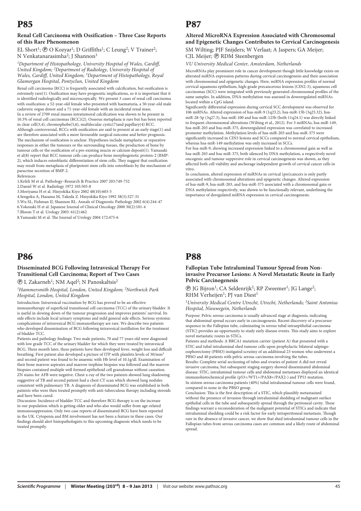#### **Renal Cell Carcinoma with Ossification – Three Case Reports of this Rare Phenomenon**

EL Short<sup>1</sup>;  $\overline{P}$  O Kozyar<sup>1</sup>; D Griffiths<sup>1</sup>; C Leung<sup>2</sup>; V Trainer<sup>2</sup>; N Venkatanarasimha<sup>2</sup>; J Shannon<sup>3</sup>

*1Department of Histopathology, University Hospital of Wales, Cardiff, United Kingdom; 2Department of Radiology, University Hospital of Wales, Cardiff, United Kingdom; 3Department of Histopathology, Royal Glamorgan Hospital, Pontyclun, United Kingdom*

Renal cell carcinoma (RCC) is frequently associated with calcification, but ossification is extremely rare(1). Ossification may have prognostic implications, so it is important that it is identified radiologically and microscopically. We present 3 cases of renal cell carcinoma with ossification: a 52-year-old female who presented with haematuria, a 50-year-old male cadaveric organ donor and a 71-year-old female with an incidental renal mass. In a review of 2709 renal masses intratumoral calcification was shown to be present in 10.3% of renal cell carcinomas (RCC)(2). Osseous metaplasia is rare but has been reported in clear cell(3,4), chromophobe(5,6), multilocular cystic(7)and papillary(4) RCC. Although controversial, RCCs with ossification are said to present at an early stage(1) and are therefore associated with a more favourable surgical outcome and better prognosis. The mechanism of ossification is unclear. Hypotheses include metaplastic or reparative responses in either the tumours or the surrounding tissues, the production of bone by tumour cells or the ossification of a pre-existing mucin or calcium deposit(1). Yamasaki et al(8) report that RCC tumour cells can produce bone morphogenetic protein-2 (BMP-2), which induces osteoblastic differentiation of stem cells. They suggest that ossification may result from metaplasia of pluripotent stem cells into osteoblasts by the mechanism of paracrine secretion of BMP-2.

References

1.Kefeli M et al. Pathology–Research & Practice 2007 203:749-752

2.Daniel W et al. Radiology 1972 103:503-8

3.Moriyama H et al. Hinyokika Kiyo 2002 48(10):603-5

4.Sengoku A, Hazama M, Takeda Z. Hinyokika Kiyo 1992 38(3):327-31

5.Wu SL, Fishman IJ, Shannon RL. Annals of Diagnostic Pathology 2002 6(4):244-47

6.Yokozaki H et al. Japanese Journal of Clinical Oncology 2000 30(2):101-4

7.Bloom T et al. Urology 2003: 61(2):462

8.Yamasaki M et al. The Journal of Urology 2004 172:475-6

### P86

#### **Disseminated BCG Following Intravesical Therapy For Transitional Cell Carcinoma; Report of Two Cases**

#### $\textcircled{P}$  L Zakarneh<sup>1</sup>; NM Aqel<sup>2</sup>; N Panoskaltsis<sup>2</sup>

*1Hammersmith Hospital, London, United Kingdom; 2Northwick Park Hospital, London, United Kingdom*

Introduction: Intravesical vaccination by BCG has proved to be an effective immunotherapy of superficial transitional cell carcinoma (TCC) of the urinary bladder. It is useful in slowing down of the tumour progression and improves patients' survival. Its side effects include local urinary symptoms and mild general side effects. Serious systemic complications of intravesical BCG immunotherapy are rare. We describe two patients who developed dissemination of BCG following intravesical instillation for the treatment of bladder TCC.

Patients and pathology findings: Two male patients, 70 and 77 years old were diagnosed with low grade TCC of the urinary bladder for which they were treated by intravesical BCG. Three month later, these patients have then developed fever, weight loss and difficult breathing. First patient also developed a picture of ITP with platelets levels of 30/mm3 and second patient was found to be anaemic with Hb level of 10.1g/dl. Examination of their bone marrow aspirates and marrow trephine biopsies was followed and the marrow biopsies contained multiple well formed epithelioid cell granulomas without caseation. ZN stains for AFB were negative. Chest x-ray of the two patients showed lung shadowing suggestive of TB and second patient had a chest CT scan which showed lung nodules consistent with pulmonary TB. A diagnosis of disseminated BCG was established in both patients who were then treated promptly with anti-tuberculous therapy including steroids and have been cured.

Discussion: Incidence of bladder TCC and therefore BCG therapy is on the increase in our population which is getting older and who also would suffer from age-related immunosuppression. Only two case reports of disseminated BCG have been reported in the UK. Cytopenia and BM involvement has not been a feature in these cases. Our findings should alert histopathologists to this upcoming diagnosis which needs to be treated promptly.

### **P87**

#### **Altered MicroRNA Expression Associated with Chromosomal and Epigenetic Changes Contributes to Cervical Carcinogenesis**

SM Wilting; PJF Snijders; W Verlaat; A Jaspers; GA Meijer; CJL Meijer; ® RDM Steenbergen

*VU University Medical Center, Amsterdam, Netherlands*

MicroRNAs play prominent role in cancer development though little knowledge exists on alterated miRNA expression patterns during cervical carcinogenesis and their association with chromosomal and epigenetic changes. Here, miRNA expression profiles of normal cervical squamous epithelium, high-grade precancerous lesions (CIN2-3), squamous cell carcinomas (SCC) were integrated with previously generated chromosomal profiles of the same samples. In addition, DNA methylation was assessed in downregulated miRNAs located within a CpG island.

Significantly differential expression during cervical SCC development was observed for 106 miRNAs. Altered expression of hsa-miR-9 (1q23.2), hsa-miR-15b (3q25.32), hsamiR-28-5p (3q27.3), hsa-miR-100 and hsa-miR-125b (both 11q24.1) was directly linked to frequent chromosomal alterations (Wilting et al., 2012). For 3 miRNAs, hsa-miR-149, hsa-miR-203 and hsa-miR-375, downregulated expression was correlated to increased promoter methylation. Methylation levels of hsa-miR-203 and hsa-miR-375 were significantly increased in CIN3 lesions and SCCs compared to normal cervical epithelium, whereas hsa-miR-149 methylation was only increased in SCCs.

For hsa-miR-9, showing increased expression linked to a chromosomal gain as well as hsa-miR-203 and hsa-miR-375, both silenced by DNA methylation, a respectively novel oncogenic and tumour suppresive role in cervical carcinogenesis was shown, as they affected both cell viability and anchorage independent growth of cervical cancer cells in vitro.

In conclusion, altered expression of miRNAs in cervical (pre)cancers is only partly associated with chromosomal alterations and epigenetic changes. Altered expression of hsa-miR-9, hsa-miR-203, and hsa-miR-375 associated with a chromosomal gain or DNA methylation respectively, was shown to be functionally relevant, underlining the importance of deregulated miRNA expression in cervical carcinogenesis.

### **P88**

#### **Fallopian Tube Intraluminal Tumour Spread from Noninvasive Precursor Lesions: A Novel Metastatic Route in Early Pelvic Carcinogenesis**

P JG Bijron1; CA Seldenrijk2; RP Zweemer1; JG Lange2; RHM Verheijen<sup>1</sup>; PJ van Diest<sup>1</sup>

*1University Medical Centre Utrecht, Utrecht, Netherlands; 2Saint Antonius Hospital, Nieuwegein, Netherlands*

Purpose: Pelvic serous carcinoma is usually advanced stage at diagnosis, indicating that abdominal spread occurs early in carcinogenesis. Recent discovery of a precursor sequence in the Fallopian tube, culminating in serous tubal intraepithelial carcinoma (STIC) provides an opportunity to study early disease events. This study aims to explore novel metastatic routes in STICs.

Patients and methods: A BRCA1 mutation carrier (patient A) that presented with a STIC and tubal intraluminal shed tumour cells upon prophylactic bilateral salpingooophorectomy (PBSO) instigated scrutiny of an additional 23 women who underwent a PBSO and 40 patients with pelvic serous carcinoma involving the tubes. Results: Complete serial sectioning of tubes and ovaries of patient A did not reveal

invasive carcinoma, but subsequent staging surgery showed disseminated abdominal disease. STIC, intraluminal tumour cells and abdominal metastases displayed an identical immunohistochemical profile (p53+/WT1+/PAX8+/PAX2-) and TP53 mutation. In sixteen serous carcinoma patients (40%) tubal intraluminal tumour cells were found, compared to none in the PBSO group.

Conclusion: This is the first description of a STIC, which plausibly metastasized without the presence of invasion through intraluminal shedding of malignant surface epithelial cells in the tube and subsequently spread through the peritoneal cavity. These findings warrant a reconsideration of the malignant potential of STICs and indicate that intraluminal shedding could be a risk factor for early intraperitoneal metastasis. Though rare in the absence of invasive cancer, we show that shed intraluminal tumour cells in the Fallopian tubes from serous carcinoma cases are common and a likely route of abdominal spread.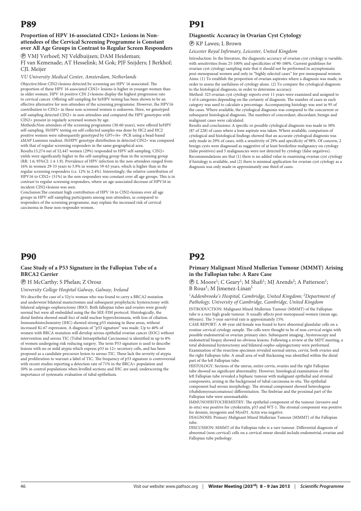#### **Proportion of HPV 16-associated CIN2+ Lesions in Nonattendees of the Cervical Screening Programme is Constant over All Age Groups in Contrast to Regular Screen Responders**

P VMJ Verhoef; NJ Veldhuijzen; DAM Heideman;

FJ van Kemenade; AT Hesselink; M Gok; PJF Snijders; J Berkhof; CJL Meijer

#### *VU University Medical Center, Amsterdam, Netherlands*

Objective:Most CIN2+lesions detected by screening are HPV 16 associated. The proportion of these HPV 16 associated CIN2+ lesions is higher in younger women than in older women. HPV 16 positive CIN 2+lesions display the highest progression rate to cervical cancer. Offering self-sampling for hrHPV testing has been shown to be an effective alternative for non-attendees of the screening programme. However, the HPV16 contribution to CIN2+ in these non-screened women is unknown. Here, we genotyped self-sampling detected CIN2+ in non-attendees and compared the HPV genotypes with CIN2+ present in regularly screened women by age.

Methods:Non-attendees of the screening programme (30-60 years), were offered hrHPV self-sampling. HrHPV testing on self-collected samples was done by HC2 and HC2 positive women were subsequently genotyped by GP5+/6+ -PCR using a bead-based xMAP Luminex readout. HrHPV genotype distribution in detected CIN2+ was compared with that of regular screening responders in the same geographical area.

Results:15,274 out of 52,447 women (29%) responded to HPV self-sampling. CIN2+ yields were significantly higher in the self-sampling group than in the screening group (RR: 1.6; 95%CI: 1.4-1.9). Prevalence of HPV infection in the non-attendees ranged from 16% in women 29-33 years to 5.9% in women 59-63 years, which is higher than in the regular screening responders (i.e. 12% to 2.4%). Interestingly, the relative contribution of HPV16 to CIN2+ (51%) in the non-responders was constant over all age groups. This is in contrast to regular screening responders, where an age-associated decrease of HPV16 in incident CIN2+lesions was seen.

Conclusion:The constant high contribution of HPV 16 to CIN2+lesions over all age groups in HPV self-sampling participants among non-attendees, as compared to responders of the screening programme, may explain the increased risk of cervical carcinoma in these non-responder women.

### **P90**

#### **Case Study of a P53 Signature in the Fallopian Tube of a BRCA2 Carrier**

#### P H McCarthy; S Phelan; Z Orosz

#### *University College Hospital Galway, Galway, Ireland*

We describe the case of a 52y/o woman who was found to carry a BRCA2 mutation and underwent bilateral mastectomies and subsequent prophylactic hysterectomy with bilateral salpingo-oopherectomy (BSO). Both fallopian tubes and ovaries were grossly normal but were all embedded using the the SEE-FIM protocol. Histologically, the distal fimbria showed small foci of mild nuclear hyperchromasia, with loss of ciliation. Immunohistochemistry (IHC) showed strong p53 staining in these areas, without increased Ki-67 expression. A diagnosis of "p53 signature" was made. Up to 40% of women with BRCA mutation will develop serous epithelial ovarian cancer (EOC) without intervention and serous TIC (Tubal Intraepithelial Carcinoma) is identified in up to 8% of women undergoing risk reducing surgery. The term P53 signature is used to describe lesions with no or mild atypia which express p53 in 12+ secretory cells, and has been proposed as a candidate precursor lesion to serous TIC. These lack the severity of atypia and proliferation to warrant a label of TIC. The frequency of p53 signature is controversial with recent studies reporting a detection rate of 71% in the BRCA+ population and 50% in control populations when levelled sections and IHC are used, underscoring the importance of systematic evaluation of tubal epithelium.

### P91

#### **Diagnostic Accuracy in Ovarian Cyst Cytology**

P KP Lawes; L Brown

#### *Leicester Royal Infirmary, Leicester, United Kingdom*

Introduction: In the literature, the diagnostic accuracy of ovarian cyst cytology is variable, with sensitivities from 25-100% and specificities of 90-100%. Current guidelines for ovarian cyst cytology sampling state that it should not be performed in asymptomatic post-menopausal women and only in "highly selected cases" for pre-menopausal women. Aims: (1) To establish the proportion of ovarian aspirates where a diagnosis was made, in order to assess the usefulness of cytology alone. (2) To compare the cytological diagnosis to the histological diagnosis, in order to determine accuracy.

Method: 323 ovarian cyst cytology reports over 11 years were examined and assigned to 1 of 6 categories depending on the certainty of diagnosis. The number of cases in each category was used to calculate a percentage. Accompanying histology was sent in 95 of the cases. Where available, the cytological diagnosis was compared to the concurrent or subsequent histological diagnosis. The numbers of concordant, discordant, benign and malignant cases were calculated.

Results and conclusions: A specific or possible cytological diagnosis was made in 38% (87 of 228) of cases where a lone aspirate was taken. Where available, comparison of cytological and histological findings showed that an accurate cytological diagnosis was only made in 29% of cases, with a sensitivity of 29% and specificity of 98%. Of concern, 2 benign cysts were diagnosed as suggestive of at least borderline malignancy on cytology (false positives) and 5 malignancies were not detected by cytology (false negatives). Recommendations are that (1) there is no added value in examining ovarian cyst cytology if histology is available, and (2) there is minimal application for ovarian cyst cytology as a diagnosis was only made in approximately one third of cases.

### P92

#### **Primary Malignant Mixed Mullerian Tumour (MMMT) Arising in the Fallopian tube: A Rare Case**

 $\textcircled{P}$  L Moore<sup>1</sup>; C Geary<sup>1</sup>; M Shafi<sup>1</sup>; MJ Arends<sup>2</sup>; A Patterson<sup>1</sup>; B Rous<sup>1</sup>; M Jimenez-Linan<sup>1</sup>

*1Addenbrooke's Hospital, Cambridge, United Kingdom; 2Department of Pathology, University of Cambridge, Cambridge, United Kingdom*

INTRODUCTION: Malignant Mixed Mullerian Tumour (MMMT) of the Fallopian tube is a rare high grade tumour. It usually affects post-menopausal women (mean age, 60years). The 5-year survival rate is approximately 15%.

CASE REPORT: A 48-year old female was found to have abnormal glandular cells on a routine cervical cytology sample. The cells were thought to be of non-cervical origin with possible endometrial or ovarian primary sites. Subsequent imaging , hysteroscopy and endometrial biopsy showed no obvious lesions. Following a review at the MDT meeting, a total abdominal hysterectomy and bilateral oopho-salpingectomy were performed. Examination of the resection specimen revealed normal uterus, cervix, both ovaries and the right Fallopian tube. A small area of wall thickening was identified within the distal part of the left Fallopian tube.

HISTOLOGY: Sections of the uterus, entire cervix, ovaries and the right Fallopian tube showed no significant abnormality. However, histological examination of the left Fallopian tube revealed a biphasic tumour with malignant epithelial and stromal components, arising in the background of tubal carcinoma in situ. The epithelial component had serous morphology. The stromal component showed heterologous (rhabdomyosarcomatous) differentiation. The fimbriae and the proximal part of the Fallopian tube were unremarkable.

IMMUNOHISTOCHEMISTRY: The epithelial component of the tumour (invasive and in-situ) was positive for cytokeratin, p53 and WT-1. The stromal component was positive for desmin, myogenin and MyoD1. Actin was negative.

DIAGNOSIS: Primary Malignant Mixed Mullerian Tumour (MMMT) of the Fallopian tube.

DISCUSSION: MMMT of the Fallopian tube is a rare tumour. Differential diagnosis of abnormal (non-cervical) cells on a cervical smear should include endometrial, ovarian and Fallopian tube pathology.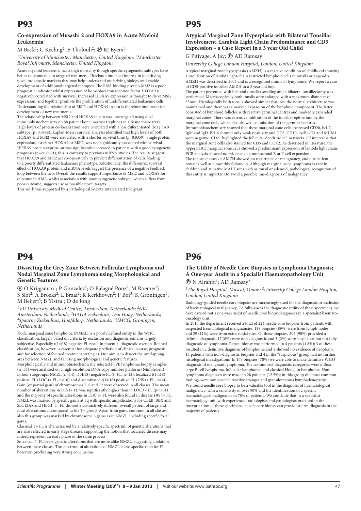#### **Co-expression of Musashi 2 and HOXA9 in Acute Myeloid Leukaemia**

#### M Back<sup>1</sup>; C Keeling<sup>2</sup>; E Tholouli<sup>2</sup>;  $\textcircled{P}$  RJ Byers<sup>1</sup>

*1University of Manchester, Manchester, United Kingdom; 2Manchester Royal Infirmary, Manchester, United Kingdom*

Acute myeloid leukaemia has a high mortality though specific cytogenetic subtypes have better outcome due to targeted treatment. This has stimulated interest in identifying novel prognostic markers that may help understand underlying biology and enable development of additional targeted therapies. The RNA binding protein MSI2 is a poor prognostic indicator whilst expression of homeobox transcription factor HOXA9 is negatively correlated with survival. Increased HOXA9 expression is thought to drive MSI2 expression, and together promote the proliferation of undifferentiated leukaemic cells. Understanding the relationship of MSI2 and HOXA9 in situ is therefore important for development of new treatments.

The relationship between MSI2 and HOXA9 in situ was investigated using dual immunohistochemistry on 58 patient bone marrow trephines in a tissue microarray. High levels of protein co-localization were correlated with a less differentiated (M1) FAB subtype (p=0.0448). Kaplan-Meier survival analysis identified that high levels of both HOXA9 and MSI2 were associated with a shorter survival time (p=0.0359). Single protein expression, for either HOXA9 or MSI2, was not significantly associated with survival. HOXA9 protein expression was significantly increased in patients with a good cytogenetic prognosis (p=<0.0001); this is contrary to previous mRNA studies. The results suggest that HOXA9 and MSI2 act co-operatively to prevent differentiation of cells, leading to a poorly differentiated leukaemic phenotype. Additionally, the differential survival effect of HOXA9 protein and mRNA levels suggest the presence of a negative feedback loop between the two. Overall the results support importance of MSI2 and HOXA9 for outcome in AML, whilst association with poor cytogenetic subtype, which suffers from poor outcome, suggests use as possible novel targets.

This work was supported by a Pathological Society Intercalated BSc grant.

### P94

#### **Dissecting the Grey Zone Between Follicular Lymphoma and Nodal Marginal Zone Lymphoma using Morphological and Genetic Features**

P O Krijgsman1; P Gonzalez2; O Balagué Ponz2; M Roemer2; S Slot<sup>2</sup>; A Broeks<sup>2</sup>; L Braaf<sup>2</sup>; R Kerkhoven<sup>2</sup>; F Bot<sup>3</sup>; K Groningen<sup>4</sup>; M Beijert<sup>5</sup>; B Ylstra<sup>1</sup>; D de Jong<sup>1</sup>

*1VU University Medical Center, Amsterdam, Netherlands; 2NKI, Amsterdam, Netherlands; 3HAGA ziekenhuis, Den Haag, Netherlands; 4Spaarne Ziekenhuis, Hoofddorp, Netherlands; 5UMCG, Groningen, Netherlands*

Nodal marginal zone lymphoma (NMZL) is a poorly defined entity in the WHO classification, largely based on criteria by exclusion and diagnosis remains largely subjective. Especially t(14;18) negative FL result in potential diagnostic overlap. Refined classification, however, is essential for adequate prediction of clinical course, prognosis and for selection of focused treatment strategies. Our aim is to dissect the overlapping area between NMZL and FL using morphological and genetic features. Morphologically and immunohistochemically selected FFPE lymphoma biopsy samples (n=56) were analyzed on a high-resolution DNA copy number platform (NimbleGen) in four subgroups; NMZL (n=14), t(14;18) negative FL (t- FL, n=12), localized t(14:18)

positive FL (LOC t+ FL, n=16) and disseminated t(14;18) positive FL (DIS t+ FL, n=14). Gain (or partial gain) of chromosomes 7, 8 and 12 were observed in all classes. The mean number of aberrations in DIS t+ FL was significantly higher than in LOC t+ FL ( $p$ <0.01) and the majority of specific alterations in LOC  $t$  + FL were also found in disease DIS  $t$  + FL. NMZL was marked by specific gains at 3q with specific amplifications for CBLB, BBX and SLC12A8 and HEG1. T- FL showed a distinctively different overall pattern of large and focal aberrations as compared to the T+ group. Apart from gains common in all classes, also this group was marked by chromosome 3 gains as in NMZL, including specific focal gains.

Classical T+ FL is characterized by a relatively specific spectrum of genetic alterations that are also reflected in early stage disease, supporting the notion that localized disease may indeed represent an early phase of the same process.

So-called T- FL bears genetic alterations that are more alike NMZL, suggesting a relation between these classes. The spectrum of alterations of NMZL is less specific than for FL, however, precluding very strong conclusions.

### **P95**

#### **Atypical Marginal Zone Hyperplasia with Bilateral Tonsillar Involvement, Lambda Light Chain Predominance and CD5 Expression – a Case Report in a 3 year Old Child**

#### G Pitiyage; A Jay;  $\circledR$  AD Ramsay

*University College London Hospital, London, United Kingdom*

Atypical marginal zone hyperplasia (AMZH) is a reactive condition of childhood showing a proliferation of lambda light-chain restricted lymphoid cells in tonsils or appendix. AMZH was described in 2004 and is a recognised mimic of lymphoma. We report a case of CD5-positive tonsillar AMZH in a 3 year old boy.

The patient presented with bilateral tonsillar swelling and a bilateral tonsillectomy was performed. Macroscopically both tonsils were enlarged with a maximum diameter of <sup>1</sup><br>33mm. Histologically both tonsils showed similar features; the normal architecture was maintained and there was a marked expansion of the lymphoid component. The latter consisted of lymphoid follicles with reactive germinal centres and markedly expanded marginal zones. There was extensive infiltration of the tonsillar epithelium by the marginal zone cells, which also showed colonisation of the germinal centres. Immunohistochemistry showed that these marginal zone cells expressed CD20, bcl-2, IgM and IgD. Bcl-6 showed only weak positivity and CD3, CD10, cyclin-D1 and MUM1 were negative. CD21 highlighted the follicular dendritic cell networks. Of interest is that the marginal zone cells also stained for CD5 and OCT2. As described in literature, the hyperplastic marginal zone cells showed a predominant expression of lambda light chain. PCR analysis showed no evidence of a monoclonal B or T cell expansion. The reported cases of AMZH showed no recurrence or malignancy, and our patient remains well at 6 monthly follow-up. Although marginal zone lymphoma is rare in children and at native MALT sites such as tonsil or adenoid, pathological recognition of this entity is important to avoid a possible mis-diagnosis of malignancy.

### P96

#### **The Utility of Needle Core Biopsies in Lymphoma Diagnosis; A One-year Audit in a Specialist Haematopathology Unit**

 $\textcircled{P}$  N Alrahbi<sup>1</sup>; AD Ramsay<sup>2</sup>

#### *1The Royal Hospital, Muscat, Oman; 2University College London Hospital, London, United Kingdom*

Radiology-guided needle core biopsies are increasingly used for the diagnosis or exclusion of haematological malignancy. To fully assess the diagnostic utility of these specimens, we have carried out a one-year audit of needle core biopsy diagnoses in a specialist haematooncology unit.

In 2010 the department received a total of 224 needle core biopsies from patients with suspected haematological malignancies. 199 biopsies (89%) were from lymph nodes and 29 (11%) were from extra-nodal sites. Of these biopsies, 202 (90%) provided a definite diagnosis, 17 (8%) were non-diagnostic and 5 (2%) were suspicious but not fully diagnostic of lymphoma. Repeat biopsy was performed in 4 patients (1.8%); 3 of these resulted in a definitive diagnosis of lymphoma and 1 showed no evidence of neoplasm. 14 patients with non-diagnostic biopsies and 4 in the "suspicious" group had no further histological investigations. In 175 biopsies (78%) we were able to make definitive WHO diagnosis of malignant lymphoma. The commonest diagnostic categories were diffuse large B cell lymphoma, follicular lymphoma, and classical Hodgkin lymphoma. Nonlymphoma diagnoses were made in 28 patients (12.5%); in this group the most common findings were non-specific reactive changes and granulomatous lymphadenopathy. We found needle core biopsy to be a valuable tool in the diagnosis of haematological malignancy, with a sensitivity of over 90% and the identification of a specific haematological malignancy in 78% of patients. We conclude that in a specialist haematology unit, with experienced radiologists and pathologists practised in the interpretation of these specimens, needle core biopsy can provide a firm diagnosis in the majority of patients.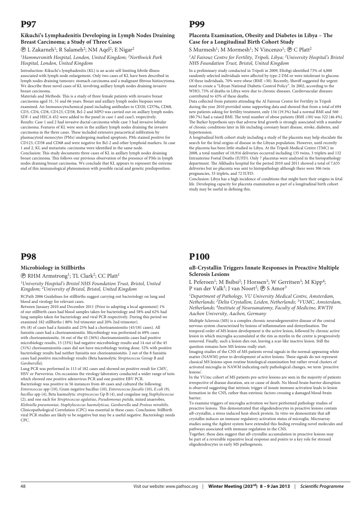#### **Kikuchi's Lymphadenitis Developing in Lymph Nodes Draining Breast Carcinoma; a Study of Three Cases**

 $\textcircled{P}$  L Zakarneh<sup>1</sup>; R Salameh<sup>2</sup>; NM Aqel<sup>2</sup>; E Nigar<sup>2</sup>

*1Hammersmith Hospital, London, United Kingdom; 2Northwick Park Hospital, London, United Kingdom*

Introduction: Kikuchi's lymphadenitis (KL) is an acute self-limiting febrile illness associated with lymph node enlargement. Only two cases of KL have been described in lymph nodes draining tumours: stomach carcinoma and a malignant fibrous histiocytoma. We describe three novel cases of KL involving axillary lymph nodes draining invasive breast carcinoma.

Materials and Methods: This is a study of three female patients with invasive breast carcinoma aged 31, 51 and 66 years. Breast and axillary lymph nodes biopsies were examined. An Immunocytochemical panel including antibodies to CD20, CD79a, CD68, CD3, CD4, CD8, CD123, CD38, Bcl-2 and MPO was carried out on axillary lymph nodes. SDF-1 and HECA 452 were added to the panel in case 1 and case3, respectively. Results: Case 1 and 2 had invasive ductal carcinoma while case 3 had invasive lobular carcinoma. Features of KL were seen in the axillary lymph nodes draining the invasive carcinoma in the three cases. These included extensive paracortical infiltration by plasmacytoid monocytes (PMs) undergoing marked apoptosis. PMs stained positive for CD123, CD38 and CD68 and were negative for Bcl-2 and other lymphoid markers. In case 1 and 2, KL and metastatic carcinoma were identified in the same node. Conclusion: This study documents three cases of KL in axillary lymph nodes draining breast carcinoma. This follows our previous observation of the presence of PMs in lymph nodes draining breast carcinoma. We conclude that KL appears to represent the extreme end of this immunological phenomenon with possible racial and genetic predisposition.

### P99

#### **Placenta Examination, Obesity and Diabetes in Libya – The Case for a Longitudinal Birth Cohort Study**

S Murmesh<sup>1</sup>; M Mormesh<sup>1</sup>; N Vincenzo<sup>1</sup>;  $\textcircled{P}$  C Platt<sup>2</sup>

*1Al Fairouz Centre for Fertility, Tripoli, Libya; 2University Hospital's Bristol NHS Foundation Trust, Bristol, United Kingdom*

In a preliminary study conducted in Tripoli in 2009, Eltobgi identified 73% of 4,000 randomly selected individuals were affected by type-2 DM or were intolerant to glucose. Of these individuals, 70% were obese (BMI >30). Recently, Sheriff suggested the urgent need to create a "Libyan National Diabetic Control Policy". In 2002, according to the WHO, 73% of deaths in Libya were due to chronic diseases. Cardiovascular diseases contributed to 43% of these deaths.

Data collected from patients attending the Al Fairouz Centre for Fertility in Tripoli during the year 2010 provided some supporting data and showed that from a total of 694 new patients asking for fertility treatment, only 134 (19.3%) had a normal BMI and 560 (80.7%) had a raised BMI. The total number of obese patients (BMI ≥30) was 322 (46.4%). The Barker hypothesis says that adverse fetal growth is strongly associated with a number of chronic conditions later in life including coronary heart disease, stroke, diabetes, and hypertension.

A longitudinal birth cohort study including a study of the placenta may help elucidate the search for the fetal origins of disease in the Libyan population. However, until recently the placenta has been little studied in Libya. At the Tripoli Medical Centre (TMC) in 2008, a total number of 10,916 deliveries occurred including 135 twins, 3 triplets and 132 Intrauterine Foetal Deaths (IUFD). Only 7 placentas were analysed in the histopathology department. The Alkhadra hospital for the period 2010 and 2011 showed a total of 7,635 deliveries but no placenta was sent to histopathology although there were 306 twin pregnancies, 33 triplets, and 72 IUFD.

Conclusion: Libya has a high incidence of conditions that might have their origins in fetal life. Developing capacity for placenta examination as part of a longitudinal birth cohort study may be useful in defining this.

### P98

#### **Microbiology in Stillbirths**

P RHM Armstrong1; TL Clark2; CC Platt1

*1University Hospital's Bristol NHS Foundation Trust, Bristol, United Kingdom; 2University of Bristol, Bristol, United Kingdom*

RCPath 2006 Guidelines for stillbirths suggest carrying out bacteriology on lung and blood and virology for relevant cases.

Between January 2010 and December 2011 (Prior to adopting a local agreement) 1% of our stillbirth cases had blood samples taken for bacteriology and 58% and 62% had lung samples taken for bacteriology and viral PCR respectively. During this period we examined 182 stillbirths ( 80% 3rd trimester and 20% 2nd trimester).

4% (8) of cases had a funisitis and 25% had a chorioamnionitis (45/181 cases). All funisitis cases had a chorioamnionitis. Microbiology was performed in 69% cases with chorioamnionitis. 16 out of the 45 (36%) chorioamnionitis cases had positive microbiology results, 15 (33%) had negative microbiology results and 14 out of the 45 (31%) chorioamnionitis cases did not have microbiology testing done. 52% with positive bacteriology results had neither funisitis nor chorioamnionitis. 2 out of the 8 funisitis cases had positive microbiology results (Beta haemolytic *Streptococcus* Group B and *Gardnerella*).

Lung PCR was performed in 113 of 182 cases and showed no positive result for CMV, HSV or Parvovirus. On occasions the virology laboratory conducted a wider range of tests which showed one positive adenovirus PCR and one positive EBV PCR. Bacteriology was positive in 56 instances from 40 cases and cultured the following; *Enterococcus* spp (10), Gram negative bacillus (10), *Enterococcus faecalis* (10), *E.coli* (9), *bacillus* spp (4), Beta haemolytic *streptococcus* Gp B (4), and coagulase neg *Staphylococcus* (2), and one each for *Streptococcus agalatiae*, *Pseudomonas putida*, mixed anaerobes, *Klebsiella pneumoniae, Staphylococcus haemolyticus, Gardnerella* and *Proteus mirabilis*. Clinicopathological Correlation (CPC) was essential in these cases. Conclusion: Stillbirth viral PCR studies are likely to be negative but may be a useful negative. Bacteriology needs CPC.

### P100

#### **αB-Crystallin Triggers Innate Responses in Preactive Multiple Sclerosis Lesions**

L Peferoen<sup>1</sup>; M Bsibsi<sup>2</sup>; J Horssen<sup>3</sup>; W Gerritsen<sup>3</sup>; M Kipp<sup>4</sup>; P van der Valk<sup>3</sup>; J van Noort<sup>2</sup>; ® S Amor<sup>3</sup>

*1Department of Pathology, VU University Medical Centre, Amsterdam, Netherlands; 2Delta Crystallon, Leiden, Netherlands; 3VUMC, Amsterdam, Netherlands; 4Institute of Neuroanatomy, Faculty of Medicine, RWTH Aachen University, Aachen, Germany*

Multiple Sclerosis (MS) is a complex chronic neurodegenerative disease of the central nervous system characterized by lesions of inflammation and demyelination. The temporal order of MS lesion development is the active lesion, followed by chronic active lesion in which microglia accumulated at the rim as myelin in the centre is progressively removed. Finally, such a lesion dies out, leaving a scar-like inactive lesion. Still the question remains how MS lesions really start.

Imaging studies of the CNS of MS patients reveal signals in the normal-appearing white matter (NAWM) prior to development of active lesions. These signals do not represent classical MS lesions upon routine histological examination but rather reveal clusters of activated microglia in NAWM indicating early pathological changes, we term 'preactive lesions'.

In the VUmc cohort of MS patients pre-active lesions are seen in the majority of patients irrespective of disease duration, sex or cause of death. No blood-brain-barrier disruption is observed suggesting that intrinsic trigger of innate immune activation leads to lesion formation in the CNS, rather than extrinsic factors crossing a damaged blood-brain barrier.

To examine triggers of microglia activation we have performed pathology studies of preactive lesions. This demonstrated that oligodendrocytes in preactive lesions contain αB-crystallin, a stress induced heat-shock protein. In vitro we demonstrate that αB crystallin induces an immune regulatory activation status of microglia. Microarray studies using the Agilent system have extended this finding revealing novel molecules and pathways associated with immune regulation in the CNS.

Together, these data suggest that αB crystallin accumulation in preactive lesions may be part of a reversible reparative local response and points to a key role for stressed oligodendrocytes in early MS pathogenesis.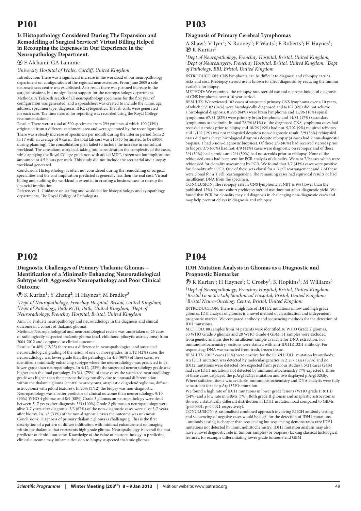### P101

#### **Is Histopathology Considered During The Expansion and Remodelling of Surgical Services? Virtual Billing Helped in Recouping the Expenses in Our Experience in the Neuropathology Department.**

P F Alchami; GA Lammie

*University Hospital of Wales, Cardiff, United Kingdom*

Introduction: There was a significant increase in the workload of our neuropathology department on configuration of the regional neurosciences. From June 2009 a sole neurosciences centre was established. As a result there was planned increase in the surgical sessions, but no significant support for the neuropathology department. Methods: A Telepath search of all neuropathology specimens for the first year of configuration was generated, and a spreadsheet was created to include the name, age, address, specimen type, diagnosis, IHC, cytogenetics. The lab costs were generated for each case. The time needed for reporting was recorded using the Royal College recommendations<sup>1</sup>.

Results: There were a total of 300 specimens from 294 patients of which 100 (33%) originated from a different catchment area and were generated by the reconfiguration. There was a steady increase of specimens per month during the interim period from 2 to 17 with an average of 9 cases. The total lab cost was £10740 (estimated to be £8000 during planning). The consolidation plan failed to include the increase in consultant workload. The consultant workload, taking into consideration the complexity of the cases, while applying the Royal College guidance, with added MDT, frozen section implications amounted to 4.5 hours per week. This study did not include the secretarial and autopsy workload generated.

Conclusion: Histopathology is often not considered during the remodelling of surgical specialities and the cost implication predicted is generally less then the real cost. Virtual billing and auditing the workload is essential in creating a business case to recoup the financial implication.

References: 1. Guidance on staffing and workload for histopathology and cytopathlogy departments, The Royal College of Pathologists.

### P102

#### **Diagnostic Challenges of Primary Thalamic Gliomas – Identification of a Minimally Enhancing Neuroradiological Subtype with Aggressive Neuropathology and Poor Clinical Outcome**

#### $\textcircled{P}$  K Kurian<sup>1</sup>; Y Zhang<sup>2</sup>; H Haynes<sup>1</sup>; M Bradley<sup>3</sup>

*1Dept of Neuropathology, Frenchay Hospital, Bristol, United Kingdom; 2Dept of Pathology, Bath RUH, Bath, United Kingdom; 3Dept of Neuroradiology, Frenchay Hospital, Bristol, United Kingdom*

Aim: To evaluate neuropathology and neuroradiology in the diagnosis and clinical outcome in a cohort of thalamic gliomas.

Methods: Neuropathological and neuroradiological review was undertaken of 25 cases of radiologically suspected thalamic glioma (excl. childhood pilocytic astrocytoma) from 2004-2012 and compared to clinical outcome.

Results: In 48% (12/25) there was a difference in neuropathological and suspected neuroradiological grading of the lesion of one or more grades. In 5/12 (42%) cases the neuroradiology was lower grade than the pathology. In 4/5 (90%) of these cases, we identified a minimally enhancing subtype where the neuroradiology was predicted to be lower grade than neuropathology. In 4/12, (33%) the suspected neuroradiology grade was higher than the final pathology. In 3/4, (75%) of these cases the suspected neuroradiology grade was higher than the neuropathology possibly due to unusual differentiation within the thalamic glioma (central neurocytoma, anaplastic oligodendroglioma, diffuse astrocytoma with piloid features). In 25% (3/12) the biopsy was non-diagnostic. Neuropathology was a better predictor of clinical outcome than neuroradiology. 9/10 (90%) WHO 4 gliomas and 8/9 (88%) Grade 3 gliomas on neuropathology were dead between 3 -7 years after diagnosis. 3/3 (100%) Grade 2 gliomas on neuropathology were alive 3-7 years after diagnosis. 2/3 (67%) of the non-diagnostic cases were alive 3-7 years after biopsy. In 1/3 (33%) of the non-diagnostic cases the outcome was unknown. Conclusions: Diagnosis of primary thalamic glioma is challenging. This is the first description of a pattern of diffuse infiltration with minimal enhancement on imaging within the thalamus that represents high grade glioma. Neuropathology is overall the best predictor of clinical outcome. Knowledge of the value of neuropathology in predicting clinical outcome may inform a decision to biopsy suspected thalamic gliomas.

### P103

#### **Diagnosis of Primary Cerebral Lymphomas**

A Shaw<sup>1</sup>; V Iyer<sup>2</sup>; N Rooney<sup>3</sup>; P Waits<sup>3</sup>; E Roberts<sup>3</sup>; H Haynes<sup>1</sup>;  $\overline{\mathcal{P}}$  K Kurian<sup>1</sup>

*1Dept of Neuropathology, Frenchay Hospital, Bristol, United Kingdom; 2Dept of Neurosurgery, Frenchay Hospital, Bristol, United Kingdom; 3Dept of Pathology, BRI, Bristol, United Kingdom*

INTRODUCTION: CNS lymphoma can be difficult to diagnose and rebiopsy carries risks and cost. Prebiopsy steroid use is known to affect diagnosis, by reducing the tumour available for biopsy.

METHOD: We examined the rebiopsy rate, steroid use and neuropathological diagnosis of CNS lymphoma over a 10 year period.

RESULTS: We reviewed 102 cases of suspected primary CNS lymphoma over a 10 years, of which 96/102 (94%) were histologically diagnosed and 6/102 (6%) did not achieve a histological diagnosis. 81/96 (84%) were brain lymphoma and 15/96 (16%) spinal lymphoma. 67/81 (82%) were primary brain lymphoma and 14/81 (17%) secondary lymphomas to the brain. In total 78/96 (81%) of the diagnosed CNS lymphoma cases had received steroids prior to biopsy and 18/96 (19%) had not. 9/102 (9%) required rebiopsy and 1/102 (1%) was not rebiopsied despite a non-diagnostic result. 5/9 (56%) rebiopsied cases did not achieve histological diagnosis despite rebiopsy (4 cases had 2 non-diagnostic biopsies, 1 had 3 non-diagnostic biopsies). Of these 2/5 (40%) had received steroids prior to biopsy,  $3/5$  (60%) had not.  $4/9$  ( $44%$ ) cases were diagnostic on rebiopsy and of these 2/4 (50%) had steroids and 2/4 (50%) had no steroids prior to rebiopsy. None of the rebiopsied cases had been sent for PCR analysis of clonality. We sent 7/9 cases which were rebiopsied for clonality assessment by PCR. We found that 3/7 (43%) cases were positive for clonality after PCR. One of these was clonal for a B cell rearrangement and 2 of these were clonal for a T cell rearrangement. The remaining cases had equivocal results or had insufficient DNA from the specimen.

CONCLUSION: The rebiopsy rate in CNS lymphoma at NBT is 9% (lower than the published 12%). In our cohort prebiopsy steroid use does not affect diagnostic yield. We found that PCR for clonality may aid diagnosis in challenging non-diagnostic cases and may help prevent delays in diagnosis and rebiopsy.

### P104

#### **IDH Mutation Analysis in Gliomas as a Diagnostic and Prognostic Biomarker**

 $\textcircled{P}$  K Kurian<sup>1</sup>; H Haynes<sup>1</sup>; C Crosby<sup>2</sup>; K Hopkins<sup>3</sup>; M Williams<sup>2</sup>

*1Dept of Neuropathology, Frenchay Hospital, Bristol, United Kingdom; 2Bristol Genetics Lab, Southmead Hospital, Bristol, United Kingdom; 3Bristol Neuro-Oncology Centre, Bristol, United Kingdom*

INTRODUCTION: There is a high rate of IDH1/2 mutations in low and high grade gliomas. IDH analysis of gliomas is a novel method of classification and independent prognostic marker. We compared antibody and sequencing methods for the detection of IDH mutations.

METHOD: 88 samples from 74 patients were identified:16 WHO Grade 2 gliomas, 30 WHO Grade 3 gliomas and 28 WHO Grade 4 GBM. 31 samples were excluded from genetic analysis due to insufficient sample available for DNA extraction. For immunohistochemistry: sections were stained with anti-IDH1R132H antibody. For sequencing: DNA was extracted from fresh, frozen tissue.

RESULTS: 20/72 cases (28%) were positive for the R132H IDH1 mutation by antibody. An IDH1 mutation was detected by molecular genetics in 21/57 cases (37%) and no IDH2 mutations were detected (6% expected from previous studies). 5/21 cases (24%) had rare IDH1 mutations not detected by immunohistochemistry (7% expected). Three of these cases displayed the p.Arg132Cys mutation and two displayed p.Arg132Gly. Where sufficient tissue was available, immunohistochemistry and DNA analysis were fully concordant for the p.Arg132His mutation.

We found a high rate of IDH1 mutations in lower grade lesions (WHO grade II & III) (54%) and a low rate in GBMs (7%). Both grade II gliomas and anaplastic astrocytomas showed a statistically different distribution of IDH1 mutation load compared to GBMs (p<0.0001; p=0.0021 respectively).

CONCLUSION: A rationalised combined approach involving R132H antibody testing and sequencing of negative cases would be ideal for the detection of IDH1 mutations - antibody testing is cheaper than sequencing but sequencing demonstrates rare IDH1 mutations not detected by immunohistochemistry. IDH1 mutation analysis may also have a novel diagnostic role in tumour samples (or biopsies) lacking classical histological features, for example differentiating lower grade tumours and GBM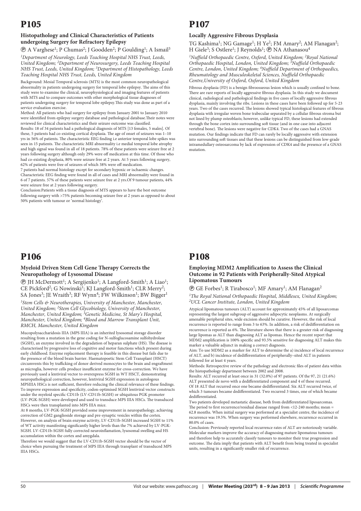#### **Histopathology and Clinical Characteristics of Patients undergoing Surgery for Refractory Epilepsy**

 $\textcircled{P}$  A Varghese<sup>1</sup>; P Chumas<sup>2</sup>; J Goodden<sup>2</sup>; P Goulding<sup>1</sup>; A Ismail<sup>3</sup>

*1Department of Neurology, Leeds Teaching Hospital NHS Trust, Leeds, United Kingdom; 2Department of Neurosurgery, Leeds Teaching Hospital NHS Trust, Leeds, United Kingdom; 3Department of Histopathology, Leeds Teaching Hospital NHS Trust, Leeds, United Kingdom*

Background: Mesial Temporal sclerosis (MTS) is the most common neuropathological abnormality in patients undergoing surgery for temporal lobe epilepsy. The aims of this study were to examine the clinical, neurophysiological and imaging features of patients with MTS and to compare outcomes with other morphological tissue diagnoses of patients undergoing surgery for temporal lobe epilepsy.This study was done as part of a service evaluation exercise.

Method: All patients who had surgery for epilepsy from January 2001 to January 2010 were identified from epilepsy surgery database and pathological database.Their notes were reviewed for clinical characteristics and their seizure outcome was classified. Results: 18 of 34 patients had a pathological diagnosis of MTS [13 females, 5 males]. Of these, 5 patients had co-existing cortical dysplasia. The age of onset of seizures was 1–10 yrs in 56% of patients. The characteristic EEG finding i.e anterior temporal lobe spikes was seen in 15 patients. The characteristic MRI abnormality i.e medial temporal lobe atrophy and high signal was found in all of 18 patients. 78% of these patients were seizure free at 2

years following surgery although only 29% were off medication at this time. Of those who had co-existing dysplasia, 80% were seizure free at 2 years. At 5 years following surgery, 62% of patients were free of seizures of which 38% were off medication. 7 patients had normal histology except for secondary hypoxic or ischaemic changes.

Characteristic EEG finding were found in all of cases and MRI abnormality were found in 6 of 7 patients. 57% of these patients were seizure free at 2 yrs.Of 9 tumour patients, 44% were seizure free at 2 years following surgery.

Conclusion:Patients with a tissue diagnosis of MTS appears to have the best outcome following surgery with >75% patients becoming seizure free at 2 years as opposed to about 50% patients with tumour or 'normal histology'.

### P106

#### **Myeloid Driven Stem Cell Gene Therapy Corrects the Neuropathology of Lysosomal Disease**

 $\textcircled{P}$  JH McDermott<sup>1</sup>; A Sergijenko<sup>1</sup>; A Langford-Smith<sup>1</sup>; A Liao<sup>1</sup>; CE Pickford<sup>2</sup>; G Nowinski<sup>1</sup>; KJ Langford-Smith<sup>1</sup>; CLR Merry<sup>2</sup>; SA Jones<sup>3</sup>; JE Wraith<sup>3</sup>; RF Wynn<sup>4</sup>; FW Wilkinson<sup>1</sup>; BW Bigger<sup>1</sup>

*1Stem Cells & Neurotherapies, University of Manchester, Manchester, United Kingdom; 2Stem Cell Glycobiology, University of Manchester, Manchester, United Kingdom; 3Genetic Medicine, St Mary's Hospital, Manchester, United Kingdom; 4Blood and Marrow Transplant Unit, RMCH, Manchester, United Kingdom*

Mucopolysaccharidosis IIIA (MPS IIIA) is an inherited lysosomal storage disorder resulting from a mutation in the gene coding for N-sulfoglucosamine sulfohydrolase (SGSH), an enzyme involved in the degradation of heparan sulphate (HS). The disease is characterised by progressive loss of cognitive and motor functions which present during early childhood. Enzyme replacement therapy is feasible in this disease but fails due to the presence of the blood brain barrier. Haematopoetic Stem Cell Transplant (HSCT) circumvents this by trafficking of donor derived monocytes to the brain and engraftment as microglia, however cells produce insufficient enzyme for cross-correction. We have previously used a lentiviral vector to overexpress SGSH in WT HSCT, demonstrating neuropathological correction, however, lentiviral SGSH expression in autologous MPSIIIA HSCs is not sufficient, therefore reducing the clinical relevance of these findings. To improve expression and specificity, codon-optimised SGSH lentiviral vector constructs under the myeloid specific CD11b (LV-CD11b-SGSH) or ubiquitous PGK promoter (LV-PGK-SGSH) were developed and used to transduce MPS IIIA HSCs. The transduced HSCs were then transplanted into MPS IIIA mice.

At 8 months, LV-PGK-SGSH provided some improvement in neuropathology, achieving correction of GM2 ganglioside storage and pre-synaptic vesicles within the cortex. However, on analysis of brain enzyme activity, LV-CD11b-SGSH increased SGSH to 11% of WT activity manifesting significantly higher levels than the 7% achieved by LV-PGK-SGSH. LV-CD11b-SGSH fully corrected neuroinflamation, lysosomal swelling and HS accumulation within the cortex and amygdala.

Therefore we would suggest that the LV-CD11b-SGSH vector should be the vector of choice when pursuing the treatment of MPS IIIA through transplant of transduced MPS IIIA HSCs.

### P107

#### **Locally Aggressive Fibrous Dysplasia**

TG Kashima<sup>1</sup>; NG Gamage<sup>1</sup>; H Ye<sup>2</sup>; FM Amary<sup>2</sup>; AM Flanagan<sup>2</sup>; H Giele<sup>3</sup>; S Ostlere<sup>1</sup>; J Reynolds<sup>1</sup>; **@** NA Athanasou<sup>4</sup>

*1Nuffield Orthopaedic Centre, Oxford, United Kingdom; 2Royal National Orthopaedic Hospital, London, United Kingdom; 3Nuffield Orthopaedic Centre, London, United Kingdom; 4Nuffield Department of Orthopaedics, Rheumatology and Musculoskeletal Sciences, Nuffield Orthopaedic Centre,University of Oxford, Oxford, United Kingdom*

Fibrous dysplasia (FD) is a benign fibroosseous lesion which is usually confined to bone. There are rare reports of locally aggressive fibrous dysplasia. In this study we document clinical, radiological and pathological findings in five cases of locally aggressive fibrous dysplasia, mainly involving the ribs. Lesions in these cases have been followed up for 5-23 years. Two of the cases recurred. The lesions showed typical histological features of fibrous dysplasia with irregular woven bone trabeculae separated by a cellular fibrous stroma but not lined by plump osteoblasts; however, unlike typical FD, these lesions had extended through the bone cortex into surrounding soft tissue (and in one case into adjacent vertebral bone). The lesions were negative for CDK4. Two of the cases had a GNAS mutation. Our findings indicate that FD can rarely be locally aggressive with extension into surrounding soft tissues and that these lesions can be distinguished from low-grade intramedullary osteosarcoma by lack of expression of CDK4 and the presence of a GNAS mutation.

### P108

#### **Employing MDM2 Amplification to Assess the Clinical Outcome in 92 Patients with Peripherally-Sited Atypical Lipomatous Tumours**

#### $\textcircled{P}$  GE Forbes<sup>1</sup>; R Tirabosco<sup>1</sup>; MF Amary<sup>1</sup>; AM Flanagan<sup>2</sup>

*1The Royal National Orthopaedic Hospital, Middlesex, United Kingdom; 2UCL Cancer Institute, London, United Kingdom*

Atypical lipomatous tumours (ALT) account for approximately 45% of all liposarcomas representing the largest subgroup of aggressive adipocytic neoplasms. At surgically amenable peripheral sites, wide excision should be curative. However, the risk of local recurrence is reported to range from 3 to 63%. In addition, a risk of dedifferentiation on recurrence is reported as 6%. The literature shows that there is a greater risk of diagnosing large lipomas as ALT than diagnosing ALT as lipomas. Hence the recent report that MDM2 amplification is 100% specific and 93.5% sensitive for diagnosing ALT makes this marker a valuable adjunct in making a correct diagnosis.

Aim: To use MDM2 as a marker for ALT to determine the a) incidence of local recurrence of ALT, and b) incidence of dedifferentiation of peripherally–sited ALT in patients followed for at least 4 years.

Methods: Retrospective review of the pathology and electronic files of patient data within the histopathology department between 2002 and 2008.

Results: ALT recurred at least once in 31 (32.0%) of 97 patients. Of the 97, 21 (21.6%) ALT presented de novo with a dedifferentiated component and 4 of these recurred. Of 18 ALT that recurred once one became dedifferentiated. Six ALT recurred twice, of which 3 tumours became dedifferentiated. Two recurred 3 times, one of which became dedifferentiated.

Two patients developed metastatic disease, both from dedifferentiated liposarcomas. The period to first recurrence/residual disease ranged from <12-240 months; mean = 62.8 months. When initial surgery was performed at a specialist centre, the incidence of recurrence was 19.5%. When surgery was performed elsewhere, recurrence occurred in 80.0% of cases.

Conclusion: Previously reported local recurrence rates of ALT are notoriously variable. Molecular markers improve the accuracy of diagnosing mature lipomatous tumours and therefore help to accurately classify tumours to monitor their true progression and outcome. The data imply that patients with ALT benefit from being treated in specialist units, resulting in a significantly smaller risk of recurrence.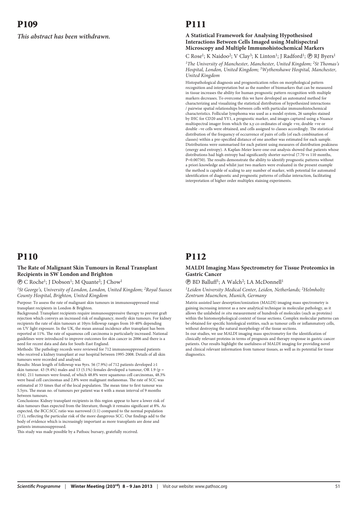*This abstract has been withdrawn.*

### P111

#### **A Statistical Framework for Analysing Hypothesised Interactions Between Cells Imaged using Multispectral Microscopy and Multiple Immunohistochemical Markers**

C Rose<sup>1</sup>; K Naidoo<sup>2</sup>; V Clay<sup>3</sup>; K Linton<sup>1</sup>; J Radford<sup>1</sup>; **@** RJ Byers<sup>1</sup> *1The University of Manchester, Manchester, United Kingdom; 2St Thomas's Hospital, London, United Kingdom; 3Wythenshawe Hospital, Manchester, United Kingdom*

Histopathological diagnosis and prognostication relies on morphological pattern recognition and interpretation but as the number of biomarkers that can be measured in tissue increases the ability for human prognostic pattern recognition with multiple markers decreases. To overcome this we have developed an automated method for characterizing and visualizing the statistical distribution of hypothesized interactions / pairwise spatial relationships between cells with particular immunohistochemical characteristics. Follicular lymphoma was used as a model system, 26 samples stained by IHC for CD20 and YY1, a prognostic marker, and images captured using a Nuance multispectral imager from which the x,y co-ordinates of single +ve, double +ve or double –ve cells were obtained, and cells assigned to classes accordingly. The statistical distribution of the frequency of occurrence of pairs of cells (of each combination of classes) within a pre-specified distance of one another was estimated for each sample. Distributions were summarised for each patient using measures of distribution peakiness (energy and entropy). A Kaplan-Meier leave-one-out analysis showed that patients whose distributions had high entropy had significantly shorter survival (7.70 vs 110 months, P=0.00750). The results demonstrate the ability to identify prognostic patterns without a priori knowledge and whilst just two markers were evaluated in the present example the method is capable of scaling to any number of marker, with potential for automated identification of diagnostic and prognostic patterns of cellular interaction, facilitating interpretation of higher order multiplex staining experiments.

### P110

#### **The Rate of Malignant Skin Tumours in Renal Transplant Recipients in SW London and Brighton**

P C Roche1; J Dobson1; M Quante2; J Chow1

*1St George's, University of London, London, United Kingdom; 2Royal Sussex County Hospital, Brighton, United Kingdom*

Purpose: To assess the rate of malignant skin tumours in immunosuppressed renal transplant recipients in London & Brighton.

Background: Transplant recipients require immunosuppressive therapy to prevent graft rejection which conveys an increased risk of malignancy, mostly skin tumours. For kidney recipients the rate of skin tumours at 10yrs followup ranges from 10-40% depending on UV light exposure. In the UK, the mean annual incidence after transplant has been reported at 11%. The rate of squamous cell carcinoma is particularly increased. National guidelines were introduced to improve outcomes for skin cancer in 2006 and there is a need for recent data and data for South-East England.

Methods: The pathology records were reviewed for 712 immunosuppressed patients who received a kidney transplant at our hospital between 1995-2008. Details of all skin tumours were recorded and analysed.

Results: Mean length of followup was 9yrs. 56 (7.9%) of 712 patients developed ≥1 skin tumour. 43 (9.4%) males and 13 (5.1%) females developed a tumour, OR 1.9 (p = 0.04). 211 tumours were found, of which 48.8% were squamous cell carcinomas, 48.3% were basal cell carcinomas and 2.8% were malignant melanomas. The rate of SCC was estimated at 33 times that of the local population. The mean time to first tumour was 5.5yrs. The mean no. of tumours per patient was 4 with a mean interval of 9 months between tumours.

Conclusions: Kidney transplant recipients in this region appear to have a lower risk of skin tumours than expected from the literature, though it remains significant at 8%. As expected, the BCC:SCC ratio was narrowed (1:1) compared to the normal population (7:1), reflecting the particular risk of the more dangerous SCC. Our findings add to the body of evidence which is increasingly important as more transplants are done and patients immunosuppressed.

This study was made possible by a Pathsoc bursary, gratefully received.

### P112

#### **MALDI Imaging Mass Spectrometry for Tissue Proteomics in Gastric Cancer**

#### $\textcircled{P}$  BD Balluff<sup>1</sup>; A Walch<sup>2</sup>; LA McDonnell<sup>1</sup>

#### *1Leiden University Medical Center, Leiden, Netherlands; 2Helmholtz Zentrum Muenchen, Munich, Germany*

Matrix-assisted laser desorption/ionization (MALDI) imaging mass spectrometry is gaining increasing interest as a new analytical technique in molecular pathology, as it allows the unlabeled *in situ* measurement of hundreds of molecules (such as proteins) within the histomorphological context of tissue sections. Complex molecular patterns can be obtained for specific histological entities, such as tumour cells or inflammatory cells, without destroying the natural morphology of the tissue sections.

In our studies, we use MALDI imaging mass spectrometry for the identification of clinically relevant proteins in terms of prognosis and therapy response in gastric cancer patients. Our results highlight the usefulness of MALDI imaging for providing novel and clinical relevant information from tumour tissues, as well as its potential for tissue diagnostics.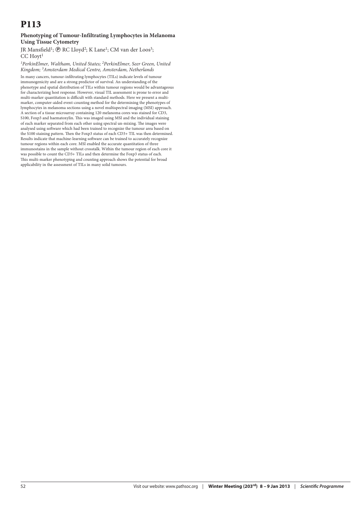# P113

#### **Phenotyping of Tumour-Infiltrating Lymphocytes in Melanoma Using Tissue Cytometry**

JR Mansfield<sup>1</sup>; **@** RC Lloyd<sup>2</sup>; K Lane<sup>1</sup>; CM van der Loos<sup>3</sup>;  $CC$  Hoyt<sup>1</sup>

*1PerkinElmer, Waltham, United States; 2PerkinElmer, Seer Green, United Kingdom; 3Amsterdam Medical Centre, Amsterdam, Netherlands*

In many cancers, tumour-infiltrating lymphocytes (TILs) indicate levels of tumour immunogenicity and are a strong predictor of survival. An understanding of the phenotype and spatial distribution of TILs within tumour regions would be advantageous for characterizing host response. However, visual TIL assessment is prone to error and multi-marker quantitation is difficult with standard methods. Here we present a multimarker, computer-aided event-counting method for the determining the phenotypes of lymphocytes in melanoma sections using a novel multispectral imaging (MSI) approach. A section of a tissue microarray containing 120 melanoma cores was stained for CD3, S100, Foxp3 and haematoxylin. This was imaged using MSI and the individual staining of each marker separated from each other using spectral un-mixing. The images were analysed using software which had been trained to recognize the tumour area based on the S100 staining pattern. Then the Foxp3 status of each CD3+ TIL was then determined. Results indicate that machine-learning software can be trained to accurately recognize tumour regions within each core. MSI enabled the accurate quantitation of three immunostains in the sample without crosstalk. Within the tumour region of each core it was possible to count the CD3+ TILs and then determine the Foxp3 status of each. This multi-marker phenotyping and counting approach shows the potential for broad applicability in the assessment of TILs in many solid tumours.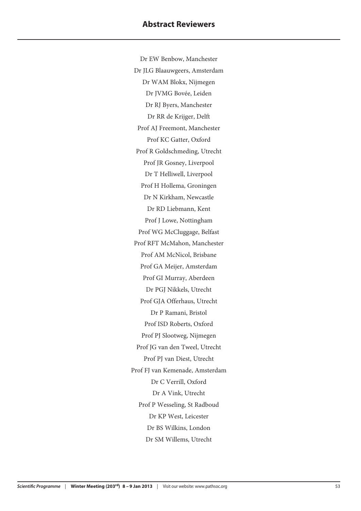Dr EW Benbow, Manchester Dr JLG Blaauwgeers, Amsterdam Dr WAM Blokx, Nijmegen Dr JVMG Bovée, Leiden Dr RJ Byers, Manchester Dr RR de Krijger, Delft Prof AJ Freemont, Manchester Prof KC Gatter, Oxford Prof R Goldschmeding, Utrecht Prof JR Gosney, Liverpool Dr T Helliwell, Liverpool Prof H Hollema, Groningen Dr N Kirkham, Newcastle Dr RD Liebmann, Kent Prof J Lowe, Nottingham Prof WG McCluggage, Belfast Prof RFT McMahon, Manchester Prof AM McNicol, Brisbane Prof GA Meijer, Amsterdam Prof GI Murray, Aberdeen Dr PGJ Nikkels, Utrecht Prof GJA Offerhaus, Utrecht Dr P Ramani, Bristol Prof ISD Roberts, Oxford Prof PJ Slootweg, Nijmegen Prof JG van den Tweel, Utrecht Prof PJ van Diest, Utrecht Prof FJ van Kemenade, Amsterdam Dr C Verrill, Oxford Dr A Vink, Utrecht Prof P Wesseling, St Radboud Dr KP West, Leicester Dr BS Wilkins, London Dr SM Willems, Utrecht